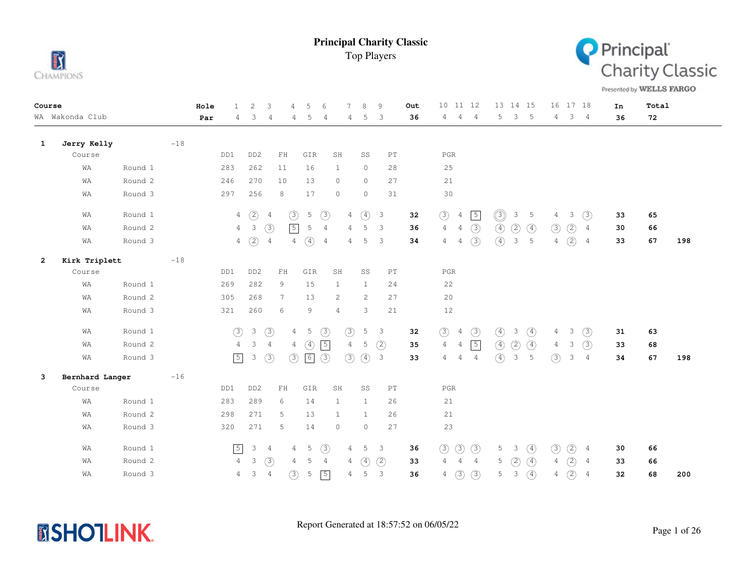



Presented by WELLS FARGO

| Course |                 |         |         | Hole | $\mathbf{1}$   | 2               | 3               | 5<br>4                           | 6              | 7               | $\mathcal{R}$    | 9                          | Out | 10 11 12                         |                | 13 14 15                      |               | 16 17 18                        |                     | In | Total |     |
|--------|-----------------|---------|---------|------|----------------|-----------------|-----------------|----------------------------------|----------------|-----------------|------------------|----------------------------|-----|----------------------------------|----------------|-------------------------------|---------------|---------------------------------|---------------------|----|-------|-----|
|        | WA Wakonda Club |         |         | Par  | 4              | 3               | 4               | 5<br>4                           | 4              | 4               | 5                | 3                          | 36  | 4<br>$\overline{4}$              | $\overline{4}$ | 3<br>5                        | $-5$          | 4                               | 3 <sub>4</sub>      | 36 | 72    |     |
| 1      | Jerry Kelly     |         | $-18$   |      |                |                 |                 |                                  |                |                 |                  |                            |     |                                  |                |                               |               |                                 |                     |    |       |     |
|        | Course          |         |         |      | DD1            | DD <sub>2</sub> | ${\rm FH}$      | GIR                              | SH             |                 | SS               | $\mathop{\rm PT}\nolimits$ |     | $_{\rm PGR}$                     |                |                               |               |                                 |                     |    |       |     |
|        | WA              | Round 1 |         |      | 283            | 262             | 11              | 16                               | $\mathbf{1}$   |                 | $\circ$          | 28                         |     | 25                               |                |                               |               |                                 |                     |    |       |     |
|        | WA              | Round 2 |         |      | 246            | 270             | 10              | 13                               | $\circ$        |                 | $\circ$          | 27                         |     | 21                               |                |                               |               |                                 |                     |    |       |     |
|        | WA              | Round 3 |         |      | 297            | 256             | 8               | 17                               | $\circ$        |                 | $\circ$          | 31                         |     | 30                               |                |                               |               |                                 |                     |    |       |     |
|        | WA              | Round 1 |         |      | $\overline{4}$ | (2)             | 4               | $\circled{3}$<br>$5\phantom{.0}$ | $\circled{3}$  | $\overline{4}$  | $\circled{4}$    | $\mathbf{3}$               | 32  | $\circled{3}$<br>$\overline{4}$  | $\sqrt{5}$     | $\circledcirc$<br>3           | 5             | 4                               | (3)<br>3            | 33 | 65    |     |
|        | WA              | Round 2 |         |      | $\overline{4}$ | $\mathcal{S}$   | (3)             | $\sqrt{5}$<br>5                  | $\overline{4}$ | 4               | 5                | $\overline{\mathbf{3}}$    | 36  | $\overline{4}$<br>$\overline{4}$ | (3)            | $\circled{4}$<br>(2)          | $\circled{4}$ | (2)<br>(3)                      | 4                   | 30 | 66    |     |
|        | WA              | Round 3 |         |      | $\overline{4}$ | $\circled{2}$   | $\overline{4}$  | $\circled{4}$<br>$\overline{4}$  | $\overline{4}$ | $4\overline{ }$ | 5                | 3                          | 34  | 4<br>4                           | (3)            | $\circled{4}$<br>$\mathbf{3}$ | 5             | $\circled{2}$<br>$\overline{4}$ | $\overline{4}$      | 33 | 67    | 198 |
| 2      | Kirk Triplett   |         | $-1\,8$ |      |                |                 |                 |                                  |                |                 |                  |                            |     |                                  |                |                               |               |                                 |                     |    |       |     |
|        | Course          |         |         |      | DD1            | DD <sub>2</sub> | $\mathbf{FH}$   | GIR                              | SH             |                 | SS               | $\mathop{\rm PT}\nolimits$ |     | $_{\rm PGR}$                     |                |                               |               |                                 |                     |    |       |     |
|        | WA              | Round 1 |         |      | 269            | 282             | 9               | 15                               | 1              |                 | $\mathbf{1}$     | 24                         |     | 22                               |                |                               |               |                                 |                     |    |       |     |
|        | WA              | Round 2 |         |      | 305            | 268             | $7\phantom{.0}$ | 13                               | 2              |                 | 2                | 27                         |     | 20                               |                |                               |               |                                 |                     |    |       |     |
|        | WA              | Round 3 |         |      | 321            | 260             | 6               | 9                                | $\overline{4}$ |                 | 3                | 21                         |     | $12$                             |                |                               |               |                                 |                     |    |       |     |
|        | WA              | Round 1 |         |      | $\circled{3}$  | $\mathcal{E}$   | $\circled{3}$   | 5<br>$\overline{4}$              | (3)            | $\circled{3}$   | $5 \quad 3$      |                            | 32  | $\circled{3}$<br>$\overline{4}$  | $\circled{3}$  | $\circled{4}$<br>3            | $\circled{4}$ | 4                               | (3)<br>3            | 31 | 63    |     |
|        | WA              | Round 2 |         |      | $\overline{4}$ | $\mathcal{S}$   | $\overline{4}$  | $\circled{4}$<br>4               | $\sqrt{5}$     | $\overline{4}$  | 5                | (2)                        | 35  | $\overline{4}$<br>$\overline{4}$ | $\sqrt{5}$     | $\circled{4}$<br>(2)          | $\circled{4}$ | $\overline{4}$                  | (3)<br>3            | 33 | 68    |     |
|        | WA              | Round 3 |         |      | $\sqrt{5}$     | 3               | $\circled{3}$   | (3)<br>$\boxed{6}$               | $\circled{3}$  | $\circled{3}$   | $\circled{4}$    | $\overline{\mathbf{3}}$    | 33  | 4<br>$\overline{4}$              | $\overline{4}$ | $\circled{4}$<br>3            | 5             | (3)                             | 3<br>$\overline{4}$ | 34 | 67    | 198 |
| 3      | Bernhard Langer |         | $-16$   |      |                |                 |                 |                                  |                |                 |                  |                            |     |                                  |                |                               |               |                                 |                     |    |       |     |
|        | Course          |         |         |      | DD1            | DD <sub>2</sub> | ${\rm FH}$      | GIR                              | SH             |                 | SS               | $\mathop{\rm PT}\nolimits$ |     | $_{\rm PGR}$                     |                |                               |               |                                 |                     |    |       |     |
|        | WA              | Round 1 |         |      | 283            | 289             | 6               | 14                               | 1              |                 | $\mathbf{1}$     | 26                         |     | 21                               |                |                               |               |                                 |                     |    |       |     |
|        | WA              | Round 2 |         |      | 298            | 271             | 5               | 13                               | 1              |                 | $\mathbf{1}$     | 26                         |     | 21                               |                |                               |               |                                 |                     |    |       |     |
|        | WA              | Round 3 |         |      | 320            | 271             | 5               | 14                               | $\circ$        |                 | $\circ$          | 27                         |     | 23                               |                |                               |               |                                 |                     |    |       |     |
|        | WA              | Round 1 |         |      | $\sqrt{5}$     | 3 <sub>4</sub>  |                 | 5<br>$\overline{4}$              | (3)            | 4               | 5                | $\overline{\mathbf{3}}$    | 36  | $\circled{3}$<br>$\circled{3}$   | (3)            | 5<br>$\overline{\mathbf{3}}$  | $\circled{4}$ | $\circledS$<br>$\circled{2}$    | 4                   | 30 | 66    |     |
|        | WA              | Round 2 |         |      | $\overline{4}$ | 3               | (3)             | 5<br>4                           | $\overline{4}$ | 4               | $\left(4\right)$ | (2)                        | 33  | 4<br>$\overline{4}$              | $\overline{4}$ | (2)<br>5                      | $\circled{4}$ | $\circled{2}$<br>4              | $\overline{4}$      | 33 | 66    |     |
|        | WA              | Round 3 |         |      | 4              | 3               | $\overline{4}$  | (3)<br>5                         | $\sqrt{5}$     | $\overline{4}$  | 5                | $\mathbf{3}$               | 36  | $\circled{3}$<br>4               | (3)            | 5<br>$\mathcal{E}$            | $\circled{4}$ | $\circled{2}$<br>4              | $\overline{4}$      | 32 | 68    | 200 |

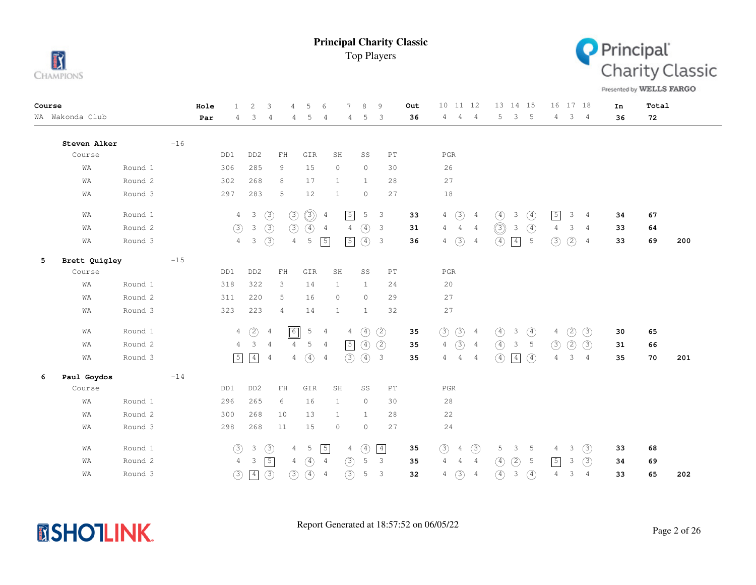



Presented by WELLS FARGO

| Course |                 |         |       | Hole | $\mathbf{1}$   | 2                       | 3              | 5<br>$\overline{4}$          | 6              | 7              | 8             | 9                          | Out | 10 11 12                          |                | 13 14 15                                   |                 | 16 17 18                       |                | In | Total |     |
|--------|-----------------|---------|-------|------|----------------|-------------------------|----------------|------------------------------|----------------|----------------|---------------|----------------------------|-----|-----------------------------------|----------------|--------------------------------------------|-----------------|--------------------------------|----------------|----|-------|-----|
|        | WA Wakonda Club |         |       | Par  | 4              | 3                       | 4              | 4<br>5                       | 4              | 4              | 5             | 3                          | 36  | 4<br>$\overline{4}$               | $\overline{4}$ | 5<br>3                                     | $-5$            | $4\phantom{0}$                 | 3 <sub>4</sub> | 36 | 72    |     |
|        | Steven Alker    |         | $-16$ |      |                |                         |                |                              |                |                |               |                            |     |                                   |                |                                            |                 |                                |                |    |       |     |
|        | Course          |         |       |      | DD1            | DD <sub>2</sub>         | FH             | GIR                          | SH             |                | SS            | $\mathop{\rm PT}\nolimits$ |     | $_{\rm PGR}$                      |                |                                            |                 |                                |                |    |       |     |
|        | WA              | Round 1 |       |      | 306            | 285                     | 9              | 15                           | $\circ$        |                | $\circ$       | 30                         |     | 26                                |                |                                            |                 |                                |                |    |       |     |
|        | WA              | Round 2 |       |      | 302            | 268                     | 8              | 17                           | 1              |                | $\mathbf{1}$  | 28                         |     | 27                                |                |                                            |                 |                                |                |    |       |     |
|        | WA              | Round 3 |       |      | 297            | 283                     | 5              | 12                           | $\mathbf{1}$   |                | $\circ$       | 27                         |     | 18                                |                |                                            |                 |                                |                |    |       |     |
|        | WA              | Round 1 |       |      | $\overline{4}$ | $\overline{\mathbf{3}}$ | $\circled{3}$  | $\circledS$<br>$\circled{3}$ | $\overline{4}$ | $\sqrt{5}$     | 5             | $\overline{3}$             | 33  | $\circled{3}$<br>$\overline{4}$   | $\frac{4}{3}$  | ④<br>3                                     | $\circled{4}$   | $\boxed{5}$<br>3               | $\overline{4}$ | 34 | 67    |     |
|        | WA              | Round 2 |       |      | (3)            | $\mathcal{E}$           | (3)            | (3)<br>$\circled{4}$         | $\overline{4}$ | $\overline{4}$ | $\circled{4}$ | $\overline{\mathbf{3}}$    | 31  | $\frac{4}{1}$<br>$\overline{4}$   | 4              | $\circledcirc$<br>$\overline{\mathbf{3}}$  | $\circled{4}$   | 3<br>4                         | 4              | 33 | 64    |     |
|        | WA              | Round 3 |       |      | $\overline{4}$ | 3                       | $\circled{3}$  | 5<br>$\overline{4}$          | $\sqrt{5}$     | $\sqrt{5}$     | $\circled{4}$ | $\overline{\mathbf{3}}$    | 36  | $\circled{3}$<br>$4\phantom{.00}$ | $\overline{4}$ | $\circled{4}$<br>$\boxed{4}$               | $5\phantom{.0}$ | $\circled{2}$<br>$\circled{3}$ | $\overline{4}$ | 33 | 69    | 200 |
| 5      | Brett Quigley   |         | $-15$ |      |                |                         |                |                              |                |                |               |                            |     |                                   |                |                                            |                 |                                |                |    |       |     |
|        | Course          |         |       |      | DD1            | DD <sub>2</sub>         | ${\rm FH}$     | GIR                          | SH             |                | SS            | PT                         |     | $_{\rm PGR}$                      |                |                                            |                 |                                |                |    |       |     |
|        | WA              | Round 1 |       |      | 318            | 322                     | 3              | 14                           | 1              |                | $\mathbf{1}$  | 24                         |     | 20                                |                |                                            |                 |                                |                |    |       |     |
|        | WA              | Round 2 |       |      | 311            | 220                     | 5              | 16                           | $\circ$        |                | $\circ$       | 29                         |     | 27                                |                |                                            |                 |                                |                |    |       |     |
|        | WA              | Round 3 |       |      | 323            | 223                     | 4              | 14                           | $\mathbf{1}$   |                | $\mathbf{1}$  | 32                         |     | 27                                |                |                                            |                 |                                |                |    |       |     |
|        | WA              | Round 1 |       |      | $\overline{4}$ | $\circled{2}$           | 4              | $\boxed{6}$<br>5             | $\overline{4}$ | 4              | $\circled{4}$ | (2)                        | 35  | $\circled{3}$<br>$\circled{3}$    | $\overline{4}$ | $\circled{4}$<br>3                         | $\circled{4}$   | $\circled{2}$<br>4             | (3)            | 30 | 65    |     |
|        | WA              | Round 2 |       |      | $\overline{4}$ | $\mathbf{3}$            | $\overline{4}$ | $\overline{4}$<br>5          | $\overline{4}$ | $\sqrt{5}$     | $\circled{4}$ | (2)                        | 35  | $\circled{3}$<br>$\,4$            | $\overline{4}$ | $\circled{4}$<br>$\ensuremath{\mathsf{3}}$ | 5               | (2)<br>(3)                     | (3)            | 31 | 66    |     |
|        | WA              | Round 3 |       |      | $\boxed{5}$    | $\sqrt{4}$              | 4              | $\circled{4}$<br>4           | 4              | (3)            | (4) 3         |                            | 35  | $\overline{4}$<br>$\overline{4}$  | $\overline{4}$ | (4)<br>$\boxed{4}$                         | $\circled{4}$   | 3<br>4                         | $\overline{4}$ | 35 | 70    | 201 |
| 6      | Paul Goydos     |         | $-14$ |      |                |                         |                |                              |                |                |               |                            |     |                                   |                |                                            |                 |                                |                |    |       |     |
|        | Course          |         |       |      | DD1            | DD <sub>2</sub>         | ${\rm FH}$     | GIR                          | SH             |                | SS            | $\mathop{\rm PT}\nolimits$ |     | $_{\rm PGR}$                      |                |                                            |                 |                                |                |    |       |     |
|        | WA              | Round 1 |       |      | 296            | 265                     | 6              | 16                           | 1              |                | $\circ$       | 30                         |     | 28                                |                |                                            |                 |                                |                |    |       |     |
|        | WA              | Round 2 |       |      | 300            | 268                     | 10             | 13                           | 1              |                | $\mathbf{1}$  | 28                         |     | 22                                |                |                                            |                 |                                |                |    |       |     |
|        | WA              | Round 3 |       |      | 298            | 268                     | 11             | 15                           | $\circ$        |                | $\circ$       | 27                         |     | 24                                |                |                                            |                 |                                |                |    |       |     |
|        | WA              | Round 1 |       |      | $\circled{3}$  | $\mathcal{E}$           | $\circled{3}$  | 5<br>$\overline{4}$          | $\sqrt{5}$     | $\overline{4}$ | $\circled{4}$ | $\boxed{4}$                | 35  | (3)<br>$\overline{4}$             | (3)            | 5<br>3                                     | 5               | 3<br>4                         | (3)            | 33 | 68    |     |
|        | WA              | Round 2 |       |      | $\overline{4}$ | 3                       | $\sqrt{5}$     | $\circled{4}$<br>4           | $\overline{4}$ | $\circled{3}$  | 5             | $\overline{3}$             | 35  | 4<br>$\overline{4}$               | $\overline{4}$ | (2)<br>$\circled{4}$                       | -5              | $\boxed{5}$<br>3               | (3)            | 34 | 69    |     |
|        | WA              | Round 3 |       |      | $\circled{3}$  | $\boxed{4}$             | $\circled{3}$  | (3)<br>(4)                   | $\overline{4}$ | $\circled{3}$  | 5             | 3                          | 32  | $\circled{3}$<br>4                | $\overline{4}$ | $\circled{4}$<br>$\mathcal{E}$             | $\circled{4}$   | 3<br>4                         | $\overline{4}$ | 33 | 65    | 202 |

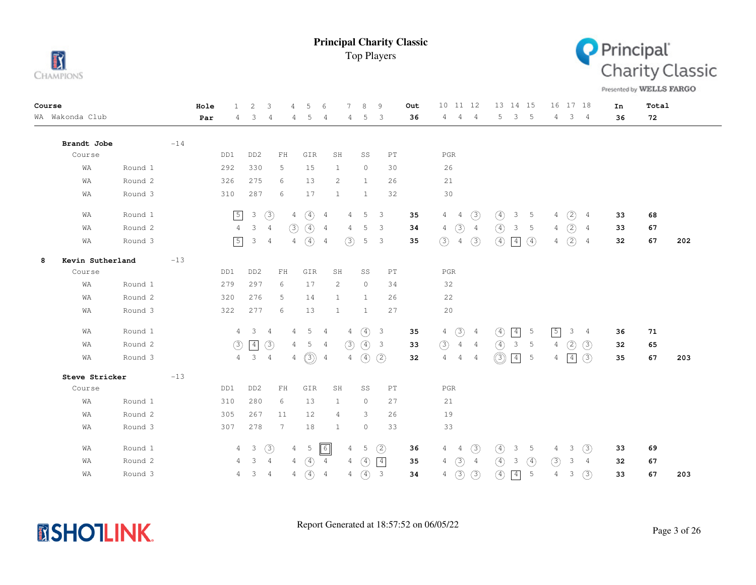



Presented by WELLS FARGO

| Course |                  |         |       | Hole | $\mathbf{1}$   | 2                       | 3               | $\overline{4}$ | 5                | 6              |                | $\mathcal{R}$ | 9                          | Out | 10 11 12                         |                | 13 14 15                        |               | 16 17 18       |               |                | In | Total |     |
|--------|------------------|---------|-------|------|----------------|-------------------------|-----------------|----------------|------------------|----------------|----------------|---------------|----------------------------|-----|----------------------------------|----------------|---------------------------------|---------------|----------------|---------------|----------------|----|-------|-----|
|        | WA Wakonda Club  |         |       | Par  | 4              | 3                       | 4               | 4              | 5                | $\overline{4}$ | 4              | 5             | 3                          | 36  | $\overline{4}$<br>4              | 4              | 5<br>3                          | $-5$          | $4\phantom{0}$ | $3 -$         | 4              | 36 | 72    |     |
|        | Brandt Jobe      |         | $-14$ |      |                |                         |                 |                |                  |                |                |               |                            |     |                                  |                |                                 |               |                |               |                |    |       |     |
|        | Course           |         |       |      | DD1            | DD <sub>2</sub>         | ${\rm FH}$      |                | GIR              | SH             |                | SS            | PT                         |     | PGR                              |                |                                 |               |                |               |                |    |       |     |
|        | WA               | Round 1 |       |      | 292            | 330                     | 5               |                | 15               | $\mathbf{1}$   |                | $\circ$       | 30                         |     | 26                               |                |                                 |               |                |               |                |    |       |     |
|        | WA               | Round 2 |       |      | 326            | 275                     | 6               |                | 13               | 2              |                | 1             | 26                         |     | 21                               |                |                                 |               |                |               |                |    |       |     |
|        | WA               | Round 3 |       |      | 310            | 287                     | 6               |                | 17               | 1              |                | $\mathbf{1}$  | 32                         |     | 30                               |                |                                 |               |                |               |                |    |       |     |
|        | WA               | Round 1 |       |      | $\sqrt{5}$     | $\mathbf{3}$            | $\circled{3}$   | $\overline{4}$ | $\circled{4}$    | 4              | 4              | 5             | 3                          | 35  | $\overline{4}$<br>$\overline{4}$ | (3)            | $\circled{4}$<br>3              | $-5$          | 4              | $\circled{2}$ | 4              | 33 | 68    |     |
|        | WA               | Round 2 |       |      | $\overline{4}$ | 3                       | $\overline{4}$  | (3)            | $\circled{4}$    | $\overline{4}$ | 4              | 5             | 3                          | 34  | $\circled{3}$<br>4               | $\overline{4}$ | $\circled{4}$<br>3              | 5             | 4              | $\circled{2}$ | $\overline{4}$ | 33 | 67    |     |
|        | WA               | Round 3 |       |      | $\boxed{5}$    | 3                       | $\overline{4}$  |                | $4\quad(4)$      | $\overline{4}$ | (3)            | 5             | 3                          | 35  | (3)<br>$\overline{4}$            | (3)            | $\boxed{4}$<br>$\circled{4}$    | $\circled{4}$ | 4              | (2)           | 4              | 32 | 67    | 202 |
| 8      | Kevin Sutherland |         | $-13$ |      |                |                         |                 |                |                  |                |                |               |                            |     |                                  |                |                                 |               |                |               |                |    |       |     |
|        | Course           |         |       |      | DD1            | DD <sub>2</sub>         | $\rm{FH}$       |                | GIR              | SH             |                | SS            | PT                         |     | $_{\rm PGR}$                     |                |                                 |               |                |               |                |    |       |     |
|        | WA               | Round 1 |       |      | 279            | 297                     | 6               |                | 17               | 2              |                | $\circ$       | 34                         |     | 32                               |                |                                 |               |                |               |                |    |       |     |
|        | WA               | Round 2 |       |      | 320            | 276                     | 5               |                | 14               | $\mathbf{1}$   |                | 1             | 26                         |     | 22                               |                |                                 |               |                |               |                |    |       |     |
|        | WA               | Round 3 |       |      | 322            | 277                     | 6               |                | 13               | $\mathbf{1}$   |                | $\mathbf{1}$  | 27                         |     | 20                               |                |                                 |               |                |               |                |    |       |     |
|        | WA               | Round 1 |       |      | $\overline{4}$ | $\overline{\mathbf{3}}$ | $\overline{4}$  | 4              | $5 -$            | $\overline{4}$ | $\overline{4}$ | $\circled{4}$ | $\overline{\mathbf{3}}$    | 35  | $\circled{3}$<br>$4\overline{ }$ | $\overline{4}$ | $\boxed{4}$<br>$\circled{4}$    | 5             | $\boxed{5}$    | 3             | $\overline{4}$ | 36 | 71    |     |
|        | WA               | Round 2 |       |      | (3)            | $\boxed{4}$             | $\circled{3}$   | $\overline{4}$ | 5                | 4              | (3)            | (4)           | $\overline{\mathbf{3}}$    | 33  | $\circled{3}$<br>$\overline{4}$  | $\overline{4}$ | $\circled{4}$<br>3              | -5            | 4              | (2)           | (3)            | 32 | 65    |     |
|        | WA               | Round 3 |       |      |                | $4 \quad 3 \quad 4$     |                 | 4              | $\circledS$      | $\overline{4}$ | 4              | $\circled{4}$ | (2)                        | 32  | $\overline{4}$<br>$\overline{4}$ | 4              | $\circledS$<br>$\left 4\right $ | 5             | 4              |               | (3)            | 35 | 67    | 203 |
|        | Steve Stricker   |         | $-13$ |      |                |                         |                 |                |                  |                |                |               |                            |     |                                  |                |                                 |               |                |               |                |    |       |     |
|        | Course           |         |       |      | DD1            | DD <sub>2</sub>         | $\rm{FH}$       |                | GIR              | SH             |                | SS            | $\mathop{\rm PT}\nolimits$ |     | $_{\rm PGR}$                     |                |                                 |               |                |               |                |    |       |     |
|        | WA               | Round 1 |       |      | 310            | 280                     | 6               |                | 13               | 1              |                | $\circ$       | 27                         |     | 21                               |                |                                 |               |                |               |                |    |       |     |
|        | WA               | Round 2 |       |      | 305            | 267                     | 11              |                | 12               | 4              |                | 3             | 26                         |     | 19                               |                |                                 |               |                |               |                |    |       |     |
|        | WA               | Round 3 |       |      | 307            | 278                     | $7\phantom{.0}$ |                | 18               | 1              |                | $\circ$       | 33                         |     | 33                               |                |                                 |               |                |               |                |    |       |     |
|        | WA               | Round 1 |       |      |                | $4\quad 3$              | $\circled{3}$   |                | $4\quad \  \, 5$ | 6              | 4              | 5             | (2)                        | 36  | $4\quad 4$                       | (3)            | $\circled{4}$<br>3              | $-5$          | 4              | 3             | (3)            | 33 | 69    |     |
|        | WA               | Round 2 |       |      | 4              | 3                       | $\overline{4}$  | $\overline{4}$ | $\circled{4}$    | 4              | $\overline{4}$ | $\circled{4}$ | $\boxed{4}$                | 35  | $\circled{3}$<br>4               | $\overline{4}$ | $\circled{4}$<br>3              | $\circled{4}$ | 3              | 3             | 4              | 32 | 67    |     |
|        | WA               | Round 3 |       |      | 4              | 3                       | $\overline{4}$  | 4              | $\circled{4}$    | $\sqrt{4}$     | 4              | $\circled{4}$ | $\overline{\mathbf{3}}$    | 34  | (3)<br>4                         | (3)            | $\circled{4}$<br>$\boxed{4}$    | 5             | 4              | 3             | (3)            | 33 | 67    | 203 |

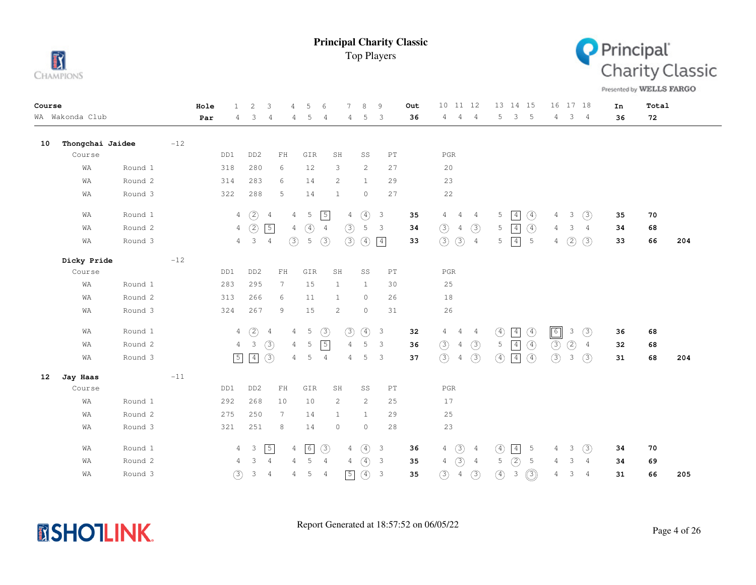



Presented by WELLS FARGO

| Course |                  |         |       | Hole | $\mathbf{1}$   | 2                   | 3<br>$\overline{4}$ | 5                                | 6              |                | $\mathcal{R}$<br>9                       |                            | Out | $10$ $11$ $12$                  |                | 13 14 15                                      | 16  17  18                             | In | Total |     |
|--------|------------------|---------|-------|------|----------------|---------------------|---------------------|----------------------------------|----------------|----------------|------------------------------------------|----------------------------|-----|---------------------------------|----------------|-----------------------------------------------|----------------------------------------|----|-------|-----|
|        | WA Wakonda Club  |         |       | Par  | 4              | 3                   | 4                   | 5<br>4                           | 4              | 4              | 5                                        | 3                          | 36  | $\overline{4}$<br>4             | $\overline{4}$ | 5<br>3<br>$-5$                                | 3 <sub>4</sub><br>4                    | 36 | 72    |     |
| 10     | Thongchai Jaidee |         | $-12$ |      |                |                     |                     |                                  |                |                |                                          |                            |     |                                 |                |                                               |                                        |    |       |     |
|        | Course           |         |       |      | DD1            | DD <sub>2</sub>     | ${\rm FH}$          | GIR                              | SH             |                | SS                                       | $\mathop{\rm PT}\nolimits$ |     | $_{\rm PGR}$                    |                |                                               |                                        |    |       |     |
|        | WA               | Round 1 |       |      | 318            | 280                 | 6                   | 12                               | 3              |                | 2                                        | 27                         |     | 20                              |                |                                               |                                        |    |       |     |
|        | WA               | Round 2 |       |      | 314            | 283                 | 6                   | 14                               | 2              |                | $\mathbf{1}$                             | 29                         |     | 23                              |                |                                               |                                        |    |       |     |
|        | WA               | Round 3 |       |      | 322            | 288                 | 5                   | 14                               | 1              |                | $\circ$                                  | 27                         |     | $2\sqrt{2}$                     |                |                                               |                                        |    |       |     |
|        | WA               | Round 1 |       |      | $\overline{4}$ | (2)                 | $\overline{4}$      | 5<br>$\overline{4}$              | $\sqrt{5}$     | $\overline{4}$ | $\circled{4}$<br>$\overline{\mathbf{3}}$ |                            | 35  | $\overline{4}$<br>4             | 4              | 5<br> 4 <br>$\circled{4}$                     | 3<br>(3)<br>4                          | 35 | 70    |     |
|        | WA               | Round 2 |       |      | $\overline{4}$ | (2)                 | $\boxed{5}$         | $\circled{4}$<br>$\overline{4}$  | $\overline{4}$ | (3)            | 5<br>$\overline{\mathbf{3}}$             |                            | 34  | (3)<br>$\overline{4}$           | (3)            | $\circled{4}$<br>$\boxed{4}$<br>5             | 3<br>4<br>$\overline{4}$               | 34 | 68    |     |
|        | WA               | Round 3 |       |      | $\overline{4}$ | 3                   | $\overline{4}$      | $\circled{3}$<br>5               | $\circled{3}$  | $\circled{3}$  | $\circled{4}$<br>$\boxed{4}$             |                            | 33  | (3)<br>$\circled{3}$            | $\overline{4}$ | 5<br>$\boxed{4}$<br>$5\phantom{.0}$           | $4\quad)$<br>(3)                       | 33 | 66    | 204 |
|        | Dicky Pride      |         | $-12$ |      |                |                     |                     |                                  |                |                |                                          |                            |     |                                 |                |                                               |                                        |    |       |     |
|        | Course           |         |       |      | DD1            | DD <sub>2</sub>     | ${\rm FH}$          | GIR                              | SH             |                | SS                                       | $\mathop{\rm PT}\nolimits$ |     | $_{\rm PGR}$                    |                |                                               |                                        |    |       |     |
|        | WA               | Round 1 |       |      | 283            | 295                 | $7\phantom{.0}$     | 15                               | $\mathbf{1}$   |                | $\mathbf{1}$                             | 30                         |     | 25                              |                |                                               |                                        |    |       |     |
|        | WA               | Round 2 |       |      | 313            | 266                 | 6                   | 11                               | 1              |                | $\circ$                                  | 26                         |     | $1\,8$                          |                |                                               |                                        |    |       |     |
|        | WA               | Round 3 |       |      | 324            | 267                 | 9                   | 15                               | 2              |                | $\circ$                                  | 31                         |     | 26                              |                |                                               |                                        |    |       |     |
|        | WA               | Round 1 |       |      | $\overline{4}$ | $\circled{2}$       | $\overline{4}$      | $\overline{5}$<br>$\overline{4}$ | $\circled{3}$  | $\circled{3}$  | ④<br>$\overline{\mathbf{3}}$             |                            | 32  | $\overline{4}$<br>4             | $\frac{4}{3}$  | $\circled{4}$<br>$\boxed{4}$<br>$\circled{4}$ | $\boxed{6}$<br>$\circled{3}$<br>3      | 36 | 68    |     |
|        | WA               | Round 2 |       |      | $\overline{4}$ | 3                   | (3)                 | $\overline{4}$<br>5              | $\sqrt{5}$     | $\overline{4}$ | 5                                        | 3                          | 36  | $\circled{3}$<br>$\overline{4}$ | $\circled{3}$  | $\circled{4}$<br>$\boxed{4}$<br>5             | $\circled{3}$<br>(2)<br>$\overline{4}$ | 32 | 68    |     |
|        | WA               | Round 3 |       |      | $\boxed{5}$    | $\sqrt{4}$          | $\circled{3}$       | 5<br>$\overline{4}$              | $\overline{4}$ | 4              | 5                                        | $\mathbf{3}$               | 37  | (3)<br>$\overline{4}$           | (3)            | $\boxed{4}$<br>$\circled{4}$<br>$\circled{4}$ | (3)<br>3<br>(3)                        | 31 | 68    | 204 |
| 12     | Jay Haas         |         | $-11$ |      |                |                     |                     |                                  |                |                |                                          |                            |     |                                 |                |                                               |                                        |    |       |     |
|        | Course           |         |       |      | DD1            | DD <sub>2</sub>     | ${\rm FH}$          | GIR                              | SH             |                | SS                                       | $\mathop{\rm PT}\nolimits$ |     | $_{\rm PGR}$                    |                |                                               |                                        |    |       |     |
|        | WA               | Round 1 |       |      | 292            | 268                 | 10                  | 10                               | 2              |                | 2                                        | 25                         |     | 17                              |                |                                               |                                        |    |       |     |
|        | WA               | Round 2 |       |      | 275            | 250                 | 7                   | 14                               | 1              |                | $\mathbf{1}$                             | 29                         |     | 25                              |                |                                               |                                        |    |       |     |
|        | WA               | Round 3 |       |      | 321            | 251                 | 8                   | 14                               | $\circ$        |                | $\circ$                                  | 28                         |     | 23                              |                |                                               |                                        |    |       |     |
|        | WA               | Round 1 |       |      | 4              | $\mathbf{3}$        | $\sqrt{5}$          | $\boxed{6}$<br>4                 | (3)            | 4              | $\circled{4}$<br>$\mathbf{3}$            |                            | 36  | $\circled{3}$<br>$\overline{4}$ | $\frac{4}{3}$  | $\boxed{4}$<br>$\circled{4}$<br>5             | (3)<br>3<br>$4 -$                      | 34 | 70    |     |
|        | WA               | Round 2 |       |      | 4              | 3<br>$\overline{4}$ |                     | 5<br>$\overline{4}$              | $\overline{4}$ | 4              | $\circled{4}$<br>$\overline{\mathbf{3}}$ |                            | 35  | (3)<br>4                        | $\overline{4}$ | (2)<br>5<br>5                                 | 3<br>$\overline{4}$<br>4               | 34 | 69    |     |
|        | WA               | Round 3 |       |      | $\circled{3}$  | $\mathsf 3$         | $\overline{4}$      | 5<br>4                           | 4              | $\sqrt{5}$     | $\circled{4}$<br>$\mathbf{3}$            |                            | 35  | $\circled{3}$<br>$\overline{4}$ | (3)            | $\circledS$<br>$\circled{4}$<br>3             | 3<br>$\overline{4}$<br>4               | 31 | 66    | 205 |

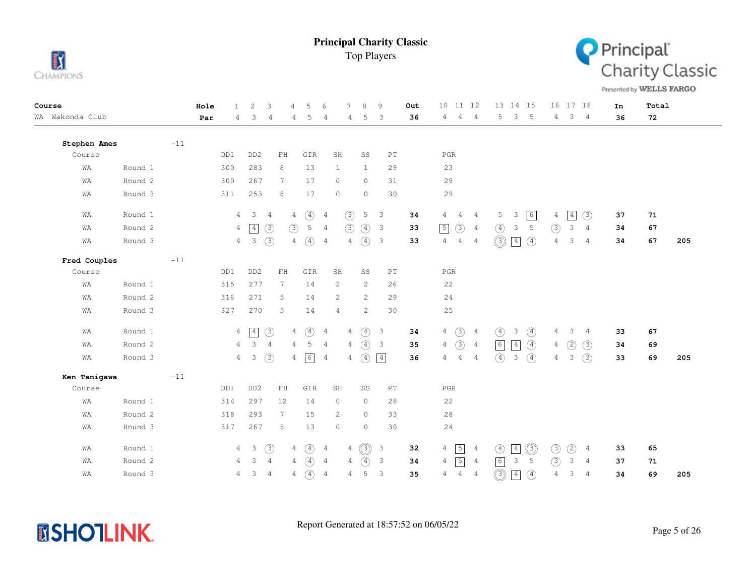



Presented by WELLS FARGO

| Course          |         |       | Hole | $\mathbf{1}$   | $\overline{\mathcal{L}}$ | 3                                                | 4              | 5             | 6                     | 7              | 8             | 9                          | Out | 11 12<br>10 <sup>°</sup>        |                | 13 14 15                      |               |                | 16 17 18       |                | In | Total |     |
|-----------------|---------|-------|------|----------------|--------------------------|--------------------------------------------------|----------------|---------------|-----------------------|----------------|---------------|----------------------------|-----|---------------------------------|----------------|-------------------------------|---------------|----------------|----------------|----------------|----|-------|-----|
| WA Wakonda Club |         |       | Par  | 4              | 3                        | 4                                                | 4              | 5             | $\overline{4}$        | 4              | 5             | 3                          | 36  | 4<br>$\overline{4}$             | $\overline{4}$ | 5<br>3                        | 5             | $4 -$          | 3              | $\overline{4}$ | 36 | 72    |     |
| Stephen Ames    |         | $-11$ |      |                |                          |                                                  |                |               |                       |                |               |                            |     |                                 |                |                               |               |                |                |                |    |       |     |
| Course          |         |       |      | DD1            | DD <sub>2</sub>          | ${\rm FH}$                                       |                | GIR           | SH                    |                | SS            | $\mathop{\rm PT}\nolimits$ |     | $_{\rm PGR}$                    |                |                               |               |                |                |                |    |       |     |
| WA              | Round 1 |       |      | 300            | 283                      | 8                                                |                | 13            | $\mathbf{1}$          |                | $\mathbf{1}$  | 29                         |     | 23                              |                |                               |               |                |                |                |    |       |     |
| WA              | Round 2 |       |      | 300            | 267                      | 7                                                |                | 17            | $\circ$               |                | $\circ$       | 31                         |     | 29                              |                |                               |               |                |                |                |    |       |     |
| WA              | Round 3 |       |      | 311            | 253                      | 8                                                |                | 17            | $\circ$               |                | $\circ$       | 30                         |     | 29                              |                |                               |               |                |                |                |    |       |     |
| WA              | Round 1 |       |      | $\overline{4}$ | 3                        | $\overline{4}$                                   | $\overline{4}$ | $\circled{4}$ | $\overline{4}$        | (3)            | 5             | $\overline{\mathbf{3}}$    | 34  | 4<br>4                          | $\overline{4}$ | 5<br>3                        | $\sqrt{6}$    | 4              | $\overline{4}$ | (3)            | 37 | 71    |     |
| WA              | Round 2 |       |      | $\overline{4}$ | $\sqrt{4}$               | $\circled{3}$                                    | (3)            | 5             | $\overline{4}$        | $\circled{3}$  | $\circled{4}$ | $\overline{\mathbf{3}}$    | 33  | $\boxed{5}$<br>$\circled{3}$    | $\overline{4}$ | 3<br>(4)                      | 5             | $\circledcirc$ | 3              | 4              | 34 | 67    |     |
| WA              | Round 3 |       |      | $\overline{4}$ | $\mathbf{3}$             | $\circled{3}$                                    | 4              | $\circled{4}$ | $\overline{4}$        | $\overline{4}$ | $\circ$       | $\overline{\mathbf{3}}$    | 33  | $\overline{4}$<br>4             | 4              | $\circledcirc$<br>$\boxed{4}$ | $\circled{4}$ | $\overline{4}$ | 3              | 4              | 34 | 67    | 205 |
| Fred Couples    |         | $-11$ |      |                |                          |                                                  |                |               |                       |                |               |                            |     |                                 |                |                               |               |                |                |                |    |       |     |
| Course          |         |       |      | DD1            | DD <sub>2</sub>          | $\mathop{\rm F}\nolimits\mathop{\rm H}\nolimits$ |                | GIR           | SH                    |                | SS            | $\mathop{\rm PT}\nolimits$ |     | $_{\rm PGR}$                    |                |                               |               |                |                |                |    |       |     |
| WA              | Round 1 |       |      | 315            | 277                      | 7                                                |                | 14            | $\mathbf{2}$          |                | 2             | 26                         |     | 22                              |                |                               |               |                |                |                |    |       |     |
| WA              | Round 2 |       |      | 316            | 271                      | 5                                                |                | 14            | $\mathbf{2}^{\prime}$ |                | 2             | 29                         |     | 24                              |                |                               |               |                |                |                |    |       |     |
| WA              | Round 3 |       |      | 327            | 270                      | 5                                                |                | 14            | $\overline{4}$        |                | 2             | 30                         |     | $2\,5$                          |                |                               |               |                |                |                |    |       |     |
| WA              | Round 1 |       |      | $\overline{4}$ | $\boxed{4}$              | $\circled{3}$                                    | 4              | $\circled{4}$ | $\overline{4}$        | $\overline{4}$ | $\circled{4}$ | $\overline{\mathbf{3}}$    | 34  | $\circled{3}$<br>$\overline{4}$ | $\overline{4}$ | $\circled{4}$<br>3            | $\circled{4}$ | 4              | 3              | 4              | 33 | 67    |     |
| WA              | Round 2 |       |      | $\overline{4}$ | $\mathcal{S}$            | $\overline{4}$                                   | $\overline{4}$ | 5             | $\overline{4}$        | 4              | $\circled{4}$ | $\overline{\mathbf{3}}$    | 35  | $\circled{3}$<br>$\overline{4}$ | $\overline{4}$ | $\boxed{6}$<br>$\boxed{4}$    | $\circled{4}$ | 4              | $\circled{2}$  | (3)            | 34 | 69    |     |
| WA              | Round 3 |       |      | $\overline{4}$ | $\mathcal{E}$            | (3)                                              | 4              | 6             | $\overline{4}$        | 4              | (4)           | $\boxed{4}$                | 36  | 4<br>$\overline{4}$             | $\overline{4}$ | (4)<br>$\mathbf{3}$           | (4)           | $\overline{4}$ | 3              | (3)            | 33 | 69    | 205 |
| Ken Tanigawa    |         | $-11$ |      |                |                          |                                                  |                |               |                       |                |               |                            |     |                                 |                |                               |               |                |                |                |    |       |     |
| Course          |         |       |      | DD1            | DD <sub>2</sub>          | $\mathbf{FH}$                                    |                | GIR           | SH                    |                | SS            | $\mathop{\rm PT}\nolimits$ |     | $_{\rm PGR}$                    |                |                               |               |                |                |                |    |       |     |
| WA              | Round 1 |       |      | 314            | 297                      | 12                                               |                | 14            | $\circ$               |                | $\circ$       | 28                         |     | 22                              |                |                               |               |                |                |                |    |       |     |
| WA              | Round 2 |       |      | 318            | 293                      | $7\phantom{.0}$                                  |                | 15            | $\mathbf{2}^{\prime}$ |                | $\circ$       | 33                         |     | 28                              |                |                               |               |                |                |                |    |       |     |
| WA              | Round 3 |       |      | 317            | 267                      | 5                                                |                | 13            | $\circ$               |                | $\circ$       | 30                         |     | 24                              |                |                               |               |                |                |                |    |       |     |
| WA              | Round 1 |       |      | $\overline{4}$ | $\overline{\mathbf{3}}$  | (3)                                              | 4              | $\circled{4}$ | $\overline{4}$        | 4              | ◎             | $\mathcal{E}$              | 32  | $\sqrt{5}$<br>$\overline{4}$    | $\overline{4}$ | $\boxed{4}$<br>$\circled{4}$  | ◎             | $\circled{3}$  | ②              | $\overline{4}$ | 33 | 65    |     |
| WA              | Round 2 |       |      | 4              | 3                        | $\overline{4}$                                   | 4              | $\circled{4}$ | $\overline{4}$        | $\overline{4}$ | $\circled{4}$ | $\overline{\mathbf{3}}$    | 34  | $\sqrt{5}$<br>4                 | $\overline{4}$ | $\boxed{6}$<br>3              | 5             | (3)            | $\mathbf{3}$   | $\overline{4}$ | 37 | 71    |     |
| WA              | Round 3 |       |      | 4              | 3                        | $\overline{4}$                                   | 4              | $\circled{4}$ | $\overline{4}$        | 4              | 5             | $\mathsf 3$                | 35  | $\overline{4}$<br>4             | $\overline{4}$ | $\circledS$<br>$\boxed{4}$    | $\circled{4}$ | $\overline{4}$ | 3              | 4              | 34 | 69    | 205 |

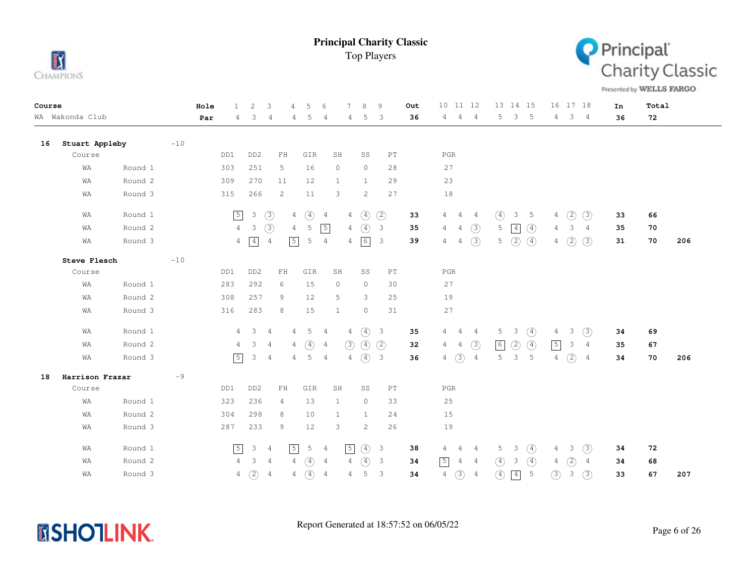



Presented by WELLS FARGO

| Course |                 |         |       | Hole | $\mathbf{1}$   | 2               | 3                          | $\overline{4}$ | 5             | 6              |                | $\mathcal{R}$ | 9                          | Out | 10 11 12                         |                |               | 13 14 15    |                |                | 16 17 18      |                | In | Total |     |
|--------|-----------------|---------|-------|------|----------------|-----------------|----------------------------|----------------|---------------|----------------|----------------|---------------|----------------------------|-----|----------------------------------|----------------|---------------|-------------|----------------|----------------|---------------|----------------|----|-------|-----|
|        | WA Wakonda Club |         |       | Par  | 4              | 3               | $\overline{4}$             | 4              | 5             | 4              | 4              | 5             | 3                          | 36  | $\overline{4}$<br>4              | $\overline{4}$ | 5             | 3           | $-5$           | 4              | $3 -$         | 4              | 36 | 72    |     |
| 16     | Stuart Appleby  |         | $-10$ |      |                |                 |                            |                |               |                |                |               |                            |     |                                  |                |               |             |                |                |               |                |    |       |     |
|        | Course          |         |       |      | DD1            | DD <sub>2</sub> | ${\rm FH}$                 |                | GIR           | SH             |                | SS            | $\mathop{\rm PT}\nolimits$ |     | $_{\rm PGR}$                     |                |               |             |                |                |               |                |    |       |     |
|        | WA              | Round 1 |       |      | 303            | 251             | 5                          |                | 16            | $\circ$        |                | $\circ$       | 28                         |     | 27                               |                |               |             |                |                |               |                |    |       |     |
|        | WA              | Round 2 |       |      | 309            | 270             | 11                         |                | 12            | 1              |                | $\mathbf{1}$  | 29                         |     | 23                               |                |               |             |                |                |               |                |    |       |     |
|        | WA              | Round 3 |       |      | 315            | 266             | 2                          |                | 11            | 3              |                | 2             | 27                         |     | 18                               |                |               |             |                |                |               |                |    |       |     |
|        | WA              | Round 1 |       |      | $\sqrt{5}$     | $\mathcal{E}$   | $\circled{3}$              | 4              | $\circled{4}$ | 4              | $\overline{4}$ | $\circled{4}$ | (2)                        | 33  | 4<br>4                           | 4              | $\circled{4}$ | 3           | $5^{\circ}$    | 4              | (2)           | (3)            | 33 | 66    |     |
|        | WA              | Round 2 |       |      | $\overline{4}$ | 3               | (3)                        | 4              | 5             | $\sqrt{5}$     | 4              | $\circled{4}$ | $\overline{\mathbf{3}}$    | 35  | $\overline{4}$<br>$\overline{4}$ | (3)            | 5             | $\boxed{4}$ | $\circled{4}$  | 4              | 3             | 4              | 35 | 70    |     |
|        | WA              | Round 3 |       |      | $\overline{4}$ | $\sqrt{4}$      | $\overline{4}$             | $\sqrt{5}$     | 5             | 4              | 4              | $\boxed{6}$   | 3                          | 39  | 4<br>4                           | (3)            | 5             | (2)         | $\circled{4}$  | 4              | $\circled{2}$ | (3)            | 31 | 70    | 206 |
|        | Steve Flesch    |         | $-10$ |      |                |                 |                            |                |               |                |                |               |                            |     |                                  |                |               |             |                |                |               |                |    |       |     |
|        | Course          |         |       |      | DD1            | DD <sub>2</sub> | $\mathbb{F} \, \mathbb{H}$ |                | GIR           | SH             |                | SS            | $\mathop{\rm PT}\nolimits$ |     | $_{\rm PGR}$                     |                |               |             |                |                |               |                |    |       |     |
|        | WA              | Round 1 |       |      | 283            | 292             | 6                          |                | 15            | $\circ$        |                | $\circ$       | 30                         |     | 27                               |                |               |             |                |                |               |                |    |       |     |
|        | WA              | Round 2 |       |      | 308            | 257             | 9                          |                | 12            | 5              |                | 3             | 25                         |     | 19                               |                |               |             |                |                |               |                |    |       |     |
|        | WA              | Round 3 |       |      | 316            | 283             | 8                          |                | 15            | 1              |                | $\circ$       | 31                         |     | 27                               |                |               |             |                |                |               |                |    |       |     |
|        | WA              | Round 1 |       |      | 4              | $\mathcal{S}$   | $\overline{4}$             | 4              | $5 -$         | $\overline{4}$ | $4 -$          | $\circled{4}$ | $\overline{\mathbf{3}}$    | 35  | $4\quad 4$                       | $\frac{4}{3}$  | 5             | 3           | $\circled{4}$  | 4              | 3             | (3)            | 34 | 69    |     |
|        | WA              | Round 2 |       |      | 4              | 3               | $\overline{4}$             | 4              | $\circled{4}$ | 4              | (3)            | $\circled{4}$ | (2)                        | 32  | $\overline{4}$<br>$\overline{4}$ | (3)            | $\sqrt{6}$    | (2)         | $\circled{4}$  | $\sqrt{5}$     | 3             | 4              | 35 | 67    |     |
|        | WA              | Round 3 |       |      | $\boxed{5}$    | 3               | $\overline{4}$             | 4              | 5             | 4              | 4              | $\circled{4}$ | $\overline{\mathbf{3}}$    | 36  | $\circled{3}$<br>$\overline{4}$  | $\overline{4}$ | 5             | 3           | $5^{\circ}$    | $\overline{4}$ | $\circled{2}$ | $\overline{4}$ | 34 | 70    | 206 |
| 18     | Harrison Frazar |         | $-9$  |      |                |                 |                            |                |               |                |                |               |                            |     |                                  |                |               |             |                |                |               |                |    |       |     |
|        | Course          |         |       |      | DD1            | DD <sub>2</sub> | ${\rm FH}$                 |                | GIR           | SH             |                | SS            | $\mathop{\rm PT}\nolimits$ |     | $_{\rm PGR}$                     |                |               |             |                |                |               |                |    |       |     |
|        | WA              | Round 1 |       |      | 323            | 236             | 4                          |                | 13            | 1              |                | $\circ$       | 33                         |     | 25                               |                |               |             |                |                |               |                |    |       |     |
|        | WA              | Round 2 |       |      | 304            | 298             | 8                          |                | 10            | 1              |                | 1             | 24                         |     | 15                               |                |               |             |                |                |               |                |    |       |     |
|        | WA              | Round 3 |       |      | 287            | 233             | 9                          |                | 12            | 3              |                | 2             | 26                         |     | 19                               |                |               |             |                |                |               |                |    |       |     |
|        | WA              | Round 1 |       |      | $\sqrt{5}$     | 3               | $\overline{4}$             | $\sqrt{5}$     | $\mathsf S$   | 4              | $\sqrt{5}$     | $\circled{4}$ | $\overline{\mathbf{3}}$    | 38  | 4<br>4                           | 4              | 5             | 3           | $\circled{4}$  | 4              | 3             | (3)            | 34 | 72    |     |
|        | WA              | Round 2 |       |      | 4              | 3               | $\overline{4}$             | 4              | $\circled{4}$ | 4              | $4^{\circ}$    | $\circled{4}$ | $\overline{\mathbf{3}}$    | 34  | $\sqrt{5}$<br>4                  | 4              | $\circled{4}$ | 3           | $\circled{4}$  | 4              | (2)           | 4              | 34 | 68    |     |
|        | WA              | Round 3 |       |      | 4              | (2)             | $\overline{4}$             | 4              | $\circled{4}$ | 4              | 4              | 5             | $\mathbf{3}$               | 34  | $\circled{3}$<br>$\overline{4}$  | $\overline{4}$ | $\circled{4}$ | $\boxed{4}$ | $\overline{5}$ | $\circled{3}$  | $\mathsf 3$   | (3)            | 33 | 67    | 207 |

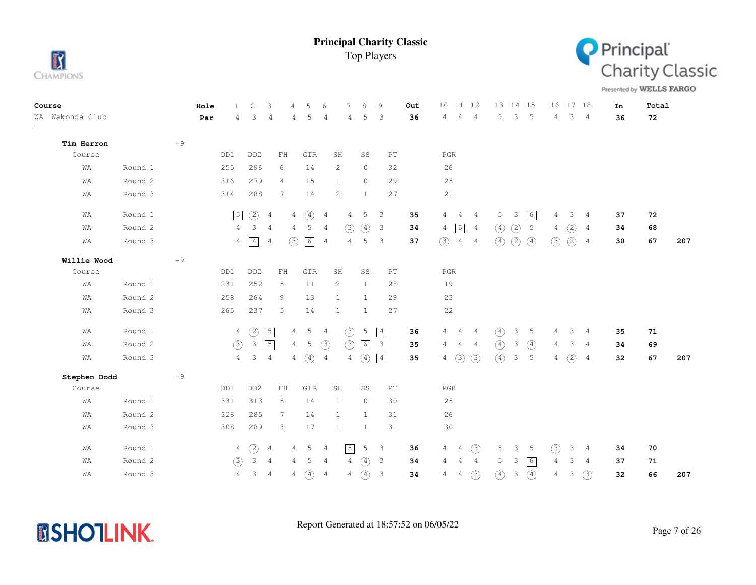



Presented by WELLS FARGO

| Course          |         |      | Hole | 1              | 2                         | 3              |                 | .5            | 6              |                | 8                | 9                          | Out | 10 11 12       |                |                |               |               | 13 14 15        |                | 16 17 18     |                | In | Total |     |
|-----------------|---------|------|------|----------------|---------------------------|----------------|-----------------|---------------|----------------|----------------|------------------|----------------------------|-----|----------------|----------------|----------------|---------------|---------------|-----------------|----------------|--------------|----------------|----|-------|-----|
| WA Wakonda Club |         |      | Par  | 4              | 3                         | 4              | 4               | 5             | 4              | 4              | 5                | 3                          | 36  | 4              | 4              | 4              | 5             | $\mathcal{S}$ | $5^{\circ}$     | $\overline{4}$ | $\mathbf{3}$ | $\overline{4}$ | 36 | 72    |     |
| Tim Herron      |         | $-9$ |      |                |                           |                |                 |               |                |                |                  |                            |     |                |                |                |               |               |                 |                |              |                |    |       |     |
| Course          |         |      |      | DD1            | DD <sub>2</sub>           |                | ${\rm FH}$      | GIR           |                | SH             | SS               | $\mathop{\rm PT}\nolimits$ |     | $_{\rm PGR}$   |                |                |               |               |                 |                |              |                |    |       |     |
| WA              | Round 1 |      |      | 255            | 296                       | 6              |                 | 14            |                | 2              | $\circ$          | 32                         |     | 26             |                |                |               |               |                 |                |              |                |    |       |     |
| WA              | Round 2 |      |      | 316            | 279                       |                | $\overline{4}$  | 15            |                | $\mathbf{1}$   | $\circ$          | 29                         |     | 25             |                |                |               |               |                 |                |              |                |    |       |     |
| WA              | Round 3 |      |      | 314            | 288                       |                | 7               | 14            |                | $\overline{c}$ | $\mathbf{1}$     | 27                         |     | 21             |                |                |               |               |                 |                |              |                |    |       |     |
| WA              | Round 1 |      |      | $\sqrt{5}$     | (2)                       | 4              | 4               | $\circ$       | 4              | $\overline{4}$ | 5                | 3                          | 35  | 4              | 4              | 4              | 5             | 3             | $\boxed{6}$     | 4              | 3            | $\frac{4}{3}$  | 37 | 72    |     |
| WA              | Round 2 |      |      | $\overline{4}$ | 3                         | $\overline{4}$ | 4               | 5             | $\overline{4}$ | (3)            | $\circled{4}$    | $\overline{\mathbf{3}}$    | 34  | $\overline{4}$ | $\sqrt{5}$     | 4              | $\circled{4}$ | (2)           | $5\phantom{.0}$ | 4              | (2)          | 4              | 34 | 68    |     |
| WA              | Round 3 |      |      | $\overline{4}$ | $\boxed{4}$               | 4              | ③               | 6             | $\overline{4}$ | $\overline{4}$ | 5                | 3                          | 37  | (3)            | $\overline{4}$ | $\overline{4}$ | $\circled{4}$ | (2)           | $\circled{4}$   | $\circled{3}$  | (2)          | $\overline{4}$ | 30 | 67    | 207 |
| Willie Wood     |         | $-9$ |      |                |                           |                |                 |               |                |                |                  |                            |     |                |                |                |               |               |                 |                |              |                |    |       |     |
| Course          |         |      |      | DD1            | DD <sub>2</sub>           |                | ${\rm FH}$      | GIR           |                | SH             | SS               | $\mathop{\rm PT}\nolimits$ |     | PGR            |                |                |               |               |                 |                |              |                |    |       |     |
| WA              | Round 1 |      |      | 231            | 252                       | 5              |                 | 11            |                | 2              | $\mathbf{1}$     | 28                         |     | 19             |                |                |               |               |                 |                |              |                |    |       |     |
| WA              | Round 2 |      |      | 258            | 264                       | 9              |                 | 13            |                | $\mathbf{1}$   | $\mathbf{1}$     | 29                         |     | 23             |                |                |               |               |                 |                |              |                |    |       |     |
| WA              | Round 3 |      |      | 265            | 237                       |                | 5               | 14            |                | $\mathbf{1}$   | $\mathbf{1}$     | 27                         |     | $2\sqrt{2}$    |                |                |               |               |                 |                |              |                |    |       |     |
| WA              | Round 1 |      |      | $\overline{4}$ | $\circled{2}$             | $\sqrt{5}$     | $\overline{4}$  | 5             | $\overline{4}$ | $\circled{3}$  | 5                | $\boxed{4}$                | 36  | 4              | 4              | $\overline{4}$ | $\circled{4}$ | 3             | 5               | 4              | 3            | $\frac{4}{3}$  | 35 | 71    |     |
| WA              | Round 2 |      |      | (3)            | $\ensuremath{\mathsf{3}}$ | $\sqrt{5}$     | $\overline{4}$  | 5             | $\circled{3}$  | (3)            | $6 \overline{6}$ | $\overline{\mathbf{3}}$    | 35  | 4              | 4              | $\overline{4}$ | $\circled{4}$ | 3             | $\circled{4}$   | $\overline{4}$ | 3            | 4              | 34 | 69    |     |
| WA              | Round 3 |      |      | 4              | 3                         | $\overline{4}$ | $4^{\circ}$     | $\circled{4}$ | $\overline{4}$ | 4              | $\circled{4}$    | $\vert 4 \vert$            | 35  | 4              | (3)            | (3)            | $\circled{4}$ | 3             | 5               | $\overline{4}$ | (2)          | 4              | 32 | 67    | 207 |
| Stephen Dodd    |         | $-9$ |      |                |                           |                |                 |               |                |                |                  |                            |     |                |                |                |               |               |                 |                |              |                |    |       |     |
| Course          |         |      |      | DD1            | DD <sub>2</sub>           |                | ${\rm FH}$      | GIR           |                | SH             | SS               | $\mathop{\rm PT}\nolimits$ |     | $_{\rm PGR}$   |                |                |               |               |                 |                |              |                |    |       |     |
| WA              | Round 1 |      |      | 331            | 313                       | 5              |                 | 14            |                | 1              | $\circ$          | 30                         |     | 25             |                |                |               |               |                 |                |              |                |    |       |     |
| WA              | Round 2 |      |      | 326            | 285                       |                | $7\phantom{.0}$ | 14            |                | $\mathbf{1}$   | $\mathbf{1}$     | 31                         |     | 26             |                |                |               |               |                 |                |              |                |    |       |     |
| WA              | Round 3 |      |      | 308            | 289                       | 3              |                 | 17            |                | $\mathbf{1}$   | $\mathbf{1}$     | 31                         |     | 30             |                |                |               |               |                 |                |              |                |    |       |     |
| WA              | Round 1 |      |      | 4              | $\circled{2}$             | 4              | 4               | 5             | 4              | $\sqrt{5}$     | 5                | $\overline{3}$             | 36  | 4              | 4              | (3)            | 5             | 3             | 5               | (3)            | 3            | $\frac{4}{3}$  | 34 | 70    |     |
| WA              | Round 2 |      |      | (3)            | 3                         | $\overline{4}$ | 4               | 5             | $\overline{4}$ | $\overline{4}$ | 4                | $\overline{\mathbf{3}}$    | 34  | 4              | $\overline{4}$ | $\overline{4}$ | 5             | 3             | $\sqrt{6}$      | 4              | 3            | $\overline{4}$ | 37 | 71    |     |
| WA              | Round 3 |      |      | 4              | $\mathbf{3}$              | $\overline{4}$ | 4               | $\circled{4}$ | $\overline{4}$ | 4              | $\circled{4}$    | 3                          | 34  | 4              | $\overline{4}$ | (3)            | $\circled{4}$ | 3             | $\circled{4}$   | $\overline{4}$ | 3            | (3)            | 32 | 66    | 207 |

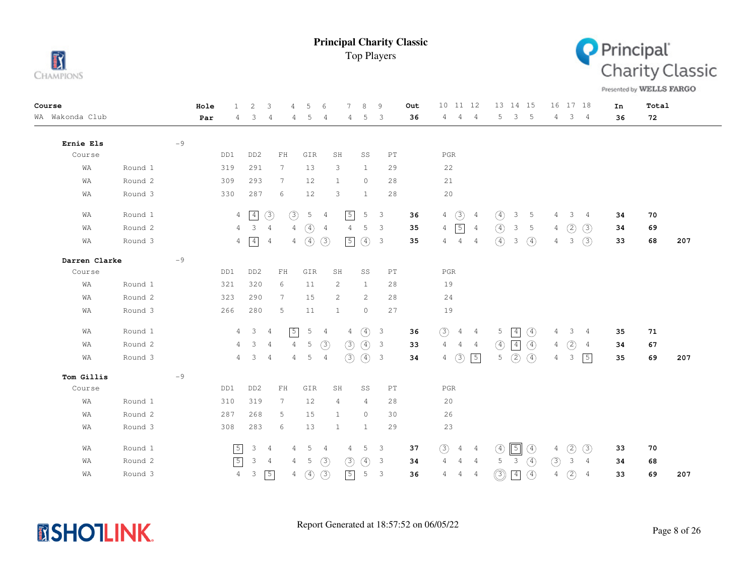



Presented by WELLS FARGO

| Course          |         |      | Hole | $\mathbf{1}$   | 2               | 3                                                | 4               | 5             | -6              | $\overline{7}$ | 8             | 9                        | Out | 10 11 12       |                |                |               | 13 14 15    |               |                | 16 17 18       |                 | In | Total |     |
|-----------------|---------|------|------|----------------|-----------------|--------------------------------------------------|-----------------|---------------|-----------------|----------------|---------------|--------------------------|-----|----------------|----------------|----------------|---------------|-------------|---------------|----------------|----------------|-----------------|----|-------|-----|
| WA Wakonda Club |         |      | Par  | 4              | 3               | 4                                                | 4               | 5             | 4               | 4              | 5             | $\overline{3}$           | 36  | $4\quad 4$     |                | $\frac{4}{3}$  | 5             | 3           | $-5$          | 4              | 3 <sub>4</sub> |                 | 36 | 72    |     |
|                 |         |      |      |                |                 |                                                  |                 |               |                 |                |               |                          |     |                |                |                |               |             |               |                |                |                 |    |       |     |
| Ernie Els       |         | $-9$ |      |                |                 |                                                  |                 |               |                 |                |               |                          |     |                |                |                |               |             |               |                |                |                 |    |       |     |
| Course          |         |      |      | DD1            | DD <sub>2</sub> | ${\rm FH}$                                       |                 | GIR           |                 | SH             | SS            | PT                       |     | <b>PGR</b>     |                |                |               |             |               |                |                |                 |    |       |     |
| WA              | Round 1 |      |      | 319            | 291             | $7\phantom{.}$                                   |                 | 13            |                 | 3              | $\mathbf{1}$  | 29                       |     | 22             |                |                |               |             |               |                |                |                 |    |       |     |
| WA              | Round 2 |      |      | 309            | 293             | $7\phantom{.0}$                                  |                 | 12            |                 | $\mathbf{1}$   | $\circ$       | 28                       |     | 21             |                |                |               |             |               |                |                |                 |    |       |     |
| WA              | Round 3 |      |      | 330            | 287             | 6                                                |                 | 12            |                 | 3              | $\mathbf{1}$  | 28                       |     | 20             |                |                |               |             |               |                |                |                 |    |       |     |
| WA              | Round 1 |      |      |                | $4 \mid 4$      | (3)                                              | $\circled{3}$   | $5\quad 4$    |                 | $\boxed{5}$    | 5             | $\overline{\phantom{a}}$ | 36  | $\overline{4}$ | $\circled{3}$  | $\overline{4}$ | $\circled{4}$ | 3           | -5            | 4              | 3              | $\frac{4}{3}$   | 34 | 70    |     |
| WA              | Round 2 |      |      | 4              | 3               | 4                                                | 4               | $\circ$       | $\frac{4}{3}$   | 4              | 5             | -3                       | 35  | 4              | $\boxed{5}$ 4  |                | $\circ$       | 3           | 5             | 4              | (2)            | (3)             | 34 | 69    |     |
| WA              | Round 3 |      |      |                | $4 \mid 4$      | $\frac{4}{3}$                                    |                 | $4\quad(4)$   | (3)             | $\boxed{5}$    | $\circled{4}$ | $\overline{3}$           | 35  | 4              | $\overline{4}$ | $\frac{4}{3}$  | $\circ$       | 3           | $\circ$       | 4              | 3              | (3)             | 33 | 68    | 207 |
| Darren Clarke   |         | $-9$ |      |                |                 |                                                  |                 |               |                 |                |               |                          |     |                |                |                |               |             |               |                |                |                 |    |       |     |
| Course          |         |      |      | DD1            | DD <sub>2</sub> | ${\rm FH}$                                       |                 | GIR           |                 | SH             | SS            | PT                       |     | $_{\rm PGR}$   |                |                |               |             |               |                |                |                 |    |       |     |
| WA              | Round 1 |      |      | 321            | 320             | 6                                                |                 | 11            |                 | 2              | $\mathbf{1}$  | 28                       |     | 19             |                |                |               |             |               |                |                |                 |    |       |     |
| WA              | Round 2 |      |      | 323            | 290             | $7\phantom{.0}$                                  |                 | 15            |                 | 2              | 2             | 28                       |     | 24             |                |                |               |             |               |                |                |                 |    |       |     |
| WA              | Round 3 |      |      | 266            | 280             | 5                                                |                 | 11            |                 | $\mathbf{1}$   | $\circ$       | 27                       |     | 19             |                |                |               |             |               |                |                |                 |    |       |     |
| WA              | Round 1 |      |      |                | $4 \quad 3$     | $\overline{4}$                                   | $\sqrt{5}$      | $5\quad 4$    |                 | $\overline{4}$ | $\circled{4}$ | $\overline{\mathbf{3}}$  | 36  | (3)            | $4\quad 4$     |                | 5             | $\boxed{4}$ | $\circled{4}$ | 4              | $\mathcal{S}$  | $\frac{4}{3}$   | 35 | 71    |     |
| WA              | Round 2 |      |      | $\overline{4}$ | $\overline{3}$  | $\overline{4}$                                   | $\overline{4}$  | 5             | $(\mathcal{3})$ | (3)            | $\circled{4}$ | 3                        | 33  | 4              | $4\quad 4$     |                | $\circ$       | 4           | $\circ$       | $\overline{4}$ | $\circled{2}$  | 4               | 34 | 67    |     |
| WA              | Round 3 |      |      |                | $4 \quad 3$     | $\overline{4}$                                   | $4\overline{ }$ | $5\quad 4$    |                 | (3)            | (4)           | $\overline{\mathbf{3}}$  | 34  | $\overline{4}$ | (3)            | $\boxed{5}$    | 5             | (2)         | $\circ$       | $\overline{4}$ | 3              | $\vert 5 \vert$ | 35 | 69    | 207 |
| Tom Gillis      |         | $-9$ |      |                |                 |                                                  |                 |               |                 |                |               |                          |     |                |                |                |               |             |               |                |                |                 |    |       |     |
| Course          |         |      |      | DD1            | DD <sub>2</sub> | $\mathop{\rm F}\nolimits\mathop{\rm H}\nolimits$ |                 | GIR           |                 | SH             | SS            | PT                       |     | $_{\rm PGR}$   |                |                |               |             |               |                |                |                 |    |       |     |
| WA              | Round 1 |      |      | 310            | 319             | 7                                                |                 | 12            |                 | 4              | 4             | 28                       |     | 20             |                |                |               |             |               |                |                |                 |    |       |     |
| WA              | Round 2 |      |      | 287            | 268             | 5                                                |                 | 15            |                 | $\mathbf{1}$   | $\circ$       | 30                       |     | 26             |                |                |               |             |               |                |                |                 |    |       |     |
| WA              | Round 3 |      |      | 308            | 283             | 6                                                |                 | 13            |                 | $\mathbf{1}$   | $\mathbf{1}$  | 29                       |     | 23             |                |                |               |             |               |                |                |                 |    |       |     |
| WA              | Round 1 |      |      | $\boxed{5}$    | 3               | - 4                                              | 4               | 5             | $\frac{4}{3}$   | 4              | 5             | $\overline{\phantom{a}}$ | 37  | (3)            | 4 4            |                | (4)           | $\boxed{5}$ | $\circled{4}$ | 4              | (2)            | $\circled{3}$   | 33 | 70    |     |
| WA              | Round 2 |      |      | $\sqrt{5}$     | 3               | $\overline{4}$                                   | 4               | 5             | (3)             | (3)            | $\circled{4}$ | 3                        | 34  | 4              | 4 4            |                | 5             | 3           | $\circ$       | (3)            | 3              | 4               | 34 | 68    |     |
| WA              | Round 3 |      |      | $\overline{4}$ | $\mathcal{E}$   | $\sqrt{5}$                                       | $\overline{4}$  | $\circled{4}$ | (3)             | $\boxed{5}$    | $\mathsf S$   | $\overline{\phantom{a}}$ | 36  | 4              | $\overline{4}$ | $\overline{4}$ | ◎             | $\boxed{4}$ | $\circled{4}$ | $\sqrt{4}$     | (2)            | $\overline{4}$  | 33 | 69    | 207 |

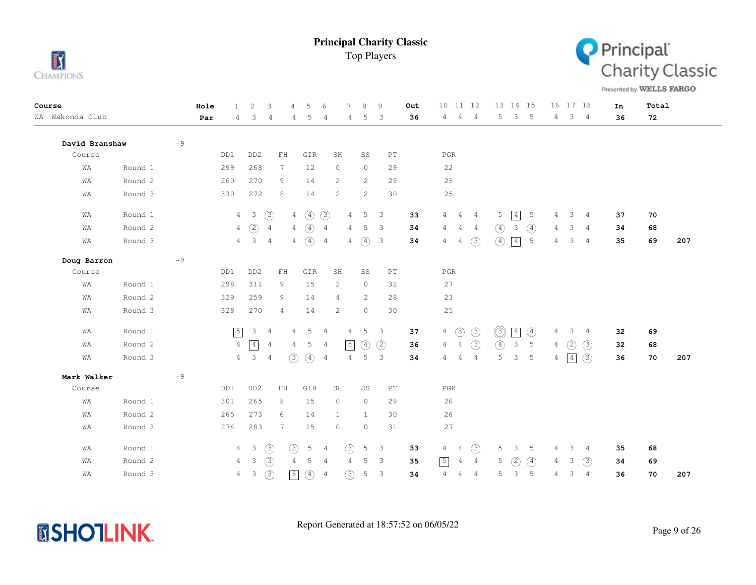



Presented by WELLS FARGO

| Course          |         |      | Hole | 1              | 2                        | 3              | 4                                                | 5                | 6              | 7                     | 8            | 9                          | Out |                | 10 11 12       |                |                | 13 14 15        |                 |                | 16 17 18            |                | In | Total |     |
|-----------------|---------|------|------|----------------|--------------------------|----------------|--------------------------------------------------|------------------|----------------|-----------------------|--------------|----------------------------|-----|----------------|----------------|----------------|----------------|-----------------|-----------------|----------------|---------------------|----------------|----|-------|-----|
| WA Wakonda Club |         |      | Par  | 4              | 3                        | 4              | 4                                                | 5                | 4              | 4                     | 5            | 3                          | 36  | $\overline{4}$ | $\overline{4}$ | $\frac{4}{3}$  | 5              |                 | 3 <sub>5</sub>  |                | $4 \quad 3 \quad 4$ |                | 36 | 72    |     |
| David Branshaw  |         | $-9$ |      |                |                          |                |                                                  |                  |                |                       |              |                            |     |                |                |                |                |                 |                 |                |                     |                |    |       |     |
| Course          |         |      |      | DD1            | DD <sub>2</sub>          |                | ${\rm FH}$                                       | GIR              |                | SH                    | SS           | $\mathbb{P}\mathbb{T}$     |     | $_{\rm PGR}$   |                |                |                |                 |                 |                |                     |                |    |       |     |
| WA              | Round 1 |      |      | 299            | 268                      |                | $7\phantom{.0}$                                  | 12               |                | $\circ$               | $\circ$      | 29                         |     | 22             |                |                |                |                 |                 |                |                     |                |    |       |     |
| WA              | Round 2 |      |      | 260            | 270                      |                | 9                                                | 14               |                | $\mathbf{2}^{\prime}$ | 2            | 29                         |     | 25             |                |                |                |                 |                 |                |                     |                |    |       |     |
| WA              | Round 3 |      |      | 330            | 272                      |                | 8                                                | 14               |                | $\overline{c}$        | 2            | 30                         |     | $2\,5$         |                |                |                |                 |                 |                |                     |                |    |       |     |
| WA              | Round 1 |      |      | 4              | $\overline{\phantom{a}}$ | $\circled{3}$  | 4                                                | $\circled{4}$    | (3)            | $\overline{4}$        | 5            | 3                          | 33  | 4              | $\overline{4}$ | $\overline{4}$ | 5              | 4               | $\overline{5}$  | 4              | 3                   | $\overline{4}$ | 37 | 70    |     |
| WΑ              | Round 2 |      |      |                | $4\quad)$                | $\overline{4}$ | 4                                                | $\circled{4}$    | $\overline{4}$ | 4                     |              | 5 <sup>3</sup>             | 34  | 4              | $\overline{4}$ | $\overline{4}$ | $\circled{4}$  | 3               | $\circled{4}$   | 4              | 3                   | 4              | 34 | 68    |     |
| WA              | Round 3 |      |      |                | $4 \quad 3 \quad 4$      |                | 4                                                | $\left(4\right)$ | $\overline{4}$ | 4                     | $\circ$      | $\overline{\mathbf{3}}$    | 34  | $\overline{4}$ | $\overline{4}$ | (3)            | $\circled{4}$  | $\vert 4 \vert$ | $5\phantom{.0}$ | 4              | 3                   | 4              | 35 | 69    | 207 |
| Doug Barron     |         | $-9$ |      |                |                          |                |                                                  |                  |                |                       |              |                            |     |                |                |                |                |                 |                 |                |                     |                |    |       |     |
| Course          |         |      |      | DD1            | DD <sub>2</sub>          |                | $\mathop{\rm F}\nolimits\mathop{\rm H}\nolimits$ | GIR              |                | SH                    | SS           | $\mathop{\rm PT}\nolimits$ |     | $_{\rm PGR}$   |                |                |                |                 |                 |                |                     |                |    |       |     |
| WA              | Round 1 |      |      | 298            | 311                      |                | 9                                                | 15               |                | $\overline{c}$        | $\circ$      | 32                         |     | 27             |                |                |                |                 |                 |                |                     |                |    |       |     |
| WA              | Round 2 |      |      | 329            | 259                      |                | 9                                                | 14               |                | 4                     | 2            | 28                         |     | 23             |                |                |                |                 |                 |                |                     |                |    |       |     |
| WA              | Round 3 |      |      | 328            | 270                      |                | $\overline{4}$                                   | 14               |                | $\overline{c}$        | $\circ$      | 30                         |     | $2\,5$         |                |                |                |                 |                 |                |                     |                |    |       |     |
| WA              | Round 1 |      |      | $\sqrt{5}$     | 3                        | $\overline{4}$ | 4                                                | 5                | $\overline{4}$ | 4                     |              | 5 <sup>3</sup>             | 37  | $\overline{4}$ | $\circled{3}$  | $\circled{3}$  | $\circledcirc$ | $\vert 4 \vert$ | $\circled{4}$   | 4              | 3                   | $\sim$ 4       | 32 | 69    |     |
| WA              | Round 2 |      |      | 4              | $\boxed{4}$              | $\overline{4}$ | 4                                                | 5                | 4              | $\sqrt{5}$            | 4            | (2)                        | 36  | $\overline{4}$ | $\overline{4}$ | $\circled{3}$  | $\circled{4}$  | $\mathcal{E}$   | $5\phantom{.0}$ | 4              | (2)                 | (3)            | 32 | 68    |     |
| WA              | Round 3 |      |      |                | $4 \quad 3$              | $\overline{4}$ | (3)                                              | $\circ$          | 4              | 4                     | 5            | $\overline{\mathbf{3}}$    | 34  | 4              | $\overline{4}$ | $\overline{4}$ | 5              |                 | 3 <sub>5</sub>  | $\overline{4}$ | $\vert 4 \vert$     | (3)            | 36 | 70    | 207 |
| Mark Walker     |         | $-9$ |      |                |                          |                |                                                  |                  |                |                       |              |                            |     |                |                |                |                |                 |                 |                |                     |                |    |       |     |
| Course          |         |      |      | DD1            | DD <sub>2</sub>          |                | ${\rm FH}$                                       | ${\tt GIR}$      |                | SH                    | SS           | $\mathop{\rm PT}\nolimits$ |     | $_{\rm PGR}$   |                |                |                |                 |                 |                |                     |                |    |       |     |
| WA              | Round 1 |      |      | 301            | 265                      |                | 8                                                | 15               |                | $\circ$               | $\circ$      | 29                         |     | 26             |                |                |                |                 |                 |                |                     |                |    |       |     |
| WA              | Round 2 |      |      | 265            | 273                      |                | 6                                                | 14               |                | 1                     | $\mathbf{1}$ | 30                         |     | 26             |                |                |                |                 |                 |                |                     |                |    |       |     |
| WΑ              | Round 3 |      |      | 274            | 283                      |                | 7                                                | 15               |                | $\circ$               | $\circ$      | 31                         |     | 27             |                |                |                |                 |                 |                |                     |                |    |       |     |
| WA              | Round 1 |      |      |                | $4 \quad 3$              | (3)            | $\circled{3}$                                    | 5                | $\frac{4}{3}$  | (3)                   | 5            | $\overline{\mathbf{3}}$    | 33  | $\overline{4}$ | $\overline{4}$ | (3)            | 5              | $\mathbf{3}$    | 5               | 4              | 3                   | 4              | 35 | 68    |     |
| WA              | Round 2 |      |      | $\overline{4}$ | $\mathbf{3}$             | (3)            | $\overline{4}$                                   | 5                | $\overline{4}$ | $\overline{4}$        | 5            | $\overline{\mathbf{3}}$    | 35  | $\boxed{5}$    | $\overline{4}$ | $\overline{4}$ | 5              | (2)             | $\circ$         | 4              | 3                   | (3)            | 34 | 69    |     |
| WΑ              | Round 3 |      |      |                | $4 \quad 3$              | (3)            | $\boxed{5}$                                      | (4)              | $\overline{4}$ | (3)                   | 5            | $\mathbf{3}$               | 34  | 4              | 4              | $\overline{4}$ | 5              | 3               | -5              | 4              | 3                   | $\overline{4}$ | 36 | 70    | 207 |

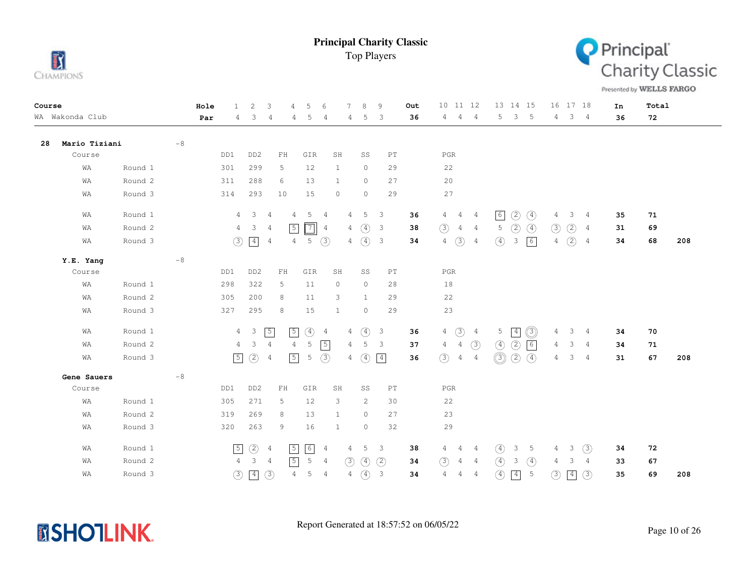



Presented by WELLS FARGO

| Course |                 |         |      | Hole | $\mathbf{1}$   | 2                       | 3<br>4                           | 5                      | 6              |                | 8<br>9                                   |                            | Out | 10 11 12                         |                | 13 14 15                     |                 | 16 17 18        |                     |                | In | Total |     |
|--------|-----------------|---------|------|------|----------------|-------------------------|----------------------------------|------------------------|----------------|----------------|------------------------------------------|----------------------------|-----|----------------------------------|----------------|------------------------------|-----------------|-----------------|---------------------|----------------|----|-------|-----|
|        | WA Wakonda Club |         |      | Par  | 4              | 3                       | 4<br>4                           | 5                      | 4              | 4              | 5<br>3                                   |                            | 36  | $\overline{4}$<br>4              | $\overline{4}$ | 5                            | 3 <sub>5</sub>  |                 | $4 \quad 3 \quad 4$ |                | 36 | 72    |     |
| 28     | Mario Tiziani   |         | $-8$ |      |                |                         |                                  |                        |                |                |                                          |                            |     |                                  |                |                              |                 |                 |                     |                |    |       |     |
|        | Course          |         |      |      | DD1            | DD <sub>2</sub>         | FH                               | GIR                    | SH             |                | SS                                       | PT                         |     | $_{\rm PGR}$                     |                |                              |                 |                 |                     |                |    |       |     |
|        | WA              | Round 1 |      |      | 301            | 299                     | 5                                | 12                     | 1              |                | $\circ$                                  | 29                         |     | 22                               |                |                              |                 |                 |                     |                |    |       |     |
|        | WA              | Round 2 |      |      | 311            | 288                     | 6                                | 13                     | 1              |                | $\circ$                                  | 27                         |     | 20                               |                |                              |                 |                 |                     |                |    |       |     |
|        | WA              | Round 3 |      |      | 314            | 293                     | 10                               | 15                     | $\circ$        |                | $\circ$                                  | 29                         |     | 27                               |                |                              |                 |                 |                     |                |    |       |     |
|        | WA              | Round 1 |      |      | 4              | $\overline{\mathbf{3}}$ | 4<br>4                           | 5                      | 4              | 4              | 5<br>3                                   |                            | 36  | $\overline{4}$<br>$\frac{4}{3}$  | $\frac{4}{3}$  | 6 <br>(2)                    | $\circled{4}$   | 4               | 3                   | 4              | 35 | 71    |     |
|        | WA              | Round 2 |      |      | 4              | 3                       | $\sqrt{5}$<br>$\overline{4}$     | $\boxed{7}$            | $\overline{4}$ | 4              | $\circled{4}$<br>3                       |                            | 38  | $\circled{3}$<br>$\overline{4}$  | $\overline{4}$ | (2)<br>5                     | $\circled{4}$   | $\circled{3}$   | $\circled{2}$       | 4              | 31 | 69    |     |
|        | WA              | Round 3 |      |      | $\circled{3}$  | $\boxed{4}$             | $\overline{4}$                   | 5(3)<br>$\overline{4}$ |                | 4              | $\circled{4}$<br>$\overline{\mathbf{3}}$ |                            | 34  | $\circled{3}$<br>$\overline{4}$  | $\overline{4}$ | $\circled{4}$<br>3           | 6               | 4               | $\circled{2}$       | $\overline{4}$ | 34 | 68    | 208 |
|        | Y.E. Yang       |         | $-8$ |      |                |                         |                                  |                        |                |                |                                          |                            |     |                                  |                |                              |                 |                 |                     |                |    |       |     |
|        | Course          |         |      |      | DD1            | DD <sub>2</sub>         | ${\rm FH}$                       | GIR                    | SH             |                | SS                                       | $\mathop{\rm PT}\nolimits$ |     | $_{\rm PGR}$                     |                |                              |                 |                 |                     |                |    |       |     |
|        | WA              | Round 1 |      |      | 298            | 322                     | 5                                | 11                     | $\circ$        |                | $\circ$                                  | 28                         |     | 18                               |                |                              |                 |                 |                     |                |    |       |     |
|        | WA              | Round 2 |      |      | 305            | 200                     | 8                                | 11                     | 3              |                | $\mathbf{1}$                             | 29                         |     | 22                               |                |                              |                 |                 |                     |                |    |       |     |
|        | WA              | Round 3 |      |      | 327            | 295                     | 8                                | 15                     | $\mathbf{1}$   |                | $\circ$                                  | 29                         |     | 23                               |                |                              |                 |                 |                     |                |    |       |     |
|        | WA              | Round 1 |      |      | $\overline{4}$ | $\overline{\mathbf{3}}$ | $\sqrt{5}$<br>$\sqrt{5}$         | $\circled{4}$          | $\overline{4}$ | $\overline{4}$ | $\circled{4}$<br>$\overline{\mathbf{3}}$ |                            | 36  | $\circled{3}$<br>4               | 4              | $5 -$<br>$\boxed{4}$         | O)              | 4               | $3 -$               | $\overline{4}$ | 34 | 70    |     |
|        | WA              | Round 2 |      |      | $\overline{4}$ | $\mathbf{3}$            | $\overline{4}$<br>$\overline{4}$ | $5\phantom{.0}$        | $\sqrt{5}$     | $\overline{4}$ | 5<br>$\overline{\mathbf{3}}$             |                            | 37  | $\overline{4}$<br>$\overline{4}$ | (3)            | $\circled{4}$<br>(2)         | 6               | 4               | 3                   | $\overline{4}$ | 34 | 71    |     |
|        | WA              | Round 3 |      |      | $\sqrt{5}$     | $\circled{2}$           | $\sqrt{5}$<br>4                  | $\mathsf S$            | (3)            | 4              | $\vert 4 \vert$<br>$\circled{4}$         |                            | 36  | (3)<br>$\overline{4}$            | $\overline{4}$ | $\circledS$<br>(2)           | $\circled{4}$   | $4\overline{ }$ | 3                   | $\overline{4}$ | 31 | 67    | 208 |
|        | Gene Sauers     |         | $-8$ |      |                |                         |                                  |                        |                |                |                                          |                            |     |                                  |                |                              |                 |                 |                     |                |    |       |     |
|        | Course          |         |      |      | DD1            | DD <sub>2</sub>         | $\mathbb{F} \, \mathbb{H}$       | GIR                    | SH             |                | SS                                       | PT                         |     | $_{\rm PGR}$                     |                |                              |                 |                 |                     |                |    |       |     |
|        | WA              | Round 1 |      |      | 305            | 271                     | 5                                | 12                     | 3              |                | 2                                        | 30                         |     | 22                               |                |                              |                 |                 |                     |                |    |       |     |
|        | WA              | Round 2 |      |      | 319            | 269                     | 8                                | 13                     | $\mathbf{1}$   |                | $\circ$                                  | 27                         |     | 23                               |                |                              |                 |                 |                     |                |    |       |     |
|        | WA              | Round 3 |      |      | 320            | 263                     | 9                                | 16                     | $\mathbf{1}$   |                | $\circ$                                  | 32                         |     | 29                               |                |                              |                 |                 |                     |                |    |       |     |
|        | WA              | Round 1 |      |      | $\sqrt{5}$     | $\circled{2}$           | $\sqrt{5}$<br>$\overline{4}$     | 6                      | $\overline{4}$ | 4              | 5<br>3                                   |                            | 38  | $\overline{4}$<br>4              | $\sim$ 4       | $\circ$<br>3                 | $-5$            | 4               | $\mathcal{S}$       | (3)            | 34 | 72    |     |
|        | WA              | Round 2 |      |      | $\overline{4}$ | 3                       | $\sqrt{5}$<br>$\overline{4}$     | 5                      | $\overline{4}$ | (3)            | $\circled{4}$<br>(2)                     |                            | 34  | (3)<br>$\overline{4}$            | $\overline{4}$ | $\circled{4}$<br>3           | $\circled{4}$   | 4               | 3                   | 4              | 33 | 67    |     |
|        | WA              | Round 3 |      |      | $\circled{3}$  | $\boxed{4}$             | $\circled{3}$                    | $\overline{4}$<br>5    | $\overline{4}$ | $\overline{4}$ | $\circled{4}$<br>$\mathbf{3}$            |                            | 34  | $\overline{4}$<br>$\overline{4}$ | $\overline{4}$ | $\circled{4}$<br>$\boxed{4}$ | $5\phantom{.0}$ | (3)             | $\boxed{4}$         | (3)            | 35 | 69    | 208 |

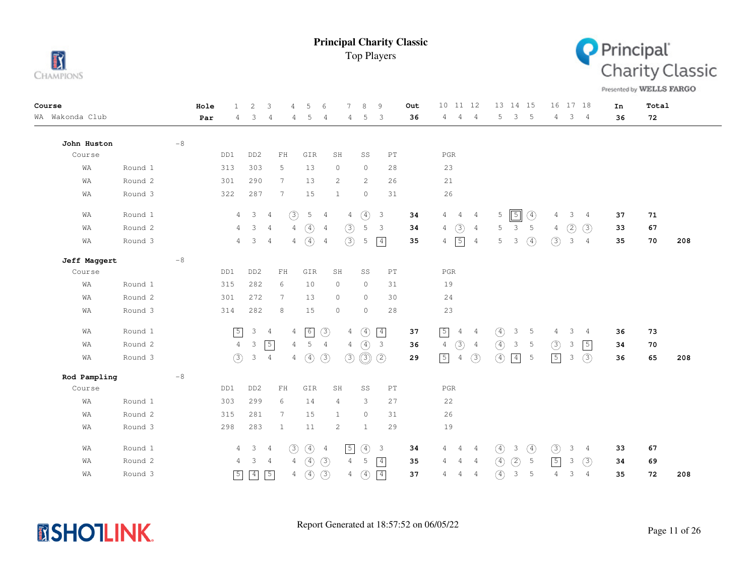



Presented by WELLS FARGO

| Course          | Hole | 2<br>3<br>$\mathbf{1}$                           | 5<br>$\overline{4}$             | $\sqrt{2}$                       | $\mathcal{R}$<br>9               | Out | 10 11 12                                          | 13 14 15                                       | 16 17 18                   | In | Total     |
|-----------------|------|--------------------------------------------------|---------------------------------|----------------------------------|----------------------------------|-----|---------------------------------------------------|------------------------------------------------|----------------------------|----|-----------|
| WA Wakonda Club | Par  | 4<br>3<br>4                                      | 5<br>4                          | 4<br>4                           | 5<br>3                           | 36  | $\overline{4}$<br>$\overline{4}$<br>4             | $\mathfrak{Z}$<br>5<br>$-5$                    | 3 <sup>7</sup><br>4<br>4   | 36 | 72        |
| John Huston     | $-8$ |                                                  |                                 |                                  |                                  |     |                                                   |                                                |                            |    |           |
| Course          | DD1  | DD <sub>2</sub>                                  | ${\rm FH}$<br>GIR               | SH                               | SS<br>$\mathop{\rm PT}\nolimits$ |     | $_{\rm PGR}$                                      |                                                |                            |    |           |
| WA<br>Round 1   | 313  | 303                                              | 13<br>5                         | $\circ$                          | $\circ$<br>28                    |     | 23                                                |                                                |                            |    |           |
| Round 2<br>WA   | 301  | 290                                              | 13<br>7                         | 2                                | 2<br>26                          |     | $2\sqrt{1}$                                       |                                                |                            |    |           |
| Round 3<br>WA   | 322  | 287                                              | 7<br>15                         | 1                                | $\circ$<br>31                    |     | 26                                                |                                                |                            |    |           |
| Round 1<br>WA   |      | $\mathbf{3}$<br>$\overline{4}$<br>$\overline{4}$ | $\circled{3}$<br>5              | $\overline{4}$<br>4              | $\circled{4}$<br>$\overline{3}$  | 34  | 4<br>$\overline{4}$<br>$\overline{4}$             | $\sqrt{5}$<br>5<br>4                           | 3<br>4<br>4                | 37 | 71        |
| Round 2<br>WA   |      | 3<br>$\overline{4}$<br>4                         | $\circled{4}$<br>$\overline{4}$ | (3)<br>$\frac{4}{3}$             | 5<br>$\overline{3}$              | 34  | (3)<br>4<br>$\overline{4}$                        | 5<br>5<br>3                                    | (2)<br>(3)<br>4            | 33 | 67        |
| Round 3<br>WA   |      | $\mathbf{3}$<br>$\overline{4}$<br>$\overline{4}$ | $4\quad(4)$                     | (3)<br>$\overline{4}$            | $\boxed{4}$<br>5                 | 35  | $\sqrt{5}$<br>$4\overline{4}$<br>4                | $\circled{4}$<br>5<br>3                        | (3)<br>3<br>$\overline{4}$ | 35 | 70<br>208 |
| Jeff Maggert    | $-8$ |                                                  |                                 |                                  |                                  |     |                                                   |                                                |                            |    |           |
| Course          | DD1  | DD <sub>2</sub>                                  | ${\rm FH}$<br>GIR               | SH                               | $\mathop{\rm PT}\nolimits$<br>SS |     | $_{\rm PGR}$                                      |                                                |                            |    |           |
| Round 1<br>WA   | 315  | 282                                              | 6<br>10                         | $\circ$                          | $\circ$<br>31                    |     | 19                                                |                                                |                            |    |           |
| Round 2<br>WA   | 301  | 272                                              | 13<br>7                         | $\circ$                          | $\circ$<br>30                    |     | 24                                                |                                                |                            |    |           |
| Round 3<br>WA   | 314  | 282                                              | 8<br>15                         | $\circledcirc$                   | $\circ$<br>28                    |     | 23                                                |                                                |                            |    |           |
| Round 1<br>WA   |      | $\sqrt{5}$<br>$\mathsf 3$<br>$\overline{4}$      | 6<br>4                          | $\circled{3}$<br>$\overline{4}$  | $\boxed{4}$<br>$\circled{4}$     | 37  | $\sqrt{5}$<br>$\overline{4}$<br>$\overline{4}$    | $\circled{4}$<br>3<br>5                        | 3<br>4<br>4                | 36 | 73        |
| Round 2<br>WA   |      | $\sqrt{5}$<br>$\overline{4}$<br>$\mathcal{E}$    | 5<br>$\overline{4}$             | $\overline{4}$<br>$\overline{4}$ | (4)<br>$\overline{\mathbf{3}}$   | 36  | $\circled{3}$<br>$\overline{4}$<br>$\overline{4}$ | $\circled{4}$<br>$\mathbf{3}$<br>5             | (3)<br>3<br>$\boxed{5}$    | 34 | 70        |
| Round 3<br>WA   |      | (3)<br>3<br>$\overline{4}$                       | $\circled{4}$<br>$\overline{4}$ | (3)<br>(3)                       | $\circledcirc$<br>(2)            | 29  | $\sqrt{5}$<br>(3)<br>$\overline{4}$               | $\circled{4}$<br>$\vert 4 \vert$<br>5          | $\sqrt{5}$<br>(3)<br>3     | 36 | 65<br>208 |
| Rod Pampling    | $-8$ |                                                  |                                 |                                  |                                  |     |                                                   |                                                |                            |    |           |
| Course          | DD1  | DD <sub>2</sub>                                  | ${\rm FH}$<br>GIR               | SH                               | SS<br>$\mathop{\rm PT}\nolimits$ |     | $_{\rm PGR}$                                      |                                                |                            |    |           |
| Round 1<br>WA   | 303  | 299                                              | 14<br>6                         | $\overline{4}$                   | 3<br>27                          |     | 22                                                |                                                |                            |    |           |
| Round 2<br>WA   | 315  | 281                                              | 15<br>7                         | 1                                | $\circ$<br>31                    |     | 26                                                |                                                |                            |    |           |
| Round 3<br>WA   | 298  | 283                                              | $\mathbf{1}$<br>11              | 2                                | 29<br>$\mathbf{1}$               |     | 19                                                |                                                |                            |    |           |
| Round 1<br>WA   |      | $\mathcal{E}$<br>4<br>4                          | (3)<br>$\circled{4}$            | $\sqrt{5}$<br>$\overline{4}$     | $\circled{4}$<br>$\mathbf{3}$    | 34  | 4<br>$\overline{4}$<br>4                          | $\circled{4}$<br>$\circled{4}$<br>3            | (3)<br>3<br>4              | 33 | 67        |
| Round 2<br>WA   |      | 3<br>4<br>$\overline{4}$                         | $\circled{4}$<br>$\overline{4}$ | (3)<br>$\overline{4}$            | 5<br>$\boxed{4}$                 | 35  | 4<br>4<br>$\overline{4}$                          | $\circled{4}$<br>(2)<br>5                      | $\sqrt{5}$<br>3<br>(3)     | 34 | 69        |
| Round 3<br>WA   |      | $\boxed{4}$<br>$\sqrt{5}$<br>$\boxed{5}$         | $\circled{4}$<br>$\overline{4}$ | $\circled{3}$<br>$\overline{4}$  | $\boxed{4}$<br>$\circled{4}$     | 37  | $\overline{4}$<br>$\overline{4}$<br>4             | $\circled{4}$<br>$\mathfrak{Z}$<br>$\mathsf S$ | 3<br>4<br>$\overline{4}$   | 35 | 72<br>208 |

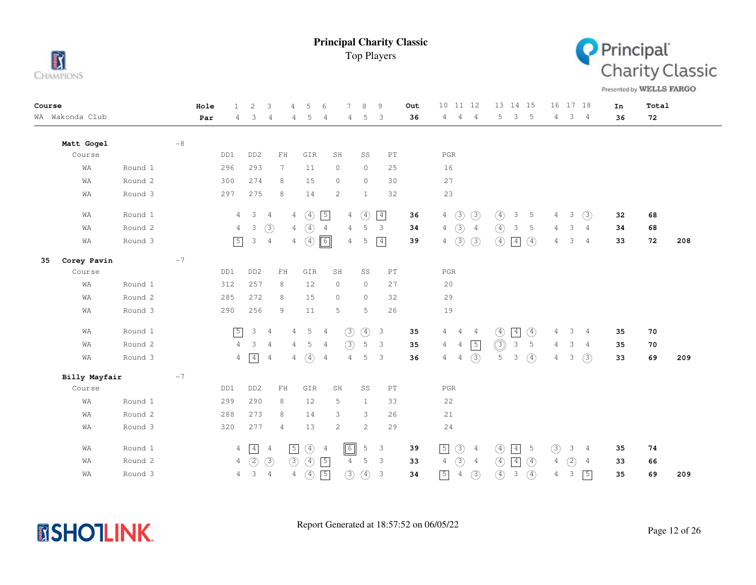



Presented by WELLS FARGO

| Course |                 |         |        | Hole | $\mathbf{1}$   | $\overline{c}$                  | 3               | .5<br>$\overline{4}$            | 6              |                | 8             | 9                          | Out | 10 11 12                         |                |                | 13 14 15                       | 16 17 18           |                | In | Total |     |
|--------|-----------------|---------|--------|------|----------------|---------------------------------|-----------------|---------------------------------|----------------|----------------|---------------|----------------------------|-----|----------------------------------|----------------|----------------|--------------------------------|--------------------|----------------|----|-------|-----|
|        | WA Wakonda Club |         |        | Par  | 4              | 3                               | $\overline{4}$  | 5<br>4                          | 4              | 4              | 5             | 3                          | 36  | $\overline{4}$<br>4              | $\overline{4}$ | 5              | 3<br>$5^{\circ}$               | $4 -$              | 3 <sub>4</sub> | 36 | 72    |     |
|        | Matt Gogel      |         | $-\,8$ |      |                |                                 |                 |                                 |                |                |               |                            |     |                                  |                |                |                                |                    |                |    |       |     |
|        | Course          |         |        |      | DD1            | DD <sub>2</sub>                 | ${\rm FH}$      | GIR                             |                | SH             | SS            | $\mathop{\rm PT}\nolimits$ |     | $_{\rm PGR}$                     |                |                |                                |                    |                |    |       |     |
|        | WA              | Round 1 |        |      | 296            | 293                             | $7\phantom{.0}$ | 11                              |                | $\circ$        | $\circ$       | 25                         |     | 16                               |                |                |                                |                    |                |    |       |     |
|        | WΑ              | Round 2 |        |      | 300            | 274                             | 8               | 15                              |                | $\circ$        | $\circ$       | 30                         |     | 27                               |                |                |                                |                    |                |    |       |     |
|        | WΑ              | Round 3 |        |      | 297            | 275                             | 8               | 14                              |                | $\overline{c}$ | $\mathbf{1}$  | 32                         |     | 23                               |                |                |                                |                    |                |    |       |     |
|        | WA              | Round 1 |        |      | $\overline{4}$ | $\mathbf{3}$<br>$\overline{4}$  |                 | $\circled{4}$<br>$\overline{4}$ | $\sqrt{5}$     | 4              | $\circled{4}$ | $\boxed{4}$                | 36  | $\circled{3}$<br>$\overline{4}$  | (3)            | $\circled{4}$  | 3<br>5                         | 3<br>$4 -$         | (3)            | 32 | 68    |     |
|        | WA              | Round 2 |        |      | 4              | 3                               | (3)             | $4\quad)$                       | $\overline{4}$ | $\overline{4}$ | 5             | $\mathbf{3}$               | 34  | (3)<br>4                         | $\overline{4}$ | $\circled{4}$  | 3<br>5                         | 3<br>4             | $\overline{4}$ | 34 | 68    |     |
|        | WA              | Round 3 |        |      | $\sqrt{5}$     | 3<br>$\overline{4}$             |                 | $4\quad(4)$                     | $\boxed{6}$    | 4              | 5             | $\boxed{4}$                | 39  | $\odot$<br>$\overline{4}$        | (3)            | $\circled{4}$  | $\boxed{4}$<br>$\circled{4}$   | 3<br>4             | $\overline{4}$ | 33 | 72    | 208 |
| 35     | Corey Pavin     |         | $-7$   |      |                |                                 |                 |                                 |                |                |               |                            |     |                                  |                |                |                                |                    |                |    |       |     |
|        | Course          |         |        |      | DD1            | DD <sub>2</sub>                 | $\rm FH$        | GIR                             |                | SH             | SS            | PT                         |     | $_{\rm PGR}$                     |                |                |                                |                    |                |    |       |     |
|        | WA              | Round 1 |        |      | 312            | 257                             | 8               | 12                              |                | $\circ$        | $\circ$       | 27                         |     | 20                               |                |                |                                |                    |                |    |       |     |
|        | WA              | Round 2 |        |      | 285            | 272                             | 8               | 15                              |                | $\circ$        | $\circ$       | 32                         |     | 29                               |                |                |                                |                    |                |    |       |     |
|        | WA              | Round 3 |        |      | 290            | 256                             | 9               | 11                              |                | 5              | 5             | 26                         |     | 19                               |                |                |                                |                    |                |    |       |     |
|        | WA              | Round 1 |        |      | $\sqrt{5}$     | $\mathcal{E}$<br>$\overline{4}$ |                 | 5<br>$\overline{4}$             | $\overline{4}$ | $\circled{3}$  | $\circled{4}$ | $\overline{\mathbf{3}}$    | 35  | $\overline{4}$<br>$\overline{4}$ | $\overline{4}$ | $\circled{4}$  | $\boxed{4}$<br>$\circled{4}$   | 3<br>4             | $\overline{4}$ | 35 | 70    |     |
|        | WA              | Round 2 |        |      | $\overline{4}$ | 3                               | $\overline{4}$  | 4<br>5                          | 4              | (3)            | $\mathbb S$   | 3                          | 35  | $\overline{4}$<br>$\overline{4}$ | $\sqrt{5}$     | $\circledcirc$ | $\mathsf 3$<br>5               | 3<br>4             | 4              | 35 | 70    |     |
|        | WA              | Round 3 |        |      | $\overline{4}$ | $\boxed{4}$                     | 4               | $\circled{4}$<br>$\overline{4}$ | $\overline{4}$ | $\overline{4}$ | 5             | 3                          | 36  | $\overline{4}$<br>$\overline{4}$ | (3)            | 5              | $\circled{4}$<br>3             | 3<br>4             | (3)            | 33 | 69    | 209 |
|        | Billy Mayfair   |         | $-7$   |      |                |                                 |                 |                                 |                |                |               |                            |     |                                  |                |                |                                |                    |                |    |       |     |
|        | Course          |         |        |      | DD1            | DD <sub>2</sub>                 | $\mathbf{FH}$   | GIR                             |                | SH             | SS            | PT                         |     | $_{\rm PGR}$                     |                |                |                                |                    |                |    |       |     |
|        | WA              | Round 1 |        |      | 299            | 290                             | 8               | 12                              |                | 5              | $\mathbf{1}$  | 33                         |     | 22                               |                |                |                                |                    |                |    |       |     |
|        | WA              | Round 2 |        |      | 288            | 273                             | 8               | 14                              |                | 3              | 3             | 26                         |     | $2\sqrt{1}$                      |                |                |                                |                    |                |    |       |     |
|        | WA              | Round 3 |        |      | 320            | 277                             | 4               | 13                              |                | 2              | 2             | 29                         |     | 24                               |                |                |                                |                    |                |    |       |     |
|        | WA              | Round 1 |        |      | 4              | $\boxed{4}$                     | $\overline{4}$  | $\circled{4}$<br>$\sqrt{5}$     | $\overline{4}$ | $\boxed{6}$    | 5             | 3                          | 39  | $\circled{3}$<br>$\boxed{5}$     | $\frac{4}{3}$  | $\circled{4}$  | $\boxed{4}$<br>$\overline{5}$  | (3)<br>3           | 4              | 35 | 74    |     |
|        | WA              | Round 2 |        |      | 4              | (2)                             | $\circled{3}$   | (3)<br>$\circled{4}$            | $\sqrt{5}$     | $\overline{4}$ | 5             | 3                          | 33  | $\circled{3}$<br>$\overline{4}$  | $\overline{4}$ | $\circled{4}$  | $\boxed{4}$<br>$\circled{4}$   | $\circled{2}$<br>4 | 4              | 33 | 66    |     |
|        | WΑ              | Round 3 |        |      | 4              | 3<br>$\frac{4}{3}$              |                 | $\circled{4}$<br>4              | $\sqrt{5}$     | $\circled{3}$  | $\circled{4}$ | $\mathbf{3}$               | 34  | $\boxed{5}$<br>$\sqrt{4}$        | (3)            | $\circled{4}$  | $\circled{4}$<br>$\mathcal{E}$ | 3<br>4             | $\sqrt{5}$     | 35 | 69    | 209 |

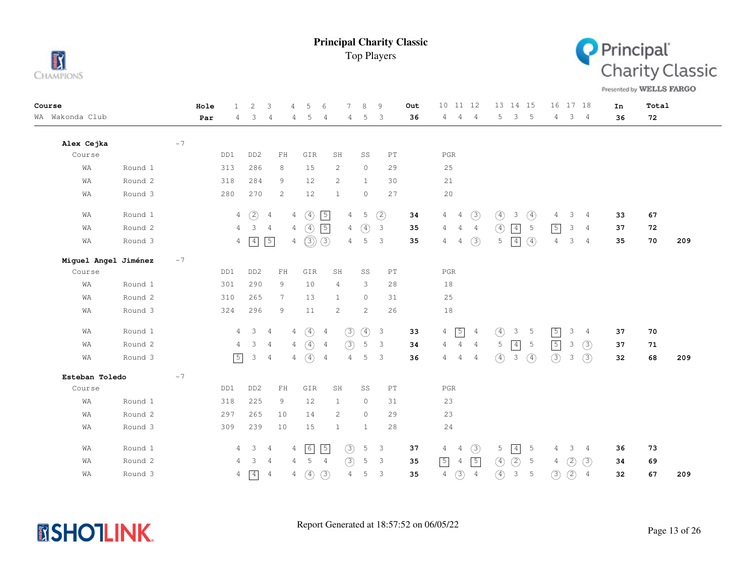



Presented by WELLS FARGO

| Course               |         |      | Hole | $\mathbf{1}$   | 2               | 3              | 4                  | 5<br>6                          | 7                     | $\beta$                         | 9                          | Out | 11 12<br>10 <sup>°</sup>        |                | 13 14 15                                   |                  |                | 16 17 18      |                | In | Total |     |
|----------------------|---------|------|------|----------------|-----------------|----------------|--------------------|---------------------------------|-----------------------|---------------------------------|----------------------------|-----|---------------------------------|----------------|--------------------------------------------|------------------|----------------|---------------|----------------|----|-------|-----|
| WA Wakonda Club      |         |      | Par  | 4              | 3               | 4              | 4                  | 5<br>$\overline{4}$             | 4                     | 5                               | 3                          | 36  | 4<br>$\overline{4}$             | $\overline{4}$ | 5                                          | 3<br>5           | $4 -$          | 3             | $\overline{4}$ | 36 | 72    |     |
| Alex Cejka           |         | $-7$ |      |                |                 |                |                    |                                 |                       |                                 |                            |     |                                 |                |                                            |                  |                |               |                |    |       |     |
| Course               |         |      |      | DD1            | DD <sub>2</sub> | ${\rm FH}$     |                    | GIR                             | SH                    | SS                              | $\mathop{\rm PT}\nolimits$ |     | $_{\rm PGR}$                    |                |                                            |                  |                |               |                |    |       |     |
| WA                   | Round 1 |      |      | 313            | 286             | 8              |                    | 15                              | 2                     | $\circ$                         | 29                         |     | 25                              |                |                                            |                  |                |               |                |    |       |     |
| WA                   | Round 2 |      |      | 318            | 284             | 9              |                    | 12                              | $\mathbf{2}$          | $\mathbf{1}$                    | 30                         |     | $2\sqrt{1}$                     |                |                                            |                  |                |               |                |    |       |     |
| WA                   | Round 3 |      |      | 280            | 270             | 2              |                    | 12                              | $\mathbf{1}$          | $\circ$                         | 27                         |     | 20                              |                |                                            |                  |                |               |                |    |       |     |
| WA                   | Round 1 |      |      | $\overline{4}$ | (2)             | $\overline{4}$ | $\circled{4}$<br>4 | $\sqrt{5}$                      | 4                     | 5                               | (2)                        | 34  | 4<br>$\overline{4}$             | $\circled{3}$  | $\circled{4}$<br>3                         | ④                | 4              | 3             | $\overline{4}$ | 33 | 67    |     |
| WA                   | Round 2 |      |      | $\overline{4}$ | $\mathcal{S}$   | $\overline{4}$ | $4\quad(4)$        | 5                               |                       | $\overline{4}$<br>$\circled{4}$ | $\overline{\mathbf{3}}$    | 35  | 4<br>4                          | 4              | $\circled{4}$<br>$\boxed{4}$               | 5                | $\sqrt{5}$     | 3             | 4              | 37 | 72    |     |
| WA                   | Round 3 |      |      | 4              | $\boxed{4}$     | $\sqrt{5}$     | 4                  | $\circledS$<br>(3)              | $\overline{4}$        | 5                               | $\overline{3}$             | 35  | 4<br>4                          | (3)            | $\boxed{4}$<br>5                           | $\left(4\right)$ | $\overline{4}$ | 3             | 4              | 35 | 70    | 209 |
| Miguel Angel Jiménez |         | $-7$ |      |                |                 |                |                    |                                 |                       |                                 |                            |     |                                 |                |                                            |                  |                |               |                |    |       |     |
| Course               |         |      |      | DD1            | DD <sub>2</sub> | $\mathbf{FH}$  |                    | GIR                             | SH                    | SS                              | PT                         |     | $_{\rm PGR}$                    |                |                                            |                  |                |               |                |    |       |     |
| WA                   | Round 1 |      |      | 301            | 290             | 9              |                    | 10                              | 4                     | 3                               | 28                         |     | 18                              |                |                                            |                  |                |               |                |    |       |     |
| WA                   | Round 2 |      |      | 310            | 265             | $7^{\circ}$    |                    | 13                              | $\mathbf{1}$          | $\circ$                         | 31                         |     | 25                              |                |                                            |                  |                |               |                |    |       |     |
| WA                   | Round 3 |      |      | 324            | 296             | 9              |                    | 11                              | 2                     | 2                               | 26                         |     | 18                              |                |                                            |                  |                |               |                |    |       |     |
| WA                   | Round 1 |      |      | 4              | 3 <sup>7</sup>  | $\overline{4}$ | 4                  | $\circled{4}$<br>$\overline{4}$ | $\circled{3}$         | $\circled{4}$                   | $\overline{\mathbf{3}}$    | 33  | $\sqrt{5}$<br>$\overline{4}$    | $\overline{4}$ | $\circled{4}$<br>3                         | $\overline{5}$   | $\sqrt{5}$     | 3             | $\overline{4}$ | 37 | 70    |     |
| WA                   | Round 2 |      |      | $\overline{4}$ | 3               | $\overline{4}$ | 4                  | $\circled{4}$<br>$\overline{4}$ | (3)                   | 5                               | 3                          | 34  | 4<br>4                          | 4              | $\boxed{4}$<br>5                           | 5                | $\sqrt{5}$     | $\mathbf{3}$  | (3)            | 37 | 71    |     |
| WA                   | Round 3 |      |      | $\boxed{5}$    | 3               | $\overline{4}$ | 4                  | $\circled{4}$<br>$\overline{4}$ | $\overline{4}$        | 5                               | 3                          | 36  | 4<br>4                          | $\overline{4}$ | $\circled{4}$<br>$\ensuremath{\mathsf{3}}$ | $\circled{4}$    | (3)            | 3             | (3)            | 32 | 68    | 209 |
| Esteban Toledo       |         | $-7$ |      |                |                 |                |                    |                                 |                       |                                 |                            |     |                                 |                |                                            |                  |                |               |                |    |       |     |
| Course               |         |      |      | DD1            | DD <sub>2</sub> | ${\rm FH}$     |                    | GIR                             | SH                    | SS                              | $\mathop{\rm PT}\nolimits$ |     | $_{\rm PGR}$                    |                |                                            |                  |                |               |                |    |       |     |
| WA                   | Round 1 |      |      | 318            | 225             | 9              |                    | 12                              | 1                     | 0                               | 31                         |     | 23                              |                |                                            |                  |                |               |                |    |       |     |
| WA                   | Round 2 |      |      | 297            | 265             | 10             |                    | 14                              | $\mathbf{2}^{\prime}$ | $\circ$                         | 29                         |     | 23                              |                |                                            |                  |                |               |                |    |       |     |
| WA                   | Round 3 |      |      | 309            | 239             | 10             |                    | 15                              | $\mathbf{1}$          | $\mathbf{1}$                    | 28                         |     | 24                              |                |                                            |                  |                |               |                |    |       |     |
| WA                   | Round 1 |      |      | 4              | 3 <sup>7</sup>  | $\overline{4}$ | 6<br>4             | $\sqrt{5}$                      | $\circled{3}$         | 5                               | $\overline{\mathbf{3}}$    | 37  | 4<br>4                          | $\circled{3}$  | $\boxed{4}$<br>5                           | 5                | 4              | 3             | 4              | 36 | 73    |     |
| WA                   | Round 2 |      |      | 4              | 3               | 4              | 4                  | 5<br>$\overline{4}$             | (3)                   | 5                               | $\overline{\mathbf{3}}$    | 35  | $\sqrt{5}$<br>4                 | $\sqrt{5}$     | (2)<br>$\circled{4}$                       | 5                | 4              | (2)           | (3)            | 34 | 69    |     |
| WA                   | Round 3 |      |      | 4              | $\boxed{4}$     | $\overline{4}$ | 4                  | (3)<br>$\circled{4}$            | $\overline{4}$        | 5                               | 3                          | 35  | $\circled{3}$<br>$\overline{4}$ | $\overline{4}$ | $\circled{4}$<br>$\mathfrak{Z}$            | $\mathsf S$      | $\circled{3}$  | $\circled{2}$ | $\overline{4}$ | 32 | 67    | 209 |

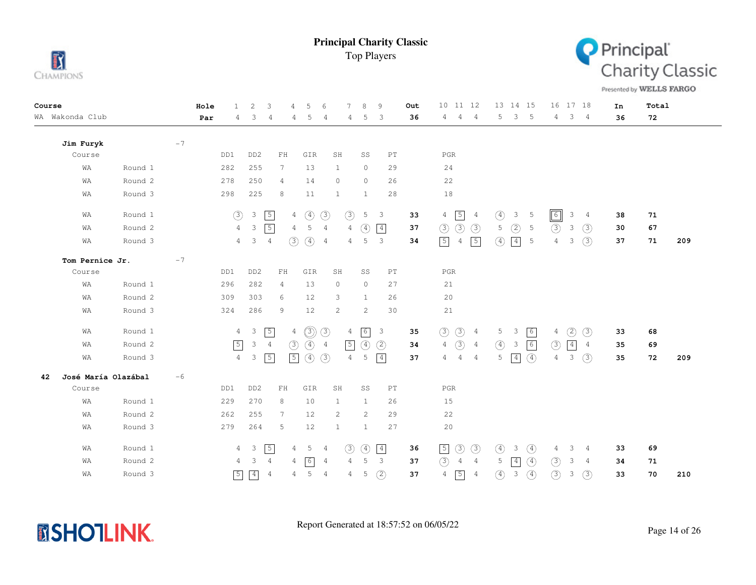



Presented by WELLS FARGO

| Course |                     |         |      | Hole | $\mathbf{1}$   | $\overline{c}$          | 3                          | 5<br>$\overline{4}$              | 6              | 7                     | 8              | 9                          | Out | 10 11 12                                          | 13 14 15                                         | 16 17 18                             | In | Total |     |
|--------|---------------------|---------|------|------|----------------|-------------------------|----------------------------|----------------------------------|----------------|-----------------------|----------------|----------------------------|-----|---------------------------------------------------|--------------------------------------------------|--------------------------------------|----|-------|-----|
|        | WA Wakonda Club     |         |      | Par  | 4              | 3                       | $\overline{4}$             | 5<br>4                           | 4              | 4                     | 5              | 3                          | 36  | $\overline{4}$<br>$\overline{4}$<br>4             | 3<br>- 5<br>5                                    | $3 \quad 4$<br>4                     | 36 | 72    |     |
|        | Jim Furyk           |         | $-7$ |      |                |                         |                            |                                  |                |                       |                |                            |     |                                                   |                                                  |                                      |    |       |     |
|        | Course              |         |      |      | DD1            | DD <sub>2</sub>         | $\mathbf{FH}$              | GIR                              |                | SH                    | SS             | $\mathop{\rm PT}\nolimits$ |     | $_{\rm PGR}$                                      |                                                  |                                      |    |       |     |
|        | WA                  | Round 1 |      |      | 282            | 255                     | $7\phantom{.0}$            | 13                               |                | $\mathbf{1}$          | $\circ$        | 29                         |     | 24                                                |                                                  |                                      |    |       |     |
|        | WA                  | Round 2 |      |      | 278            | 250                     | $\overline{4}$             | 14                               |                | $\circ$               | $\circ$        | 26                         |     | 22                                                |                                                  |                                      |    |       |     |
|        | WA                  | Round 3 |      |      | 298            | 225                     | 8                          | 11                               |                | $\mathbf{1}$          | $\mathbf{1}$   | 28                         |     | 18                                                |                                                  |                                      |    |       |     |
|        | WA                  | Round 1 |      |      | (3)            | $\mathcal{S}$           | $\sqrt{5}$                 | $\circled{4}$<br>$\overline{4}$  | (3)            | (3)                   | 5 <sub>5</sub> | $\overline{\mathbf{3}}$    | 33  | $\sqrt{5}$<br>$\overline{4}$<br>4                 | $\circled{4}$<br>3 <sub>5</sub>                  | $\boxed{6}$<br>3<br>$\overline{4}$   | 38 | 71    |     |
|        | WA                  | Round 2 |      |      | $\overline{4}$ | 3                       | $\sqrt{5}$                 | 5<br>$\overline{4}$              | $\overline{4}$ | $\overline{4}$        | $\circled{4}$  | $\boxed{4}$                | 37  | $\circled{3}$<br>$\circled{3}$<br>(3)             | 5<br>(2)<br>5                                    | (3)<br>$\mathbf{3}$<br>$\circled{3}$ | 30 | 67    |     |
|        | WA                  | Round 3 |      |      | $\overline{4}$ | $\mathbf{3}$            | $\overline{4}$             | $\circled{4}$<br>(3)             | $\overline{4}$ | 4                     | 5              | 3                          | 34  | $\sqrt{5}$<br>$\sqrt{5}$<br>$\overline{4}$        | $\circled{4}$<br>$\boxed{4}$<br>5                | (3)<br>$\overline{4}$<br>3           | 37 | 71    | 209 |
|        | Tom Pernice Jr.     |         | $-7$ |      |                |                         |                            |                                  |                |                       |                |                            |     |                                                   |                                                  |                                      |    |       |     |
|        | Course              |         |      |      | DD1            | DD <sub>2</sub>         | $\mathop{\rm FH}\nolimits$ | GIR                              |                | SH                    | SS             | $\mathop{\rm PT}\nolimits$ |     | $_{\rm PGR}$                                      |                                                  |                                      |    |       |     |
|        | WA                  | Round 1 |      |      | 296            | 282                     | 4                          | 13                               |                | 0                     | $\circ$        | 27                         |     | 21                                                |                                                  |                                      |    |       |     |
|        | WA                  | Round 2 |      |      | 309            | 303                     | 6                          | 12                               |                | 3                     | $\mathbf{1}$   | 26                         |     | 20                                                |                                                  |                                      |    |       |     |
|        | WA                  | Round 3 |      |      | 324            | 286                     | 9                          | 12                               |                | $\mathbf{2}^{\prime}$ | 2              | 30                         |     | 21                                                |                                                  |                                      |    |       |     |
|        | WA                  | Round 1 |      |      | $\overline{4}$ | $\overline{\mathbf{3}}$ | $\sqrt{5}$                 | $\circledcirc$<br>$\overline{4}$ | $\circled{3}$  | $\overline{4}$        | 6              | $\overline{\mathbf{3}}$    | 35  | $\circled{3}$<br>$\circled{3}$<br>$\overline{4}$  | $\sqrt{6}$<br>5<br>$\mathcal{E}$                 | $\circled{2}$<br>$\circled{3}$<br>4  | 33 | 68    |     |
|        | WA                  | Round 2 |      |      | $\sqrt{5}$     | 3                       | $\overline{4}$             | $\circled{4}$<br>(3)             | $\overline{4}$ | $\sqrt{5}$            | $\circled{4}$  | (2)                        | 34  | $\circled{3}$<br>$\overline{4}$<br>$\overline{4}$ | $\circled{4}$<br>$\sqrt{6}$<br>3                 | (3)<br>$\boxed{4}$<br>4              | 35 | 69    |     |
|        | WA                  | Round 3 |      |      | $\overline{4}$ | 3                       | $\boxed{5}$                | $\sqrt{5}$<br>$\circled{4}$      | (3)            | $\overline{4}$        | 5              | $\vert 4 \vert$            | 37  | $\overline{4}$<br>4<br>$\overline{4}$             | 5<br>$\boxed{4}$<br>$\circ$                      | 3<br>(3)<br>$\overline{4}$           | 35 | 72    | 209 |
| 42     | José María Olazábal |         | $-6$ |      |                |                         |                            |                                  |                |                       |                |                            |     |                                                   |                                                  |                                      |    |       |     |
|        | Course              |         |      |      | DD1            | DD <sub>2</sub>         | ${\rm FH}$                 | GIR                              |                | SH                    | SS             | $\mathop{\rm PT}\nolimits$ |     | $_{\rm PGR}$                                      |                                                  |                                      |    |       |     |
|        | WA                  | Round 1 |      |      | 229            | 270                     | 8                          | 10                               |                | 1                     | $\mathbf{1}$   | 26                         |     | 15                                                |                                                  |                                      |    |       |     |
|        | WA                  | Round 2 |      |      | 262            | 255                     | 7                          | 12                               |                | 2                     | 2              | 29                         |     | 22                                                |                                                  |                                      |    |       |     |
|        | WA                  | Round 3 |      |      | 279            | 264                     | 5                          | 12                               |                | $\mathbf{1}$          | 1              | 27                         |     | 20                                                |                                                  |                                      |    |       |     |
|        | WA                  | Round 1 |      |      | 4              | $\overline{\mathbf{3}}$ | $\boxed{5}$                | $5\overline{)}$<br>$4 -$         | $\overline{4}$ | (3)                   | $\circled{4}$  | $\boxed{4}$                | 36  | $\circled{3}$<br>$\circled{3}$<br>$\sqrt{5}$      | $\circled{4}$<br>$\circled{4}$<br>3              | 3<br>4<br>4                          | 33 | 69    |     |
|        | WA                  | Round 2 |      |      | 4              | 3                       | $\overline{4}$             | $\sqrt{6}$<br>4                  | 4              | 4                     | 5              | $\overline{\mathbf{3}}$    | 37  | (3)<br>$\overline{4}$<br>$4\overline{4}$          | $\circled{4}$<br>5<br>4                          | (3)<br>3<br>$\overline{4}$           | 34 | 71    |     |
|        | WA                  | Round 3 |      |      | $\sqrt{5}$     | $\boxed{4}$             | $\overline{4}$             | 5<br>$\overline{4}$              | $\overline{4}$ | 4                     | 5              | (2)                        | 37  | $\sqrt{5}$<br>4<br>$\overline{4}$                 | $\circled{4}$<br>$\circled{4}$<br>$\mathfrak{Z}$ | (3)<br>(3)<br>3                      | 33 | 70    | 210 |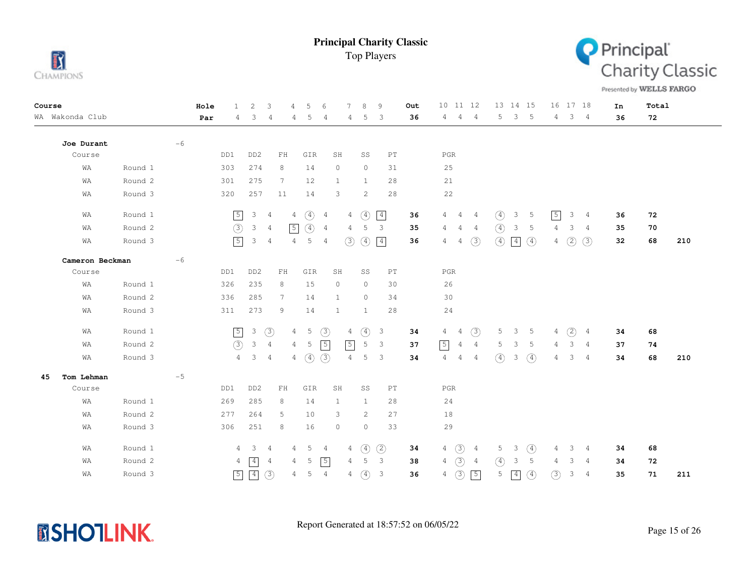



Presented by WELLS FARGO

| Course |                 |         |      | Hole | $\mathbf{1}$   | $\overline{c}$            | 3              | $\overline{4}$ | 5               | 6              | 7              | 8             | 9                          | Out | 10 11 12                         |                |                | 13 14 15       |               |                | 16 17 18    |                | In | Total |     |
|--------|-----------------|---------|------|------|----------------|---------------------------|----------------|----------------|-----------------|----------------|----------------|---------------|----------------------------|-----|----------------------------------|----------------|----------------|----------------|---------------|----------------|-------------|----------------|----|-------|-----|
|        | WA Wakonda Club |         |      | Par  | 4              | 3                         | 4              | 4              | 5               | 4              | 4              | 5             | 3                          | 36  | $4\overline{ }$<br>$4 -$         | $\overline{4}$ | 5              | $\mathcal{S}$  | $-5$          | 4              | $3 \quad 4$ |                | 36 | 72    |     |
|        | Joe Durant      |         | $-6$ |      |                |                           |                |                |                 |                |                |               |                            |     |                                  |                |                |                |               |                |             |                |    |       |     |
|        | Course          |         |      |      | DD1            | DD <sub>2</sub>           | $\mathbf{FH}$  |                | GIR             | SH             |                | SS            | $\mathop{\rm PT}\nolimits$ |     | $_{\rm PGR}$                     |                |                |                |               |                |             |                |    |       |     |
|        | WA              | Round 1 |      |      | 303            | 274                       | 8              |                | 14              | $\circ$        |                | $\circ$       | 31                         |     | 25                               |                |                |                |               |                |             |                |    |       |     |
|        | WA              | Round 2 |      |      | 301            | 275                       | 7              |                | 12              | 1              |                | 1             | 28                         |     | 21                               |                |                |                |               |                |             |                |    |       |     |
|        | WA              | Round 3 |      |      | 320            | 257                       | 11             |                | 14              | 3              |                | 2             | 28                         |     | 22                               |                |                |                |               |                |             |                |    |       |     |
|        | WA              | Round 1 |      |      | $\sqrt{5}$     | 3                         | $\overline{4}$ | $\overline{4}$ | $\circled{4}$   | $\overline{4}$ | $\overline{4}$ | $\circ$       | $\boxed{4}$                | 36  | 4<br>$\overline{4}$              | -4             | $\circled{4}$  | 3              | - 5           | $\sqrt{5}$     | 3           | $\frac{4}{3}$  | 36 | 72    |     |
|        | WA              | Round 2 |      |      | $\circled{3}$  | $\mathbf{3}$              | $\overline{4}$ | $\sqrt{5}$     | $\circled{4}$   | $\overline{4}$ | 4              | 5             | 3                          | 35  | $\overline{4}$<br>4              | $\overline{4}$ | $\circled{4}$  | 3              | -5            | 4              | 3           | $\overline{4}$ | 35 | 70    |     |
|        | WA              | Round 3 |      |      | $\sqrt{5}$     | 3                         | $\overline{4}$ | $\overline{4}$ | 5               | $\overline{4}$ | (3)            | $\circled{4}$ | $\boxed{4}$                | 36  | $\overline{4}$<br>$\overline{4}$ | (3)            | $\circled{4}$  | $\boxed{4}$    | $\circled{4}$ | $\overline{4}$ | (2)         | (3)            | 32 | 68    | 210 |
|        | Cameron Beckman |         | $-6$ |      |                |                           |                |                |                 |                |                |               |                            |     |                                  |                |                |                |               |                |             |                |    |       |     |
|        | Course          |         |      |      | DD1            | DD <sub>2</sub>           | $\mathbf{FH}$  |                | GIR             | SH             |                | SS            | $\mathop{\rm PT}\nolimits$ |     | $_{\rm PGR}$                     |                |                |                |               |                |             |                |    |       |     |
|        | WA              | Round 1 |      |      | 326            | 235                       | 8              |                | 15              | $\circ$        |                | $\circ$       | 30                         |     | 26                               |                |                |                |               |                |             |                |    |       |     |
|        | WA              | Round 2 |      |      | 336            | 285                       | 7              |                | 14              | $\mathbf{1}$   |                | $\circ$       | 34                         |     | 30                               |                |                |                |               |                |             |                |    |       |     |
|        | WA              | Round 3 |      |      | 311            | 273                       | 9              |                | 14              | $\mathbf{1}$   |                | $\mathbf{1}$  | 28                         |     | 24                               |                |                |                |               |                |             |                |    |       |     |
|        | WA              | Round 1 |      |      | $\boxed{5}$    | $\ensuremath{\mathsf{3}}$ | $\circled{3}$  | $\overline{4}$ | $5\phantom{.0}$ | (3)            | 4              | $\circled{4}$ | $\overline{\mathbf{3}}$    | 34  | $\overline{4}$<br>$\overline{4}$ | $\circled{3}$  | 5 <sup>5</sup> | 3 <sub>5</sub> |               | 4              | (2)         | $\overline{4}$ | 34 | 68    |     |
|        | WA              | Round 2 |      |      | (3)            | $\mathcal{E}$             | $\overline{4}$ | $\overline{4}$ | 5               | $\sqrt{5}$     | $\sqrt{5}$     | 5             | $\overline{\mathbf{3}}$    | 37  | 5 <br>$\overline{4}$             | $\overline{4}$ | 5              | 3              | - 5           | 4              | 3           | $\overline{4}$ | 37 | 74    |     |
|        | WA              | Round 3 |      |      | $\overline{4}$ | $3 \quad 4$               |                | $\overline{4}$ | $\circled{4}$   | (3)            | $\overline{4}$ | 5             | $\overline{3}$             | 34  | $\overline{4}$<br>$\overline{4}$ | $\overline{4}$ | (4)            | 3              | $\circled{4}$ | 4              | 3           | $\frac{4}{3}$  | 34 | 68    | 210 |
| 45     | Tom Lehman      |         | $-5$ |      |                |                           |                |                |                 |                |                |               |                            |     |                                  |                |                |                |               |                |             |                |    |       |     |
|        | Course          |         |      |      | DD1            | DD <sub>2</sub>           | $\mathbf{FH}$  |                | GIR             | SH             |                | SS            | $\mathop{\rm PT}\nolimits$ |     | $_{\rm PGR}$                     |                |                |                |               |                |             |                |    |       |     |
|        | WA              | Round 1 |      |      | 269            | 285                       | 8              |                | 14              | 1              |                | 1             | 28                         |     | 24                               |                |                |                |               |                |             |                |    |       |     |
|        | WA              | Round 2 |      |      | 277            | 264                       | 5              |                | 10              | 3              |                | 2             | 27                         |     | 18                               |                |                |                |               |                |             |                |    |       |     |
|        | WA              | Round 3 |      |      | 306            | 251                       | 8              |                | 16              | $\circ$        |                | $\circ$       | 33                         |     | 29                               |                |                |                |               |                |             |                |    |       |     |
|        | WA              | Round 1 |      |      | 4              | $\overline{\mathbf{3}}$   | - 4            | 4              | 5               | 4              | 4              | $\circled{4}$ | (2)                        | 34  | (3)<br>4                         | 4              | 5              | $\mathcal{E}$  | $\circled{4}$ | 4              | 3           | $\frac{4}{3}$  | 34 | 68    |     |
|        | WA              | Round 2 |      |      | 4              | $\vert 4 \vert$           | 4              | 4              | 5               | $\sqrt{5}$     | $\overline{4}$ | 5             | $\overline{3}$             | 38  | $\circled{3}$<br>4               | -4             | $\circled{4}$  | 3              | 5             | 4              | 3           | $\overline{4}$ | 34 | 72    |     |
|        | WA              | Round 3 |      |      | $\sqrt{5}$     | $\boxed{4}$               | (3)            | 4              | 5               | $\overline{4}$ | 4              | $\circled{4}$ | $\overline{\mathbf{3}}$    | 36  | (3)<br>4                         | $\sqrt{5}$     | 5              | $\overline{4}$ | $\circled{4}$ | (3)            | 3           | $\overline{4}$ | 35 | 71    | 211 |

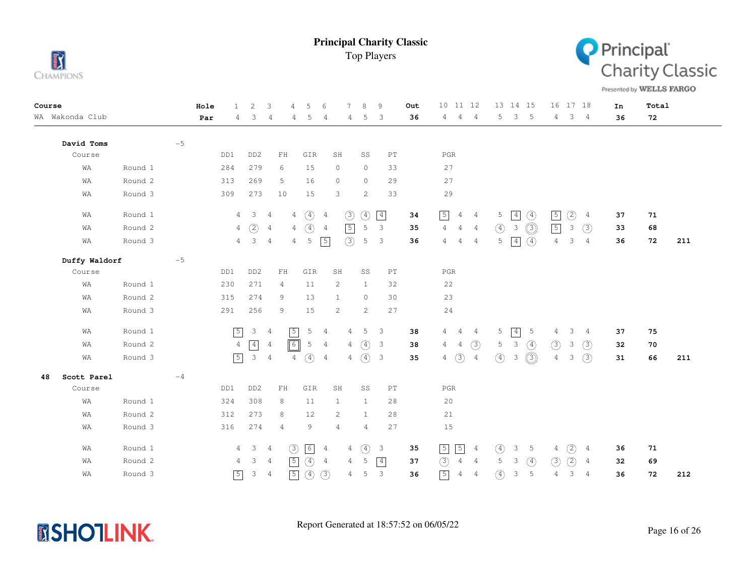



Presented by WELLS FARGO

| Course |                 |         |      | Hole | $\mathbf{1}$   | $\overline{c}$            | 3                                                | 5<br>4         | 6                                 | 7                     | 8              | 9                          | Out | 10 11 12                      |                |               | 13 14 15       |                |                | 16 17 18    |                | In | Total |     |
|--------|-----------------|---------|------|------|----------------|---------------------------|--------------------------------------------------|----------------|-----------------------------------|-----------------------|----------------|----------------------------|-----|-------------------------------|----------------|---------------|----------------|----------------|----------------|-------------|----------------|----|-------|-----|
|        | WA Wakonda Club |         |      | Par  | 4              | 3                         | 4                                                | 4              | 5<br>4                            | 4                     | 5              | 3                          | 36  | $\overline{4}$<br>4           | $\overline{4}$ | 5             | $\mathbf{3}$   | $-5$           | 4              | $3 \quad 4$ |                | 36 | 72    |     |
|        | David Toms      |         | $-5$ |      |                |                           |                                                  |                |                                   |                       |                |                            |     |                               |                |               |                |                |                |             |                |    |       |     |
|        | Course          |         |      |      | DD1            | DD <sub>2</sub>           | $\mathop{\rm F}\nolimits\mathop{\rm H}\nolimits$ |                | GIR                               | SH                    | SS             | $\mathop{\rm PT}\nolimits$ |     | $_{\rm PGR}$                  |                |               |                |                |                |             |                |    |       |     |
|        | WA              | Round 1 |      |      | 284            | 279                       | 6                                                |                | 15                                | $\circ$               | $\circ$        | 33                         |     | 27                            |                |               |                |                |                |             |                |    |       |     |
|        | WA              | Round 2 |      |      | 313            | 269                       | 5                                                |                | 16                                | $\circ$               | $\circ$        | 29                         |     | 27                            |                |               |                |                |                |             |                |    |       |     |
|        | WA              | Round 3 |      |      | 309            | 273                       | 10                                               |                | 15                                | 3                     | 2              | 33                         |     | 29                            |                |               |                |                |                |             |                |    |       |     |
|        | WA              | Round 1 |      |      | $\overline{4}$ | $\overline{\mathbf{3}}$   | $\overline{4}$                                   | $\overline{4}$ | $\circled{4}$<br>4                | (3)                   | (4)            | $\boxed{4}$                | 34  | $\boxed{5}$<br>$\overline{4}$ | $\overline{4}$ | 5             | $\boxed{4}$    | $\circled{4}$  | $\sqrt{5}$     | (2)         | $\overline{4}$ | 37 | 71    |     |
|        | WA              | Round 2 |      |      | $\overline{4}$ | (2)                       | $\overline{4}$                                   | $\overline{4}$ | $\circled{4}$<br>$\overline{4}$   | $\boxed{5}$           | 5              | 3                          | 35  | $\overline{4}$<br>4 4         |                | $\circled{4}$ | 3              | $\circledcirc$ | $\boxed{5}$    | 3           | $\circled{3}$  | 33 | 68    |     |
|        | WA              | Round 3 |      |      | $4\phantom{0}$ | $\mathbf{3}$              | $\overline{4}$                                   | $\overline{4}$ | $\sqrt{5}$<br>5                   | (3)                   | 5              | $\mathbf{3}$               | 36  | 4<br>4                        | $\overline{4}$ | 5             | $\boxed{4}$    | $\circled{4}$  | $\overline{4}$ | 3           | $\overline{4}$ | 36 | 72    | 211 |
|        | Duffy Waldorf   |         | $-5$ |      |                |                           |                                                  |                |                                   |                       |                |                            |     |                               |                |               |                |                |                |             |                |    |       |     |
|        | Course          |         |      |      | DD1            | DD <sub>2</sub>           | ${\rm FH}$                                       |                | GIR                               | SH                    | SS             | $\mathop{\rm PT}\nolimits$ |     | $_{\rm PGR}$                  |                |               |                |                |                |             |                |    |       |     |
|        | WA              | Round 1 |      |      | 230            | 271                       | 4                                                |                | 11                                | $\mathbf{2}$          | $\mathbf{1}$   | 32                         |     | 22                            |                |               |                |                |                |             |                |    |       |     |
|        | WA              | Round 2 |      |      | 315            | 274                       | 9                                                |                | 13                                | $\mathbf{1}$          | $\circ$        | 30                         |     | 23                            |                |               |                |                |                |             |                |    |       |     |
|        | WA              | Round 3 |      |      | 291            | 256                       | 9                                                |                | 15                                | 2                     | $\overline{c}$ | 27                         |     | 24                            |                |               |                |                |                |             |                |    |       |     |
|        | WA              | Round 1 |      |      | $\sqrt{5}$     | $\mathcal{E}$             | $\overline{4}$                                   | $\sqrt{5}$     | $5\phantom{.0}$<br>$\overline{4}$ | $\overline{4}$        | 5 <sub>5</sub> | $\overline{\mathbf{3}}$    | 38  | 4<br>$\overline{4}$           | $\overline{4}$ | 5             | $\boxed{4}$    | - 5            | 4              | 3           | $\overline{4}$ | 37 | 75    |     |
|        | WA              | Round 2 |      |      | $\overline{4}$ | $\boxed{4}$               | $\overline{4}$                                   | $\boxed{6}$    | 5<br>$\overline{4}$               | $\overline{4}$        | $\circled{4}$  | $\overline{\mathbf{3}}$    | 38  | 4<br>4                        | $\circled{3}$  | 5             | $\mathcal{S}$  | $\circled{4}$  | (3)            | 3           | (3)            | 32 | 70    |     |
|        | WA              | Round 3 |      |      | $\sqrt{5}$     | $\ensuremath{\mathsf{3}}$ | $\frac{4}{3}$                                    | $\overline{4}$ | $\circled{4}$<br>$\overline{4}$   | $\overline{4}$        |                | (4) 3                      | 35  | (3)<br>$\overline{4}$         | $\overline{4}$ | $\circled{4}$ | 3              | $\circledS$    | $\overline{4}$ | 3           | (3)            | 31 | 66    | 211 |
| 48     | Scott Parel     |         | $-4$ |      |                |                           |                                                  |                |                                   |                       |                |                            |     |                               |                |               |                |                |                |             |                |    |       |     |
|        | Course          |         |      |      | DD1            | DD <sub>2</sub>           | $\mathop{\rm F}\nolimits\mathop{\rm H}\nolimits$ |                | GIR                               | SH                    | SS             | $\mathop{\rm PT}\nolimits$ |     | $_{\rm PGR}$                  |                |               |                |                |                |             |                |    |       |     |
|        | WA              | Round 1 |      |      | 324            | 308                       | 8                                                |                | 11                                | 1                     | $\mathbf{1}$   | 28                         |     | 20                            |                |               |                |                |                |             |                |    |       |     |
|        | WA              | Round 2 |      |      | 312            | 273                       | 8                                                |                | 12                                | $\mathbf{2}^{\prime}$ | $\mathbf{1}$   | 28                         |     | 21                            |                |               |                |                |                |             |                |    |       |     |
|        | WA              | Round 3 |      |      | 316            | 274                       | $\overline{4}$                                   |                | 9                                 | 4                     | $\overline{4}$ | 27                         |     | 15                            |                |               |                |                |                |             |                |    |       |     |
|        | WA              | Round 1 |      |      | 4              | $3 \quad 4$               |                                                  | (3)            | 6<br>$\overline{4}$               | 4                     | $\circled{4}$  | $\mathbf{3}$               | 35  | $\sqrt{5}$<br>$\sqrt{5}$      | $\frac{4}{3}$  | $\circled{4}$ | 3              | - 5            | 4              | (2)         | 4              | 36 | 71    |     |
|        | WA              | Round 2 |      |      | 4              | 3                         | $\overline{4}$                                   | $\sqrt{5}$     | $\circled{4}$<br>$\overline{4}$   | 4                     | 5              | $\boxed{4}$                | 37  | (3)<br>$\overline{4}$         | $\frac{4}{3}$  | 5             | 3              | $\circled{4}$  | (3)            | (2)         | 4              | 32 | 69    |     |
|        | WA              | Round 3 |      |      | $\sqrt{5}$     | 3                         | $\overline{4}$                                   | $\sqrt{5}$     | $\circled{4}$<br>(3)              | 4                     | 5              | 3                          | 36  | $\boxed{5}$<br>$\overline{4}$ | $\overline{4}$ | $\circled{4}$ | $\mathfrak{Z}$ | 5              | 4              | 3           | $\overline{4}$ | 36 | 72    | 212 |

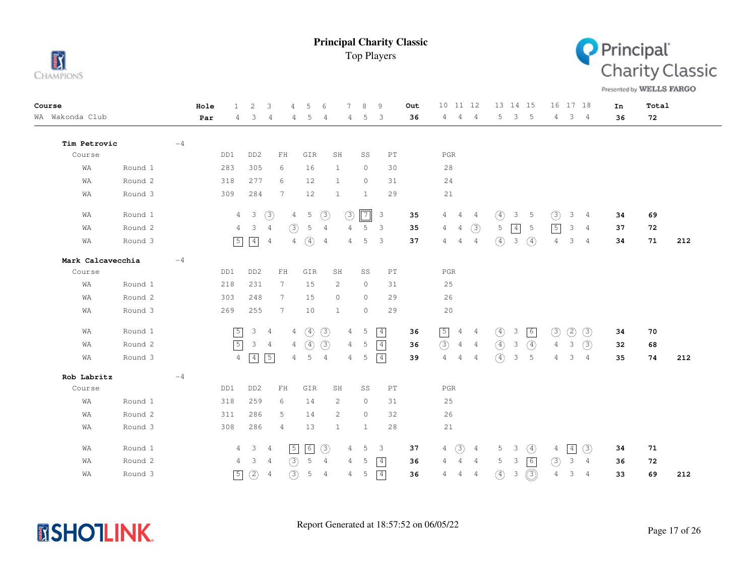



Presented by WELLS FARGO

| Course            | Hole | 1              | 2                              | 3<br>4                           | 5               | -6             | 7<br>8            | 9                          | Out | 10 11 12                                           |               | 13 14 15                                 | 16 17 18       |                        | In | Total |     |
|-------------------|------|----------------|--------------------------------|----------------------------------|-----------------|----------------|-------------------|----------------------------|-----|----------------------------------------------------|---------------|------------------------------------------|----------------|------------------------|----|-------|-----|
| WA Wakonda Club   | Par  | 4              | 3                              | 4<br>4                           | 5               | 4              | 5<br>4            | 3                          | 36  | - 4<br>4<br>4                                      | 5             | $\overline{\phantom{a}}$<br>$-5$         | 4              | $3 \quad 4$            | 36 | 72    |     |
|                   |      |                |                                |                                  |                 |                |                   |                            |     |                                                    |               |                                          |                |                        |    |       |     |
| Tim Petrovic      | $-4$ |                |                                |                                  |                 |                |                   |                            |     |                                                    |               |                                          |                |                        |    |       |     |
| Course            |      | DD1            | DD <sub>2</sub>                | ${\rm FH}$                       | GIR             | SH             | SS                | $\mathop{\rm PT}\nolimits$ |     | $_{\rm PGR}$                                       |               |                                          |                |                        |    |       |     |
| WA<br>Round 1     |      | 283            | 305                            | 6                                | 16              | $\mathbf{1}$   | $\circ$           | 30                         |     | 28                                                 |               |                                          |                |                        |    |       |     |
| Round 2<br>WA     |      | 318            | 277                            | 6                                | 12              | $\mathbf{1}$   | $\circ$           | 31                         |     | 24                                                 |               |                                          |                |                        |    |       |     |
| WA<br>Round 3     |      | 309            | 284                            | 7                                | 12              | $\mathbf{1}$   | $\mathbf{1}$      | 29                         |     | 21                                                 |               |                                          |                |                        |    |       |     |
| Round 1<br>WA     |      | $\overline{4}$ | $\overline{\phantom{a}}$       | (3)<br>$\overline{4}$            | $5\phantom{.0}$ | $\circled{3}$  | $\sqrt{7}$<br>(3) | $\overline{\mathbf{3}}$    | 35  | 4<br>$\overline{4}$<br>$\sim$ 4                    | $\circled{4}$ | 3<br>-5                                  | $\circled{3}$  | 3<br>$\overline{4}$    | 34 | 69    |     |
| Round 2<br>WA     |      | $\overline{4}$ | $\mathcal{E}$                  | (3)<br>$\overline{4}$            | 5               | 4              | 5<br>4            | 3                          | 35  | (3)<br>$\overline{4}$<br>4                         | 5             | $\boxed{4}$<br>-5                        | $\sqrt{5}$     | 3<br>$\frac{4}{3}$     | 37 | 72    |     |
| Round 3<br>WA     |      | $\boxed{5}$    | $\boxed{4}$<br>$\overline{4}$  | 4                                | $\circ$         | $\overline{4}$ | 5<br>4            | 3                          | 37  | $\overline{4}$<br>$\overline{4}$<br>$\overline{4}$ | $\circled{4}$ | $\mathcal{S}$<br>$\circled{4}$           | $\overline{4}$ | 3<br>$\frac{4}{3}$     | 34 | 71    | 212 |
| Mark Calcavecchia | $-4$ |                |                                |                                  |                 |                |                   |                            |     |                                                    |               |                                          |                |                        |    |       |     |
| Course            |      | DD1            | DD <sub>2</sub>                | ${\rm FH}$                       | GIR             | SH             | SS                | PT                         |     | PGR                                                |               |                                          |                |                        |    |       |     |
| Round 1<br>WA     |      | 218            | 231                            | $7\phantom{.}$                   | 15              | 2              | $\circ$           | 31                         |     | 25                                                 |               |                                          |                |                        |    |       |     |
| Round 2<br>WA     |      | 303            | 248                            | $7\phantom{.0}$                  | 15              | $\circ$        | $\circ$           | 29                         |     | 26                                                 |               |                                          |                |                        |    |       |     |
| Round 3<br>WA     |      | 269            | 255                            | $7\phantom{.0}$                  | 10              | $\mathbf{1}$   | $\circ$           | 29                         |     | 20                                                 |               |                                          |                |                        |    |       |     |
| Round 1<br>WA     |      | $\sqrt{5}$     | $3 \quad 4$                    | 4                                | $\circled{4}$   | $\circled{3}$  | 5<br>4            | 4                          | 36  | $\boxed{5}$<br>$4\quad 4$                          | $\circled{4}$ | 6<br>3                                   | $\circled{3}$  | (2)<br>(3)             | 34 | 70    |     |
| Round 2<br>WA     |      | $\sqrt{5}$     | $\mathsf 3$                    | $\overline{4}$<br>$\overline{4}$ | $\circ$         | (3)            | 4<br>5            | $\boxed{4}$                | 36  | (3)<br>$4\quad 4$                                  | $\circled{4}$ | $\circled{4}$<br>$\mathcal{S}$           | $\overline{4}$ | (3)<br>3               | 32 | 68    |     |
| Round 3<br>WA     |      | $\overline{4}$ | $\vert 4 \vert$<br>$\boxed{5}$ | 4                                | 5               | $\overline{4}$ | 5<br>4            | $\boxed{4}$                | 39  | $\overline{4}$<br>$\overline{4}$<br>$\overline{4}$ | $\circ$       | 3<br>5                                   | 4              | 3<br>$\overline{4}$    | 35 | 74    | 212 |
| Rob Labritz       | $-4$ |                |                                |                                  |                 |                |                   |                            |     |                                                    |               |                                          |                |                        |    |       |     |
| Course            |      | DD1            | DD <sub>2</sub>                | ${\rm FH}$                       | GIR             | SH             | SS                | PT                         |     | $_{\rm PGR}$                                       |               |                                          |                |                        |    |       |     |
| Round 1<br>WA     |      | 318            | 259                            | 6                                | 14              | 2              | $\circ$           | 31                         |     | 25                                                 |               |                                          |                |                        |    |       |     |
| Round 2<br>WA     |      | 311            | 286                            | 5                                | 14              | 2              | $\circ$           | 32                         |     | 26                                                 |               |                                          |                |                        |    |       |     |
| WA<br>Round 3     |      | 308            | 286                            | 4                                | 13              | $\mathbf{1}$   | $\mathbf{1}$      | 28                         |     | 21                                                 |               |                                          |                |                        |    |       |     |
| Round 1<br>WA     |      |                | $4 \quad 3$<br>$\frac{4}{3}$   | $\sqrt{5}$                       | 6               | $\circled{3}$  | 5<br>4            | $\overline{\phantom{a}}$   | 37  | (3)<br>$\overline{4}$<br>$\overline{4}$            | 5             | $\circled{4}$<br>$\overline{\mathbf{3}}$ | 4              | $\vert 4 \vert$<br>(3) | 34 | 71    |     |
| Round 2<br>WΑ     |      | 4              | $\mathbf{3}$                   | (3)<br>$\overline{4}$            | 5               | $\overline{4}$ | 5<br>4            | 4                          | 36  | $\overline{4}$<br>4<br>$\overline{4}$              | 5             | $\sqrt{6}$<br>3                          | (3)            | 3<br>$\overline{4}$    | 36 | 72    |     |
| Round 3<br>WA     |      | $\boxed{5}$    | (2)<br>$\overline{4}$          | (3)                              | 5               | $\overline{4}$ | 5<br>4            | $\boxed{4}$                | 36  | $\overline{4}$<br>$\overline{4}$<br>4              | $\circled{4}$ | ③)<br>3                                  | 4              | 3<br>$\overline{4}$    | 33 | 69    | 212 |

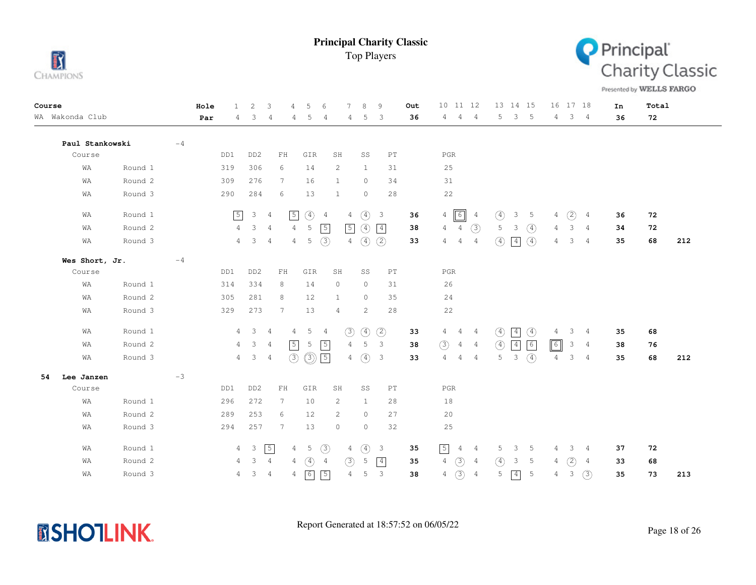



Presented by WELLS FARGO

| Course |                 |         |      | Hole |                | 2                       | 3                   | 4              | 5              | 6              |                | $\mathcal{R}$  | 9                          | Out | 10 11 12                                          | 13 14 15                     |                |                 | 16 17 18     |                | In | Total |     |
|--------|-----------------|---------|------|------|----------------|-------------------------|---------------------|----------------|----------------|----------------|----------------|----------------|----------------------------|-----|---------------------------------------------------|------------------------------|----------------|-----------------|--------------|----------------|----|-------|-----|
|        | WA Wakonda Club |         |      | Par  | 4              | 3                       | 4                   | 4              | 5              | 4              | 4              | 5              | 3                          | 36  | $\overline{4}$<br>4<br>$\frac{4}{3}$              | 5                            | 3 <sub>5</sub> | $4\phantom{0}$  |              | $3 \quad 4$    | 36 | 72    |     |
|        | Paul Stankowski |         | $-4$ |      |                |                         |                     |                |                |                |                |                |                            |     |                                                   |                              |                |                 |              |                |    |       |     |
|        | Course          |         |      |      | DD1            | DD <sub>2</sub>         | ${\rm F}\, {\rm H}$ |                | GIR            | SH             |                | SS             | PT                         |     | PGR                                               |                              |                |                 |              |                |    |       |     |
|        | WA              | Round 1 |      |      | 319            | 306                     | 6                   |                | 14             |                | $\overline{c}$ | 1              | 31                         |     | 25                                                |                              |                |                 |              |                |    |       |     |
|        | WA              | Round 2 |      |      | 309            | 276                     | 7                   |                | 16             | 1              |                | $\circ$        | 34                         |     | 31                                                |                              |                |                 |              |                |    |       |     |
|        | WA              | Round 3 |      |      | 290            | 284                     | 6                   |                | 13             | 1              |                | $\circ$        | 28                         |     | $2\sqrt{2}$                                       |                              |                |                 |              |                |    |       |     |
|        | WA              | Round 1 |      |      | $\sqrt{5}$     | $\mathcal{E}$           | $\overline{4}$      | $\sqrt{5}$     | $\circled{4}$  | -4             | $\overline{4}$ | $\circled{4}$  | $\overline{\mathbf{3}}$    | 36  | $\sqrt{6}$<br>$\overline{4}$<br>4                 | ④<br>3                       | $\overline{5}$ | 4               | (2)          | 4              | 36 | 72    |     |
|        | WA              | Round 2 |      |      | $\overline{4}$ | $\mathcal{S}$           | $\overline{4}$      | $\overline{4}$ | 5              | $\sqrt{5}$     | $\sqrt{5}$     | $\circled{4}$  | $\boxed{4}$                | 38  | (3)<br>$\overline{4}$<br>$\overline{4}$           | 5<br>3                       | $\circled{4}$  | 4               | 3            | 4              | 34 | 72    |     |
|        | WA              | Round 3 |      |      |                | $4 \quad 3$             | $\overline{4}$      | $\overline{4}$ | 5              | (3)            | $\overline{4}$ | $\circled{4}$  | (2)                        | 33  | 4<br>$\overline{4}$<br>4                          | $\circled{4}$<br> 4          | $\circled{4}$  | 4               | 3            | 4              | 35 | 68    | 212 |
|        | Wes Short, Jr.  |         | $-4$ |      |                |                         |                     |                |                |                |                |                |                            |     |                                                   |                              |                |                 |              |                |    |       |     |
|        | Course          |         |      |      | DD1            | DD <sub>2</sub>         | ${\rm FH}$          |                | GIR            | SH             |                | SS             | $\mathop{\rm PT}\nolimits$ |     | $_{\rm PGR}$                                      |                              |                |                 |              |                |    |       |     |
|        | WA              | Round 1 |      |      | 314            | 334                     | 8                   |                | 14             |                | $\circ$        | $\circ$        | 31                         |     | 26                                                |                              |                |                 |              |                |    |       |     |
|        | WA              | Round 2 |      |      | 305            | 281                     | 8                   |                | 12             | 1              |                | $\circ$        | 35                         |     | 24                                                |                              |                |                 |              |                |    |       |     |
|        | WA              | Round 3 |      |      | 329            | 273                     | $7\phantom{.0}$     |                | 13             |                | 4              | $\overline{c}$ | 28                         |     | $2\sqrt{2}$                                       |                              |                |                 |              |                |    |       |     |
|        | WA              | Round 1 |      |      | 4              | $\overline{\mathbf{3}}$ | $\overline{4}$      | 4              | 5 <sup>5</sup> | $\overline{4}$ | $\circled{3}$  | $\circled{4}$  | (2)                        | 33  | $4\quad 4$<br>$\overline{4}$                      | $\circled{4}$<br>$\boxed{4}$ | $\circled{4}$  | 4               | 3            | 4              | 35 | 68    |     |
|        | WA              | Round 2 |      |      | 4              | $\mathcal{S}$           | $\overline{4}$      | $\sqrt{5}$     | 5              | $\sqrt{5}$     | $\overline{4}$ | 5              | $\mathbf{3}$               | 38  | $\circled{3}$<br>$\overline{4}$<br>$\overline{4}$ | $\circled{4}$<br>$\boxed{4}$ | $\boxed{6}$    | $\boxed{\circ}$ | $\mathbf{3}$ | $\overline{4}$ | 38 | 76    |     |
|        | WA              | Round 3 |      |      | 4              | $\mathcal{S}$           | $\overline{4}$      | (3)            | $\circledcirc$ | $\sqrt{5}$     | 4              | $\circled{4}$  | $\overline{\mathbf{3}}$    | 33  | $\overline{4}$<br>$\overline{4}$<br>$\frac{4}{3}$ | 5<br>$\mathcal{E}$           | $\circled{4}$  | 4               | $\mathbf{3}$ | $\overline{4}$ | 35 | 68    | 212 |
| 54     | Lee Janzen      |         | $-3$ |      |                |                         |                     |                |                |                |                |                |                            |     |                                                   |                              |                |                 |              |                |    |       |     |
|        | Course          |         |      |      | DD1            | DD <sub>2</sub>         | ${\rm FH}$          |                | GIR            | SH             |                | SS             | $\mathop{\rm PT}\nolimits$ |     | $_{\rm PGR}$                                      |                              |                |                 |              |                |    |       |     |
|        | WA              | Round 1 |      |      | 296            | 272                     | 7                   |                | 10             |                | 2              | $\mathbf{1}$   | 28                         |     | 18                                                |                              |                |                 |              |                |    |       |     |
|        | WA              | Round 2 |      |      | 289            | 253                     | 6                   |                | 12             |                | 2              | $\circ$        | 27                         |     | 20                                                |                              |                |                 |              |                |    |       |     |
|        | WA              | Round 3 |      |      | 294            | 257                     | 7                   |                | 13             | $\circ$        |                | $\circ$        | 32                         |     | 25                                                |                              |                |                 |              |                |    |       |     |
|        | WA              | Round 1 |      |      |                | $4\quad 3$              | $\boxed{5}$         | 4              | 5              | $\circled{3}$  | 4              | $\circled{4}$  | $\overline{\mathbf{3}}$    | 35  | $\boxed{5}$<br>4<br>4                             | 5<br>3                       | 5              | 4               | 3            | 4              | 37 | 72    |     |
|        | WΑ              | Round 2 |      |      | 4              | $\mathcal{S}$           | $\overline{4}$      | 4              | $\circled{4}$  | $\overline{4}$ | (3)            | 5              | $\boxed{4}$                | 35  | $\circled{3}$<br>$\overline{4}$<br>4              | $\circ$<br>3                 | 5              | 4               | (2)          | 4              | 33 | 68    |     |
|        | WA              | Round 3 |      |      | 4              | 3 <sup>7</sup>          | $\overline{4}$      | 4              | $\boxed{6}$    | $\sqrt{5}$     | $\overline{4}$ | 5              | $\mathbf{3}$               | 38  | $\circled{3}$<br>$\overline{4}$<br>$\overline{4}$ | 5<br>$\boxed{4}$             | 5              | 4               | 3            | (3)            | 35 | 73    | 213 |

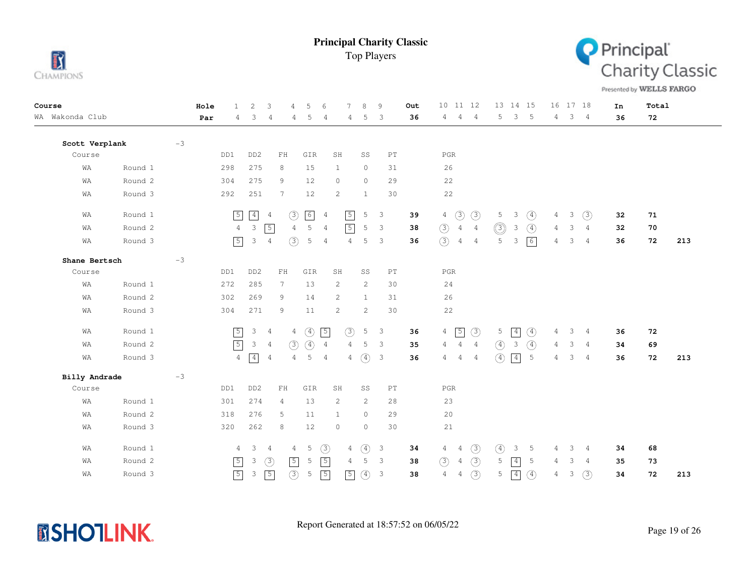



Presented by WELLS FARGO

| Course          |         |      | Hole | $\mathbf{1}$   | 2               | 3                                                | 4              | 5             | 6              | $\overline{7}$        | 8             | 9                          | Out | 10 11 12                         |                |                  | 13 14 15        |               |                | 16 17 18 |                | In | Total |     |
|-----------------|---------|------|------|----------------|-----------------|--------------------------------------------------|----------------|---------------|----------------|-----------------------|---------------|----------------------------|-----|----------------------------------|----------------|------------------|-----------------|---------------|----------------|----------|----------------|----|-------|-----|
| WA Wakonda Club |         |      | Par  | 4              | 3               | 4                                                | 4              | 5             | $\overline{4}$ | 4                     | 5             | 3                          | 36  | 4<br>4                           | $\overline{4}$ | 5                | $\mathbf{3}$    | $-5$          | 4              |          | 3 <sub>4</sub> | 36 | 72    |     |
|                 |         |      |      |                |                 |                                                  |                |               |                |                       |               |                            |     |                                  |                |                  |                 |               |                |          |                |    |       |     |
| Scott Verplank  |         | $-3$ |      |                |                 |                                                  |                |               |                |                       |               |                            |     |                                  |                |                  |                 |               |                |          |                |    |       |     |
| Course          |         |      |      | DD1            | DD <sub>2</sub> | ${\rm FH}$                                       |                | GIR           |                | SH                    | SS            | $\mathop{\rm PT}\nolimits$ |     | $_{\rm PGR}$                     |                |                  |                 |               |                |          |                |    |       |     |
| WA              | Round 1 |      |      | 298            | 275             | 8                                                |                | 15            |                | $\mathbf{1}$          | $\circ$       | 31                         |     | 26                               |                |                  |                 |               |                |          |                |    |       |     |
| WA              | Round 2 |      |      | 304            | 275             | 9                                                |                | 12            |                | $\circ$               | $\circ$       | 29                         |     | 22                               |                |                  |                 |               |                |          |                |    |       |     |
| WA              | Round 3 |      |      | 292            | 251             | 7                                                |                | 12            |                | $\mathbf{2}^{\prime}$ | $\mathbf{1}$  | 30                         |     | 22                               |                |                  |                 |               |                |          |                |    |       |     |
| WA              | Round 1 |      |      | $\sqrt{5}$     | $\boxed{4}$     | $\frac{4}{3}$                                    | (3)            | $\boxed{6}$   | $\overline{4}$ | $\sqrt{5}$            | 5             | 3                          | 39  | $\circled{3}$<br>$\overline{4}$  | $\circled{3}$  | 5                | 3               | $\circled{4}$ | $\overline{4}$ | 3        | (3)            | 32 | 71    |     |
| WΑ              | Round 2 |      |      | $\overline{4}$ | $\mathcal{E}$   | $\sqrt{5}$                                       | $\overline{4}$ | 5             | $\overline{4}$ | $\boxed{5}$           | 5             | 3                          | 38  | $\circled{3}$<br>$\overline{4}$  | $\overline{4}$ | $\circledcirc$   | 3               | $\circled{4}$ | 4              | 3        | $\overline{4}$ | 32 | 70    |     |
| WA              | Round 3 |      |      | $\sqrt{5}$     | $\mathcal{E}$   | $\overline{4}$                                   | (3)            | 5             | 4              | 4                     | 5             | 3                          | 36  | (3)<br>$\overline{4}$            | $\overline{4}$ | 5                | $\mathbf{3}$    | 6             | 4              | 3        | 4              | 36 | 72    | 213 |
| Shane Bertsch   |         | $-3$ |      |                |                 |                                                  |                |               |                |                       |               |                            |     |                                  |                |                  |                 |               |                |          |                |    |       |     |
| Course          |         |      |      | DD1            | DD <sub>2</sub> | $\mathbf{FH}$                                    |                | GIR           |                | SH                    | SS            | $\mathop{\rm PT}\nolimits$ |     | $_{\rm PGR}$                     |                |                  |                 |               |                |          |                |    |       |     |
| WA              | Round 1 |      |      | 272            | 285             | $7\phantom{.0}$                                  |                | 13            |                | 2                     | 2             | 30                         |     | 24                               |                |                  |                 |               |                |          |                |    |       |     |
| WΑ              | Round 2 |      |      | 302            | 269             | 9                                                |                | 14            |                | 2                     | $\mathbf{1}$  | 31                         |     | 26                               |                |                  |                 |               |                |          |                |    |       |     |
| WA              | Round 3 |      |      | 304            | 271             | 9                                                |                | 11            |                | $\mathbf{2}^{\prime}$ | 2             | 30                         |     | 22                               |                |                  |                 |               |                |          |                |    |       |     |
| WA              | Round 1 |      |      | $\sqrt{5}$     | $\mathsf 3$     | $\overline{4}$                                   | $\overline{4}$ | $\circled{4}$ | $\sqrt{5}$     | (3)                   | 5             | $\overline{\mathbf{3}}$    | 36  | $\sqrt{5}$<br>$\overline{4}$     | $\circled{3}$  | 5                | $\boxed{4}$     | $\circled{4}$ | 4              | 3        | 4              | 36 | 72    |     |
| WA              | Round 2 |      |      | $\sqrt{5}$     | $\mathcal{S}$   | 4                                                | (3)            | $\circ$       | $\overline{4}$ | $\overline{4}$        | 5             | 3                          | 35  | 4<br>4                           | $\overline{4}$ | $\circled{4}$    | 3               | $\circled{4}$ | 4              | 3        | $\overline{4}$ | 34 | 69    |     |
| WA              | Round 3 |      |      | $\overline{4}$ | $\boxed{4}$     | $\overline{4}$                                   | 4              | 5             | $\overline{4}$ | 4                     | $\circ$       | $\overline{3}$             | 36  | 4<br>4                           | $\overline{4}$ | $\left(4\right)$ | $\boxed{4}$     | 5             | 4              | 3        | $\overline{4}$ | 36 | 72    | 213 |
| Billy Andrade   |         | $-3$ |      |                |                 |                                                  |                |               |                |                       |               |                            |     |                                  |                |                  |                 |               |                |          |                |    |       |     |
| Course          |         |      |      | DD1            | DD <sub>2</sub> | $\mathop{\rm F}\nolimits\mathop{\rm H}\nolimits$ |                | GIR           |                | SH                    | SS            | $\mathop{\rm PT}\nolimits$ |     | $_{\rm PGR}$                     |                |                  |                 |               |                |          |                |    |       |     |
| WA              | Round 1 |      |      | 301            | 274             | 4                                                |                | 13            |                | 2                     | 2             | 28                         |     | 23                               |                |                  |                 |               |                |          |                |    |       |     |
| WA              | Round 2 |      |      | 318            | 276             | 5                                                |                | 11            |                | 1                     | $\circ$       | 29                         |     | 20                               |                |                  |                 |               |                |          |                |    |       |     |
| WA              | Round 3 |      |      | 320            | 262             | 8                                                |                | 12            |                | $\circ$               | $\circ$       | 30                         |     | 21                               |                |                  |                 |               |                |          |                |    |       |     |
| WA              | Round 1 |      |      | $\overline{4}$ | $\mathcal{E}$   | $\frac{4}{3}$                                    | 4              | 5             | $\circled{3}$  | 4                     | $\circled{4}$ | $\overline{3}$             | 34  | $\overline{4}$<br>4              | (3)            | $\circled{4}$    | 3               | -5            | 4              | 3        | 4              | 34 | 68    |     |
| WA              | Round 2 |      |      | $\sqrt{5}$     | 3               | $\circled{3}$                                    | $\sqrt{5}$     | 5             | $\sqrt{5}$     | $\overline{4}$        | 5             | $\overline{\mathbf{3}}$    | 38  | (3)<br>$\overline{4}$            | (3)            | 5                | $\vert 4 \vert$ | 5             | 4              | 3        | $\overline{4}$ | 35 | 73    |     |
| WΑ              | Round 3 |      |      | $\sqrt{5}$     | 3               | $\sqrt{5}$                                       | $\circled{3}$  | 5             | $\sqrt{5}$     | $\sqrt{5}$            | $\circled{4}$ | $\overline{\mathbf{3}}$    | 38  | $\overline{4}$<br>$\overline{4}$ | (3)            | 5                | $\boxed{4}$     | $\circled{4}$ | 4              | 3        | (3)            | 34 | 72    | 213 |

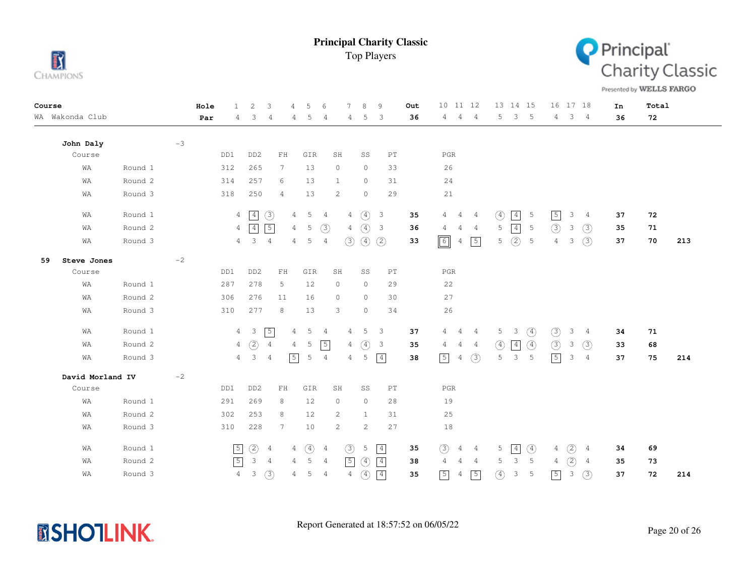



Presented by WELLS FARGO

| Course |                  |         |      | Hole | $\mathbf{1}$   | 2                   | 3               | 4              | 5             | 6              | 7              | 8             | 9                          | Out | 10 11 12                      |                | 13 14 15                     |               |                | 16 17 18       |                | In | Total |     |
|--------|------------------|---------|------|------|----------------|---------------------|-----------------|----------------|---------------|----------------|----------------|---------------|----------------------------|-----|-------------------------------|----------------|------------------------------|---------------|----------------|----------------|----------------|----|-------|-----|
|        | WA Wakonda Club  |         |      | Par  | 4              | 3                   | 4               | 4              | 5             | $\overline{4}$ | 4              | 5             | 3                          | 36  | $\overline{4}$<br>$4^{\circ}$ | $\overline{4}$ | 3<br>5                       | -5            | $\overline{4}$ | 3 <sub>4</sub> |                | 36 | 72    |     |
|        | John Daly        |         | $-3$ |      |                |                     |                 |                |               |                |                |               |                            |     |                               |                |                              |               |                |                |                |    |       |     |
|        | Course           |         |      |      | DD1            | DD <sub>2</sub>     | ${\rm FH}$      |                | GIR           |                | SH             | SS            | $\mathop{\rm PT}\nolimits$ |     | $_{\rm PGR}$                  |                |                              |               |                |                |                |    |       |     |
|        | WA               | Round 1 |      |      | 312            | 265                 | $7\phantom{.0}$ |                | 13            |                | $\circ$        | $\circ$       | 33                         |     | 26                            |                |                              |               |                |                |                |    |       |     |
|        | WA               | Round 2 |      |      | 314            | 257                 | 6               |                | 13            |                | $\mathbf{1}$   | $\circ$       | 31                         |     | 24                            |                |                              |               |                |                |                |    |       |     |
|        | WA               | Round 3 |      |      | 318            | 250                 | $\overline{4}$  |                | 13            |                | $\overline{c}$ | $\circ$       | 29                         |     | 21                            |                |                              |               |                |                |                |    |       |     |
|        | WA               | Round 1 |      |      |                | $4 \sqrt{4}$        | $\circled{3}$   | $\overline{4}$ | 5             | $\overline{4}$ | $\overline{4}$ | $\circ$       | $\overline{\mathbf{3}}$    | 35  | 4<br>4                        | -4             | $\boxed{4}$<br>$\circled{4}$ | 5             | $\sqrt{5}$     | 3              | $\overline{4}$ | 37 | 72    |     |
|        | WA               | Round 2 |      |      | $\overline{4}$ | $\boxed{4}$         | $\sqrt{5}$      | 4              | 5             | $\circled{3}$  | 4              | $\circled{4}$ | $\overline{\mathbf{3}}$    | 36  | 4<br>4                        | 4              | $\boxed{4}$<br>5             | 5             | (3)            | 3              | $\circled{3}$  | 35 | 71    |     |
|        | WA               | Round 3 |      |      |                | $4 \quad 3 \quad 4$ |                 | $\overline{4}$ | 5             | $\overline{4}$ | (3)            | $\circled{4}$ | (2)                        | 33  | $\boxed{6}$<br>4              | $\sqrt{5}$     | (2)<br>5                     | 5             | $\overline{4}$ | 3              | (3)            | 37 | 70    | 213 |
| 59     | Steve Jones      |         | $-2$ |      |                |                     |                 |                |               |                |                |               |                            |     |                               |                |                              |               |                |                |                |    |       |     |
|        | Course           |         |      |      | DD1            | DD <sub>2</sub>     | ${\rm FH}$      |                | ${\tt GIR}$   |                | SH             | SS            | $_{\rm PT}$                |     | $_{\rm PGR}$                  |                |                              |               |                |                |                |    |       |     |
|        | WA               | Round 1 |      |      | 287            | 278                 | 5               |                | 12            |                | 0              | $\circ$       | 29                         |     | 22                            |                |                              |               |                |                |                |    |       |     |
|        | WA               | Round 2 |      |      | 306            | 276                 | 11              |                | 16            |                | $\circ$        | $\circ$       | 30                         |     | 27                            |                |                              |               |                |                |                |    |       |     |
|        | WA               | Round 3 |      |      | 310            | 277                 | 8               |                | 13            |                | 3              | $\circ$       | 34                         |     | 26                            |                |                              |               |                |                |                |    |       |     |
|        | WA               | Round 1 |      |      |                | $4 \quad 3$         | $\sqrt{5}$      | 4              | 5             | $\overline{4}$ | 4              | 5             | 3                          | 37  | $4\quad 4$                    | $\frac{4}{3}$  | $5 \quad 3$                  | $\circled{4}$ | (3)            | 3              | $\overline{4}$ | 34 | 71    |     |
|        | WA               | Round 2 |      |      | 4              | (2)                 | $\overline{4}$  | 4              | 5             | $\sqrt{5}$     | 4              | $\circled{4}$ | $\mathbf{3}$               | 35  | $\overline{4}$<br>4           | 4              | $\circled{4}$<br>$\boxed{4}$ | $\circled{4}$ | $\circled{3}$  | $\mathbf{3}$   | (3)            | 33 | 68    |     |
|        | WA               | Round 3 |      |      |                | $4 \quad 3 \quad 4$ |                 | $\boxed{5}$    | 5             | $\overline{4}$ | 4              | 5             | $\vert 4 \vert$            | 38  | $\boxed{5}$<br>$\overline{4}$ | (3)            | 3<br>5                       | 5             | $\sqrt{5}$     | 3              | $\overline{4}$ | 37 | 75    | 214 |
|        | David Morland IV |         | $-2$ |      |                |                     |                 |                |               |                |                |               |                            |     |                               |                |                              |               |                |                |                |    |       |     |
|        | Course           |         |      |      | DD1            | DD <sub>2</sub>     | ${\rm FH}$      |                | GIR           |                | SH             | SS            | $\mathop{\rm PT}\nolimits$ |     | $_{\rm PGR}$                  |                |                              |               |                |                |                |    |       |     |
|        | WA               | Round 1 |      |      | 291            | 269                 | 8               |                | 12            |                | 0              | $\circ$       | 28                         |     | 19                            |                |                              |               |                |                |                |    |       |     |
|        | WA               | Round 2 |      |      | 302            | 253                 | 8               |                | 12            |                | 2              | $\mathbf{1}$  | 31                         |     | 25                            |                |                              |               |                |                |                |    |       |     |
|        | WA               | Round 3 |      |      | 310            | 228                 | 7               |                | 10            |                | $\overline{c}$ | 2             | 27                         |     | 18                            |                |                              |               |                |                |                |    |       |     |
|        | WA               | Round 1 |      |      | $\boxed{5}$    | $\circled{2}$       | $\overline{4}$  | 4              | $\circled{4}$ | 4              | $\circled{3}$  | 5             | $\boxed{4}$                | 35  | (3)<br>4                      | 4              | 5<br> 4                      | $\circled{4}$ | 4              | (2)            | 4              | 34 | 69    |     |
|        | WA               | Round 2 |      |      | $\sqrt{5}$     | $\mathcal{S}$       | 4               | 4              | 5             | $\overline{4}$ | $\boxed{5}$    | $\circled{4}$ | $\vert 4 \vert$            | 38  | 4<br>4                        | 4              | $\mathbf{3}$<br>5            | 5             | $\overline{4}$ | (2)            | $\overline{4}$ | 35 | 73    |     |
|        | WA               | Round 3 |      |      | $\overline{4}$ | $\mathbf{3}$        | $\circled{3}$   | 4              | 5             | $\overline{4}$ | 4              | $\circled{4}$ | $\boxed{4}$                | 35  | $\boxed{5}$<br>4              | $\sqrt{5}$     | $\circled{4}$<br>3           | 5             | $\sqrt{5}$     | 3              | (3)            | 37 | 72    | 214 |

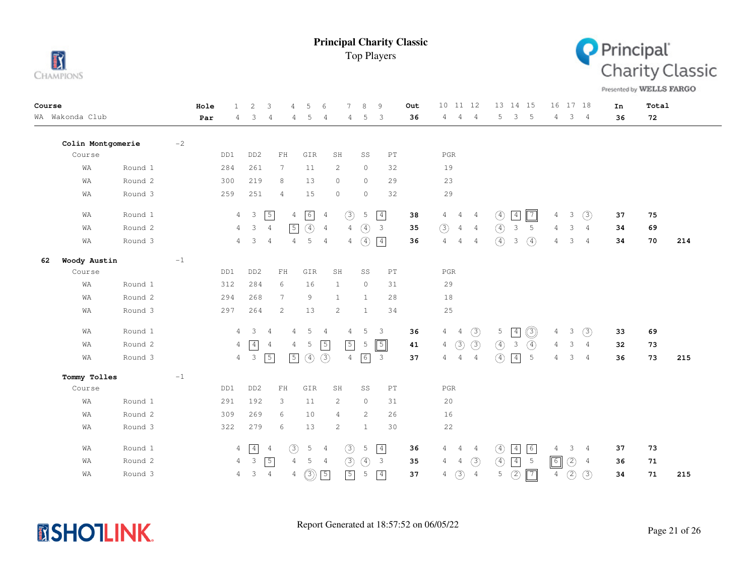



Presented by WELLS FARGO

| Course |                   |         |      | Hole | $\mathbf{1}$   | 2               | 3                                                | $\overline{4}$<br>5             | 6                     | 7              | 8               | 9                          | Out | 10 11 12                         |                | 13 14 15                         |                 |                | 16 17 18            | In | Total |     |
|--------|-------------------|---------|------|------|----------------|-----------------|--------------------------------------------------|---------------------------------|-----------------------|----------------|-----------------|----------------------------|-----|----------------------------------|----------------|----------------------------------|-----------------|----------------|---------------------|----|-------|-----|
|        | WA Wakonda Club   |         |      | Par  | 4              | 3               | 4                                                | 4<br>5                          | $\overline{4}$        | 4              | 5               | 3                          | 36  | 4<br>4                           | $\overline{4}$ | $\overline{\phantom{a}}$<br>5    | $-5$            | 4              | 3 <sub>4</sub>      | 36 | 72    |     |
|        | Colin Montgomerie |         | $-2$ |      |                |                 |                                                  |                                 |                       |                |                 |                            |     |                                  |                |                                  |                 |                |                     |    |       |     |
|        | Course            |         |      |      | DD1            | DD <sub>2</sub> | ${\rm FH}$                                       | GIR                             | SH                    |                | SS              | $\mathop{\rm PT}\nolimits$ |     | $_{\rm PGR}$                     |                |                                  |                 |                |                     |    |       |     |
|        | WA                | Round 1 |      |      | 284            | 261             | $7\phantom{.0}$                                  | 11                              | $\mathbf{2}$          |                | $\circ$         | 32                         |     | 19                               |                |                                  |                 |                |                     |    |       |     |
|        | WA                | Round 2 |      |      | 300            | 219             | 8                                                | 13                              | $\circ$               |                | $\circ$         | 29                         |     | 23                               |                |                                  |                 |                |                     |    |       |     |
|        | WA                | Round 3 |      |      | 259            | 251             | $\overline{4}$                                   | 15                              | $\circ$               |                | $\circ$         | 32                         |     | 29                               |                |                                  |                 |                |                     |    |       |     |
|        | WA                | Round 1 |      |      | $\overline{4}$ | $\mathbf{3}$    | $\sqrt{5}$                                       | $\boxed{6}$<br>$\overline{4}$   | 4                     | $\circled{3}$  | 5               | $\boxed{4}$                | 38  | $\overline{4}$<br>4              | $\frac{4}{3}$  | $\vert 4 \vert$<br>$\circled{4}$ | $\sqrt{7}$      | 4              | (3)<br>3            | 37 | 75    |     |
|        | WA                | Round 2 |      |      | 4              | 3               | $\overline{4}$                                   | $\circled{4}$<br>$\sqrt{5}$     | $\overline{4}$        | $\overline{4}$ | $\circled{4}$   | $\overline{\mathbf{3}}$    | 35  | (3)<br>$\overline{4}$            | 4              | $\circled{4}$<br>$\mathcal{E}$   | 5               | $\overline{4}$ | 3<br>4              | 34 | 69    |     |
|        | WA                | Round 3 |      |      | $\overline{4}$ | 3               | $\overline{4}$                                   | 5<br>$\overline{4}$             | $\overline{4}$        | 4              | $\circled{4}$   | $\boxed{4}$                | 36  | 4<br>$\overline{4}$              | 4              | $\circled{4}$<br>$\mathcal{E}$   | $\circled{4}$   | 4              | 3<br>4              | 34 | 70    | 214 |
| 62     | Woody Austin      |         | $-1$ |      |                |                 |                                                  |                                 |                       |                |                 |                            |     |                                  |                |                                  |                 |                |                     |    |       |     |
|        | Course            |         |      |      | DD1            | DD <sub>2</sub> | ${\rm FH}$                                       | GIR                             | SH                    |                | SS              | PT                         |     | PGR                              |                |                                  |                 |                |                     |    |       |     |
|        | WA                | Round 1 |      |      | 312            | 284             | 6                                                | 16                              | $\mathbf{1}$          |                | $\circ$         | 31                         |     | 29                               |                |                                  |                 |                |                     |    |       |     |
|        | WA                | Round 2 |      |      | 294            | 268             | $7\phantom{.0}$                                  | 9                               | $\mathbf{1}$          |                | $\mathbf{1}$    | 28                         |     | 18                               |                |                                  |                 |                |                     |    |       |     |
|        | WA                | Round 3 |      |      | 297            | 264             | $\mathbf{2}$                                     | 13                              | $\mathbf{2}$          |                | $\mathbf{1}$    | 34                         |     | 25                               |                |                                  |                 |                |                     |    |       |     |
|        | WA                | Round 1 |      |      | 4              | 3               | 4                                                | 5<br>4                          | $\overline{4}$        | 4              | 5               | -3                         | 36  | $\overline{4}$<br>$\overline{4}$ | $\circled{3}$  | 5<br>$\sqrt{4}$                  | $\circledcirc$  | 4              | 3<br>$\circled{3}$  | 33 | 69    |     |
|        | WA                | Round 2 |      |      | 4              | $\vert 4 \vert$ | $\overline{4}$                                   | 5<br>4                          | $\sqrt{5}$            | $\sqrt{5}$     | 5               | $\boxed{5}$                | 41  | $\circled{3}$<br>$\overline{4}$  | (3)            | $\mathfrak{Z}$<br>$\circled{4}$  | $\circled{4}$   | $\overline{4}$ | 3<br>$\overline{4}$ | 32 | 73    |     |
|        | WA                | Round 3 |      |      | $\overline{4}$ | $\mathbf{3}$    | $\sqrt{5}$                                       | $\sqrt{5}$<br>$\circled{4}$     | (3)                   | $\overline{4}$ | $6\overline{6}$ | $\overline{\phantom{a}}$   | 37  | $\overline{4}$<br>4              | $\overline{4}$ | (4)<br>$\boxed{4}$               | $5\phantom{.0}$ | 4              | 3<br>$\overline{4}$ | 36 | 73    | 215 |
|        | Tommy Tolles      |         | $-1$ |      |                |                 |                                                  |                                 |                       |                |                 |                            |     |                                  |                |                                  |                 |                |                     |    |       |     |
|        | Course            |         |      |      | DD1            | DD <sub>2</sub> | $\mathop{\rm F}\nolimits\mathop{\rm H}\nolimits$ | GIR                             | SH                    |                | SS              | $\mathop{\rm PT}\nolimits$ |     | $_{\rm PGR}$                     |                |                                  |                 |                |                     |    |       |     |
|        | WA                | Round 1 |      |      | 291            | 192             | 3                                                | 11                              | $\mathbf{2}^{\prime}$ |                | $\circ$         | 31                         |     | 20                               |                |                                  |                 |                |                     |    |       |     |
|        | WA                | Round 2 |      |      | 309            | 269             | 6                                                | 10                              | 4                     |                | 2               | 26                         |     | 16                               |                |                                  |                 |                |                     |    |       |     |
|        | WA                | Round 3 |      |      | 322            | 279             | 6                                                | 13                              | 2                     |                | $\mathbf{1}$    | 30                         |     | 22                               |                |                                  |                 |                |                     |    |       |     |
|        | WA                | Round 1 |      |      | 4              | $\vert 4 \vert$ | $\overline{4}$                                   | $\circled{3}$<br>$\overline{5}$ | 4                     | $\circled{3}$  | 5               | $\boxed{4}$                | 36  | 4<br>4                           | 4              | $\circled{4}$<br>$\boxed{4}$     | 6               | 4              | 3<br>4              | 37 | 73    |     |
|        | WA                | Round 2 |      |      | $\overline{4}$ | $\mathcal{S}$   | $\sqrt{5}$                                       | $\overline{4}$<br>5             | $\overline{4}$        | (3)            | $\circled{4}$   | $\overline{\mathbf{3}}$    | 35  | 4<br>$\overline{4}$              | (3)            | $\circled{4}$<br>$\boxed{4}$     | $5\phantom{.0}$ | $\boxed{6}$    | $\circled{2}$<br>4  | 36 | 71    |     |
|        | WΑ                | Round 3 |      |      | 4              | 3               | $\overline{4}$                                   | $\circledS$<br>4                | $\sqrt{5}$            | $\boxed{5}$    | 5               | $\boxed{4}$                | 37  | $\circled{3}$<br>$\overline{4}$  | $\overline{4}$ | $\circled{2}$<br>5               | $\boxed{7}$     | $\overline{4}$ | (2)<br>(3)          | 34 | 71    | 215 |

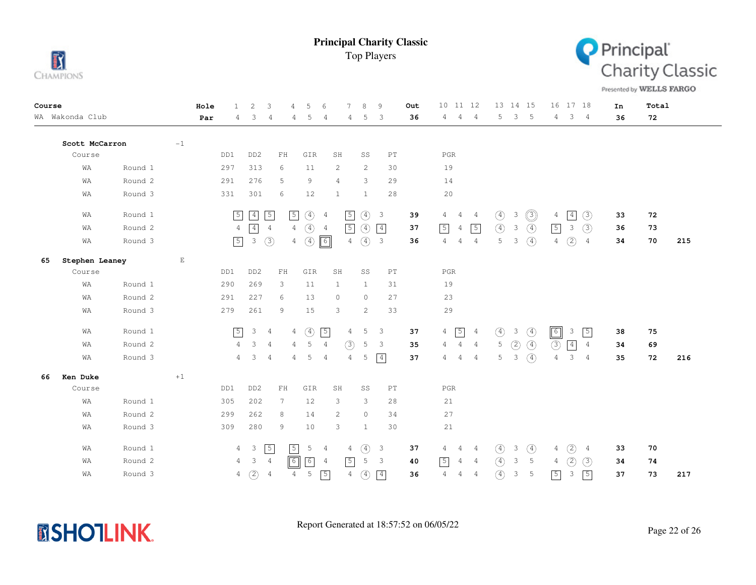



Presented by WELLS FARGO

| Course |                 |         |                       | Hole | 2<br>$\mathbf{1}$               | 3                                                | 5<br>4                          | 7<br>$\epsilon$                  | $\mathcal{R}$<br>9                       | Out | 10 11 12                                           | 13 14 15                             | 16 17 18                             | In | Total |     |
|--------|-----------------|---------|-----------------------|------|---------------------------------|--------------------------------------------------|---------------------------------|----------------------------------|------------------------------------------|-----|----------------------------------------------------|--------------------------------------|--------------------------------------|----|-------|-----|
|        | WA Wakonda Club |         |                       | Par  | 3<br>4                          | 4                                                | 5<br>4                          | 4<br>4                           | 3<br>5                                   | 36  | 4<br>4<br>4                                        | 3<br>5<br>$-5$                       | $3 -$<br>4<br>4                      | 36 | 72    |     |
|        | Scott McCarron  |         | $-1$                  |      |                                 |                                                  |                                 |                                  |                                          |     |                                                    |                                      |                                      |    |       |     |
|        | Course          |         |                       | DD1  | DD <sub>2</sub>                 | ${\rm FH}$                                       | GIR                             | SH                               | SS<br>$\mathop{\rm PT}\nolimits$         |     | $_{\rm PGR}$                                       |                                      |                                      |    |       |     |
|        | WA              | Round 1 |                       | 297  | 313                             | 6                                                | 11                              | 2                                | 2<br>30                                  |     | 19                                                 |                                      |                                      |    |       |     |
|        | WA              | Round 2 |                       | 291  | 276                             | 5                                                | 9                               | $\overline{4}$                   | 3<br>29                                  |     | 14                                                 |                                      |                                      |    |       |     |
|        | WA              | Round 3 |                       | 331  | 301                             | 6                                                | 12                              | 1                                | 28<br>$\mathbf{1}$                       |     | $20$                                               |                                      |                                      |    |       |     |
|        | WA              | Round 1 |                       |      | $\boxed{4}$<br>$\boxed{5}$      | $\sqrt{5}$                                       | $\boxed{5}$<br>$\circled{4}$    | $\sqrt{5}$<br>$\overline{4}$     | $\circled{4}$<br>$\overline{\mathbf{3}}$ | 39  | 4<br>4<br>4                                        | $\circledcirc$<br>$\circled{4}$<br>3 | $\overline{4}$<br>(3)<br>4           | 33 | 72    |     |
|        | WA              | Round 2 |                       |      | $\boxed{4}$<br>$\overline{4}$   | $\overline{4}$                                   | $\circled{4}$<br>$\overline{4}$ | $\sqrt{5}$<br>$\overline{4}$     | $\circled{4}$<br>$\boxed{4}$             | 37  | $\sqrt{5}$<br>$\sqrt{5}$<br>$\overline{4}$         | $\circled{4}$<br>$\circled{4}$<br>3  | $\boxed{5}$<br>3<br>(3)              | 36 | 73    |     |
|        | WA              | Round 3 |                       |      | $\boxed{5}$<br>$\mathcal{E}$    | $\circledcirc$                                   | $\circled{4}$<br>4              | $\overline{4}$<br>$\boxed{6}$    | $\circled{4}$<br>$\overline{\mathbf{3}}$ | 36  | 4<br>$\overline{4}$<br>$\overline{4}$              | $\circled{4}$<br>5<br>3              | $\circled{2}$<br>4<br>$\overline{4}$ | 34 | 70    | 215 |
| 65     | Stephen Leaney  |         | $\mathop{}\mathbb{E}$ |      |                                 |                                                  |                                 |                                  |                                          |     |                                                    |                                      |                                      |    |       |     |
|        | Course          |         |                       | DD1  | DD <sub>2</sub>                 | $\mathop{\rm F}\nolimits\mathop{\rm H}\nolimits$ | GIR                             | SH                               | SS<br>PT                                 |     | $_{\rm PGR}$                                       |                                      |                                      |    |       |     |
|        | WA              | Round 1 |                       | 290  | 269                             | 3                                                | 11                              | $\mathbf{1}$                     | $\mathbf{1}$<br>31                       |     | 19                                                 |                                      |                                      |    |       |     |
|        | WA              | Round 2 |                       | 291  | 227                             | 6                                                | 13                              | $\circ$                          | $\circ$<br>27                            |     | 23                                                 |                                      |                                      |    |       |     |
|        | WA              | Round 3 |                       | 279  | 261                             | 9                                                | 15                              | 3                                | 33<br>2                                  |     | 29                                                 |                                      |                                      |    |       |     |
|        | WA              | Round 1 |                       |      | $\sqrt{5}$<br>3 <sub>4</sub>    |                                                  | $\circled{4}$<br>4              | $\sqrt{5}$<br>$\overline{4}$     | 5<br>3                                   | 37  | $\sqrt{5}$<br>$4\overline{ }$<br>$\frac{4}{3}$     | $\circled{4}$<br>$\circled{4}$<br>3  | $\boxed{6}$<br>$\sqrt{5}$<br>3       | 38 | 75    |     |
|        | WA              | Round 2 |                       |      | 3<br>$\overline{4}$             | $\overline{4}$                                   | 5<br>$\overline{4}$             | $\circled{3}$<br>$\overline{4}$  | 5<br>3                                   | 35  | $\overline{4}$<br>4<br>$\frac{4}{3}$               | $\circled{4}$<br>5<br>(2)            | $\circled{3}$<br>$\boxed{4}$<br>4    | 34 | 69    |     |
|        | WA              | Round 3 |                       |      | 3<br>$\overline{4}$             | $\overline{4}$                                   | 5<br>$\overline{4}$             | $\overline{4}$<br>$\overline{4}$ | $\boxed{4}$<br>5                         | 37  | $\overline{4}$<br>$\overline{4}$<br>$\overline{4}$ | $\circled{4}$<br>5<br>3              | 3<br>$\overline{4}$<br>4             | 35 | 72    | 216 |
| 66     | Ken Duke        |         | $+1$                  |      |                                 |                                                  |                                 |                                  |                                          |     |                                                    |                                      |                                      |    |       |     |
|        | Course          |         |                       | DD1  | DD <sub>2</sub>                 | $\mathop{\rm F}\nolimits\mathop{\rm H}\nolimits$ | GIR                             | SH                               | SS<br>PT                                 |     | $_{\rm PGR}$                                       |                                      |                                      |    |       |     |
|        | WA              | Round 1 |                       | 305  | 202                             | 7                                                | 12                              | 3                                | 3<br>28                                  |     | 21                                                 |                                      |                                      |    |       |     |
|        | WA              | Round 2 |                       | 299  | 262                             | 8                                                | 14                              | 2                                | $\circ$<br>34                            |     | 27                                                 |                                      |                                      |    |       |     |
|        | WA              | Round 3 |                       | 309  | 280                             | 9                                                | 10                              | 3                                | 30<br>$\mathbf{1}$                       |     | 21                                                 |                                      |                                      |    |       |     |
|        | WA              | Round 1 |                       |      | $4\quad 3$                      | $\sqrt{5}$                                       | $\sqrt{5}$<br>5                 | $\overline{4}$<br>4              | $\circled{4}$<br>$\mathbf{3}$            | 37  | 4<br>4<br>-4                                       | $\circled{4}$<br>3<br>④              | (2)<br>4<br>4                        | 33 | 70    |     |
|        | WA              | Round 2 |                       |      | 3<br>$\overline{4}$             | $\overline{4}$                                   | $\sqrt{6}$<br>$6 \overline{6}$  | $\sqrt{5}$<br>4                  | 5<br>$\mathbf{3}$                        | 40  | $\sqrt{5}$<br>$\overline{4}$<br>$\overline{4}$     | $\circled{4}$<br>3<br>5              | (2)<br>(3)<br>$\overline{4}$         | 34 | 74    |     |
|        | WA              | Round 3 |                       |      | $\circled{2}$<br>$\overline{4}$ | $\overline{4}$                                   | 5<br>$\overline{4}$             | $\sqrt{5}$<br>$\overline{4}$     | $\circled{4}$<br>$\boxed{4}$             | 36  | 4<br>$\overline{4}$<br>$\overline{4}$              | $\circled{4}$<br>$\mathcal{S}$<br>5  | $\boxed{5}$<br>$\boxed{5}$<br>3      | 37 | 73    | 217 |

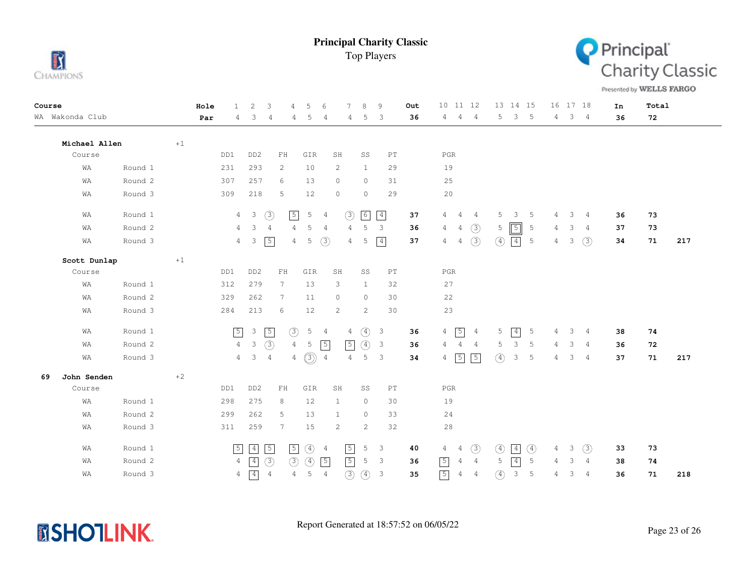



Presented by WELLS FARGO

| Course |                 |           |      | Hole | $\mathbf{1}$   | $\overline{c}$            | 3                          | 5<br>$\overline{4}$ | 6                                 |                       | 8<br>7                          | 9                          | Out | 10 11 12                                       |               | 13 14 15                  |   |                | 16 17 18       | In | Total |     |
|--------|-----------------|-----------|------|------|----------------|---------------------------|----------------------------|---------------------|-----------------------------------|-----------------------|---------------------------------|----------------------------|-----|------------------------------------------------|---------------|---------------------------|---|----------------|----------------|----|-------|-----|
|        | WA Wakonda Club |           |      | Par  | 4              | 3                         | 4                          | 4                   | 5<br>$\overline{4}$               |                       | 5<br>4                          | 3                          | 36  | $\overline{4}$<br>$\overline{4}$<br>4          | 5             | 3<br>$-5$                 |   | $\overline{4}$ | $3 \quad 4$    | 36 | 72    |     |
|        | Michael Allen   |           | $+1$ |      |                |                           |                            |                     |                                   |                       |                                 |                            |     |                                                |               |                           |   |                |                |    |       |     |
|        | Course          |           |      |      | DD1            | DD <sub>2</sub>           | $\mathbf{FH}$              |                     | GIR                               | SH                    | SS                              | $\mathop{\rm PT}\nolimits$ |     | $_{\rm PGR}$                                   |               |                           |   |                |                |    |       |     |
|        | WA              | Round 1   |      |      | 231            | 293                       | $\mathbf{2}^{\prime}$      |                     | 10                                | 2                     | $\mathbf{1}$                    | 29                         |     | 19                                             |               |                           |   |                |                |    |       |     |
|        | WA              | Round 2   |      |      | 307            | 257                       | 6                          | 13                  |                                   | $\circ$               | $\circ$                         | 31                         |     | 25                                             |               |                           |   |                |                |    |       |     |
|        | WA              | Round 3   |      |      | 309            | 218                       | 5                          |                     | 12                                | $\circ$               | $\circ$                         | 29                         |     | 20                                             |               |                           |   |                |                |    |       |     |
|        | WA              | Round 1   |      |      | $\overline{4}$ | $\overline{\mathbf{3}}$   | (3)                        | $\sqrt{5}$          | 5<br>$\overline{4}$               |                       | $\boxed{6}$<br>(3)              | $\boxed{4}$                | 37  | 4<br>4<br>$\overline{4}$                       | 5             | 3<br>5                    |   | 3<br>4         | $\frac{4}{3}$  | 36 | 73    |     |
|        | WA              | Round 2   |      |      | 4              | 3                         | 4                          | 4                   | 5<br>$\overline{4}$               |                       | 5<br>4                          | 3                          | 36  | (3)<br>4<br>$\overline{4}$                     | 5             | $\boxed{5}$<br>-5         | 4 | 3              | $\overline{4}$ | 37 | 73    |     |
|        | WA              | Round 3   |      |      | $\overline{4}$ | 3                         | $\sqrt{5}$                 | $\overline{4}$      | (3)<br>5                          |                       | 5<br>$\overline{4}$             | $\boxed{4}$                | 37  | (3)<br>4<br>4                                  | $\circled{4}$ | $4 \mid$<br>5             | 4 | 3              | (3)            | 34 | 71    | 217 |
|        | Scott Dunlap    |           | $+1$ |      |                |                           |                            |                     |                                   |                       |                                 |                            |     |                                                |               |                           |   |                |                |    |       |     |
|        | Course          |           |      |      | DD1            | DD <sub>2</sub>           | $\mathop{\rm FH}\nolimits$ |                     | GIR                               | SH                    | SS                              | $\mathop{\rm PT}\nolimits$ |     | $_{\rm PGR}$                                   |               |                           |   |                |                |    |       |     |
|        | WA              | Round $1$ |      |      | 312            | 279                       | $7\phantom{.0}$            | 13                  |                                   | 3                     | 1                               | 32                         |     | 27                                             |               |                           |   |                |                |    |       |     |
|        | WA              | Round 2   |      |      | 329            | 262                       | $7\phantom{.0}$            | 11                  |                                   | $\circ$               | $\circ$                         | 30                         |     | 22                                             |               |                           |   |                |                |    |       |     |
|        | WA              | Round 3   |      |      | 284            | 213                       | 6                          | 12                  |                                   | 2                     | 2                               | 30                         |     | 23                                             |               |                           |   |                |                |    |       |     |
|        | WA              | Round 1   |      |      | $\sqrt{5}$     | $\ensuremath{\mathsf{3}}$ | $\sqrt{5}$                 | $\circled{3}$       | $5\phantom{.0}$<br>$\overline{4}$ |                       | $\circled{4}$<br>$\overline{4}$ | $\overline{\mathbf{3}}$    | 36  | $\sqrt{5}$<br>$\overline{4}$<br>$\overline{4}$ | 5             | $\boxed{4}$<br>5          |   | 3<br>4         | -4             | 38 | 74    |     |
|        | WA              | Round 2   |      |      | $\overline{4}$ | $\mathcal{E}$             | (3)                        | $\overline{4}$      | $\sqrt{5}$<br>5                   |                       | $\sqrt{5}$<br>$\circled{4}$     | $\overline{\mathbf{3}}$    | 36  | $\overline{4}$<br>4<br>$\overline{4}$          | 5             | 3<br>5                    | 4 | 3              | $\overline{4}$ | 36 | 72    |     |
|        | WA              | Round 3   |      |      | $4 -$          | $\overline{\mathbf{3}}$   | $\frac{4}{3}$              | $\overline{4}$      | $\circledS$<br>$\overline{4}$     |                       | $\overline{4}$<br>5             | $\mathbf{3}$               | 34  | $\boxed{5}$<br>$\boxed{5}$<br>4                | (4)           | 3<br>5                    |   | 3<br>4         | $\frac{4}{3}$  | 37 | 71    | 217 |
| 69     | John Senden     |           | $+2$ |      |                |                           |                            |                     |                                   |                       |                                 |                            |     |                                                |               |                           |   |                |                |    |       |     |
|        | Course          |           |      |      | DD1            | DD <sub>2</sub>           | $\mathop{\rm FH}\nolimits$ |                     | GIR                               | SH                    | SS                              | $\mathop{\rm PT}\nolimits$ |     | $_{\rm PGR}$                                   |               |                           |   |                |                |    |       |     |
|        | WA              | Round 1   |      |      | 298            | 275                       | 8                          |                     | 12                                | $\mathbf{1}$          | $\circ$                         | 30                         |     | 19                                             |               |                           |   |                |                |    |       |     |
|        | WA              | Round 2   |      |      | 299            | 262                       | 5                          | 13                  |                                   | $\mathbf{1}$          | $\circ$                         | 33                         |     | 24                                             |               |                           |   |                |                |    |       |     |
|        | WA              | Round 3   |      |      | 311            | 259                       | 7                          | 15                  |                                   | $\mathbf{2}^{\prime}$ | 2                               | 32                         |     | 28                                             |               |                           |   |                |                |    |       |     |
|        | WA              | Round 1   |      |      | $\boxed{5}$    | $\boxed{4}$               | $\sqrt{5}$                 | $\sqrt{5}$          | $\circled{4}$<br>$\overline{4}$   |                       | $\sqrt{5}$<br>5                 | $\overline{\mathbf{3}}$    | 40  | (3)<br>4<br>4                                  | $\circled{4}$ | $\circled{4}$<br>$4\vert$ | 4 | 3              | $\circled{3}$  | 33 | 73    |     |
|        | WA              | Round 2   |      |      | $\overline{4}$ | $\boxed{4}$               | (3)                        | (3)                 | $\circled{4}$<br>$\sqrt{5}$       |                       | $\sqrt{5}$<br>5                 | $\overline{3}$             | 36  | 5 <br>4<br>$\overline{4}$                      | 5             | $\overline{4}$<br>5       | 4 | 3              | 4              | 38 | 74    |     |
|        | WA              | Round 3   |      |      | $\overline{4}$ | $\boxed{4}$               | $\overline{4}$             | 4                   | $\overline{5}$<br>$\overline{4}$  |                       | (3)<br>$\circled{4}$            | $\overline{\mathbf{3}}$    | 35  | $\boxed{5}$<br>$\overline{4}$<br>4             | $\circled{4}$ | $\mathfrak{Z}$<br>5       |   | 3<br>4         | $\overline{4}$ | 36 | 71    | 218 |

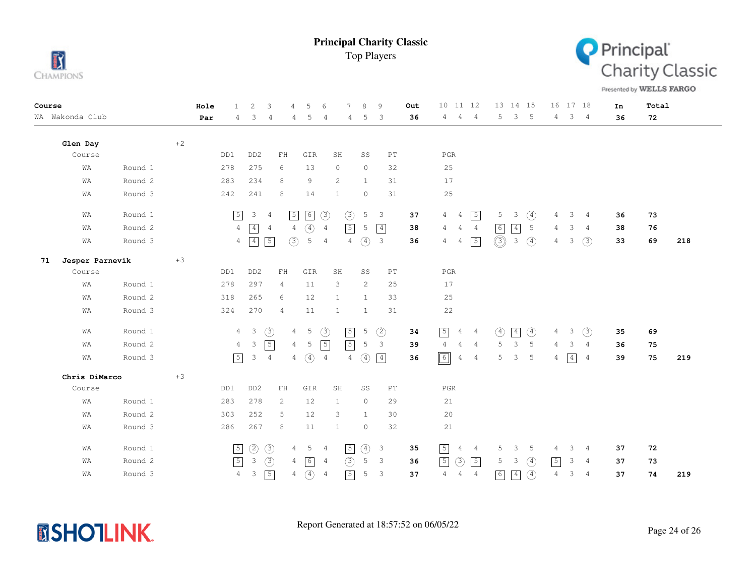



Presented by WELLS FARGO

| Course |                 |         |      | Hole | $\mathbf{1}$   | $\overline{c}$          | 3<br>$\overline{4}$ | 5                                | 6              | 7              | 8              | 9                          | Out | 10 11 12                                           | 13 14 15                      |               |                | 16 17 18                      | In | Total |     |
|--------|-----------------|---------|------|------|----------------|-------------------------|---------------------|----------------------------------|----------------|----------------|----------------|----------------------------|-----|----------------------------------------------------|-------------------------------|---------------|----------------|-------------------------------|----|-------|-----|
|        | WA Wakonda Club |         |      | Par  | 4              | 3                       | 4                   | 5<br>4                           | $\overline{4}$ | 4              | 5              | 3                          | 36  | 4<br>$\overline{4}$<br>$4^{\circ}$                 | 3<br>5                        | $-5$          | $\overline{4}$ | 3 <sub>4</sub>                | 36 | 72    |     |
|        | Glen Day        |         | $+2$ |      |                |                         |                     |                                  |                |                |                |                            |     |                                                    |                               |               |                |                               |    |       |     |
|        | Course          |         |      |      | DD1            | DD <sub>2</sub>         | ${\rm FH}$          | GIR                              | SH             |                | SS             | $\mathop{\rm PT}\nolimits$ |     | $_{\rm PGR}$                                       |                               |               |                |                               |    |       |     |
|        | WA              | Round 1 |      |      | 278            | 275                     | 6                   | 13                               | $\circ$        |                | $\circ$        | 32                         |     | 25                                                 |                               |               |                |                               |    |       |     |
|        | WA              | Round 2 |      |      | 283            | 234                     | 8                   | 9                                | 2              |                | $\mathbf{1}$   | 31                         |     | 17                                                 |                               |               |                |                               |    |       |     |
|        | WA              | Round 3 |      |      | 242            | 241                     | 8                   | 14                               | $\mathbf{1}$   |                | $\circ$        | 31                         |     | 25                                                 |                               |               |                |                               |    |       |     |
|        | WA              | Round 1 |      |      | $\sqrt{5}$     | 3                       | $\frac{4}{3}$       | $\sqrt{5}$<br>$\boxed{6}$        | (3)            | (3)            | $\mathsf S$    | $\overline{3}$             | 37  | $\sqrt{5}$<br>4<br>$\overline{4}$                  | 5<br>3                        | ④             | 4              | 3<br>$\overline{4}$           | 36 | 73    |     |
|        | WA              | Round 2 |      |      | $\overline{4}$ | $\boxed{4}$             | 4                   | $\circled{4}$<br>$\overline{4}$  | $\overline{4}$ | $\sqrt{5}$     | 5              | $\boxed{4}$                | 38  | 4<br>4<br>4                                        | 6<br>$\boxed{4}$              | 5             | 4              | 3<br>$\overline{4}$           | 38 | 76    |     |
|        | WA              | Round 3 |      |      | $\overline{4}$ | 4                       | $\sqrt{5}$          | (3)<br>5                         | $\overline{4}$ | 4              | $\circled{4}$  | $\overline{\mathbf{3}}$    | 36  | $\sqrt{5}$<br>4<br>4                               | $\circledS$<br>$\mathfrak{Z}$ | $\circled{4}$ | $\overline{4}$ | (3)<br>3                      | 33 | 69    | 218 |
| 71     | Jesper Parnevik |         | $+3$ |      |                |                         |                     |                                  |                |                |                |                            |     |                                                    |                               |               |                |                               |    |       |     |
|        | Course          |         |      |      | DD1            | DD <sub>2</sub>         | ${\rm FH}$          | GIR                              | SH             |                | SS             | $\mathop{\rm PT}\nolimits$ |     | $_{\rm PGR}$                                       |                               |               |                |                               |    |       |     |
|        | WA              | Round 1 |      |      | 278            | 297                     | 4                   | 11                               | 3              |                | $\overline{2}$ | 25                         |     | 17                                                 |                               |               |                |                               |    |       |     |
|        | WA              | Round 2 |      |      | 318            | 265                     | 6                   | 12                               | 1              |                | <sup>1</sup>   | 33                         |     | 25                                                 |                               |               |                |                               |    |       |     |
|        | WA              | Round 3 |      |      | 324            | 270                     | $\overline{4}$      | 11                               | $\mathbf{1}$   |                | $\mathbf{1}$   | 31                         |     | 22                                                 |                               |               |                |                               |    |       |     |
|        | WA              | Round 1 |      |      | $\overline{4}$ | $\overline{\mathbf{3}}$ | $\circled{3}$       | $\overline{5}$<br>$\overline{4}$ | $\circled{3}$  | $\sqrt{5}$     | 5              | (2)                        | 34  | $\sqrt{5}$<br>4<br>$\overline{4}$                  | $\circled{4}$<br>$\boxed{4}$  | $\circled{4}$ | $\overline{4}$ | (3)<br>3                      | 35 | 69    |     |
|        | WA              | Round 2 |      |      | $\overline{4}$ | 3                       | $\sqrt{5}$          | 5<br>$\overline{4}$              | $\sqrt{5}$     | $\sqrt{5}$     | 5              | $\mathbf{3}$               | 39  | $\overline{4}$<br>$\overline{4}$<br>$\overline{4}$ | $\mathcal{E}$<br>5            | 5             | 4              | 3<br>$\overline{4}$           | 36 | 75    |     |
|        | WA              | Round 3 |      |      | $\sqrt{5}$     | 3                       | $\overline{4}$      | $\circled{4}$<br>$\overline{4}$  | $\overline{4}$ | $\overline{4}$ | $\circled{4}$  | $\boxed{4}$                | 36  | $\boxed{6}$<br>$\overline{4}$<br>$\overline{4}$    | 5<br>3                        | 5             | 4              | $\boxed{4}$<br>$\overline{4}$ | 39 | 75    | 219 |
|        | Chris DiMarco   |         | $+3$ |      |                |                         |                     |                                  |                |                |                |                            |     |                                                    |                               |               |                |                               |    |       |     |
|        | Course          |         |      |      | DD1            | DD <sub>2</sub>         | ${\rm FH}$          | GIR                              | SH             |                | SS             | $\mathop{\rm PT}\nolimits$ |     | $_{\rm PGR}$                                       |                               |               |                |                               |    |       |     |
|        | WA              | Round 1 |      |      | 283            | 278                     | $\overline{c}$      | 12                               | $\mathbf{1}$   |                | $\circ$        | 29                         |     | 21                                                 |                               |               |                |                               |    |       |     |
|        | WA              | Round 2 |      |      | 303            | 252                     | 5                   | 12                               | 3              |                | $\mathbf{1}$   | 30                         |     | $20$                                               |                               |               |                |                               |    |       |     |
|        | WA              | Round 3 |      |      | 286            | 267                     | 8                   | 11                               | $\mathbf{1}$   |                | $\circ$        | 32                         |     | 21                                                 |                               |               |                |                               |    |       |     |
|        | WA              | Round 1 |      |      | $\boxed{5}$    | $\circled{2}$           | $\circled{3}$       | 5<br>4                           | 4              | $\sqrt{5}$     | $\circled{4}$  | $\overline{\mathbf{3}}$    | 35  | $\boxed{5}$<br>4<br>4                              | 5<br>3                        | -5            | 4              | 3<br>4                        | 37 | 72    |     |
|        | WA              | Round 2 |      |      | $\sqrt{5}$     | 3                       | $\circled{3}$       | $\boxed{6}$<br>4                 | 4              | (3)            | 5              | $\overline{3}$             | 36  | (3)<br>[5]<br>$\sqrt{5}$                           | 5<br>3                        | $\circled{4}$ | $\sqrt{5}$     | 3<br>$\overline{4}$           | 37 | 73    |     |
|        | WA              | Round 3 |      |      | $\overline{4}$ | 3                       | $\sqrt{5}$          | $\circled{4}$<br>4               | $\overline{4}$ | $\sqrt{5}$     | 5              | $\overline{3}$             | 37  | $\overline{4}$<br>4<br>$\overline{4}$              | $\boxed{6}$<br>$\boxed{4}$    | $\circled{4}$ | $\overline{4}$ | 3<br>$\overline{4}$           | 37 | 74    | 219 |

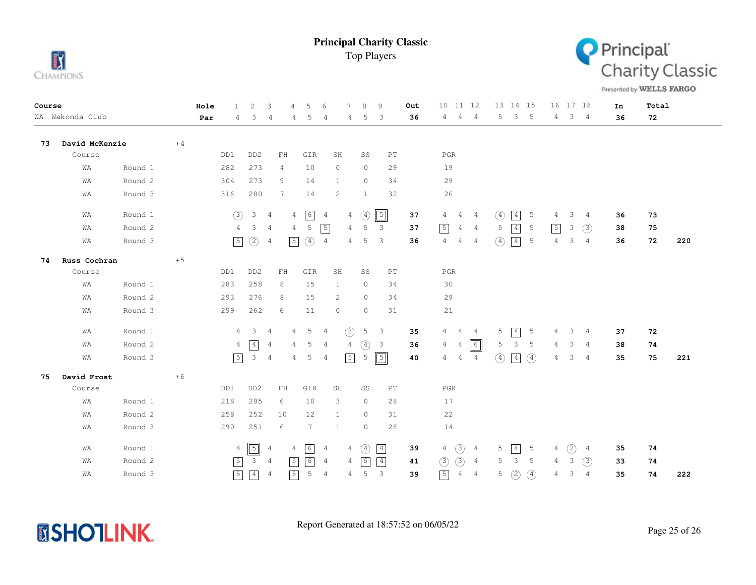



Presented by WELLS FARGO

| Course<br>WA Wakonda Club |                |         |      | Hole | 1.             | 2               | 3              | 4              | 5                 | 6              | 7              | 8             | 9                          | Out | 10 11 12                         |                | 13 14 15      |                 |               | 16 17 18 |                |                | In | Total |     |
|---------------------------|----------------|---------|------|------|----------------|-----------------|----------------|----------------|-------------------|----------------|----------------|---------------|----------------------------|-----|----------------------------------|----------------|---------------|-----------------|---------------|----------|----------------|----------------|----|-------|-----|
|                           |                |         |      | Par  | 4              | 3               | 4              | 4              | 5                 | 4              | 4              | 5             | 3                          | 36  | 4<br>4                           | $\overline{4}$ | 5             | 3               | $-5$          | 4        | $3 \quad 4$    |                | 36 | 72    |     |
| 73                        | David McKenzie |         | $+4$ |      |                |                 |                |                |                   |                |                |               |                            |     |                                  |                |               |                 |               |          |                |                |    |       |     |
|                           | Course         |         |      |      | DD1            | DD <sub>2</sub> | FH             |                | GIR               | SH             |                | SS            | $\mathop{\rm PT}\nolimits$ |     | $_{\rm PGR}$                     |                |               |                 |               |          |                |                |    |       |     |
|                           | WA             | Round 1 |      |      | 282            | 273             | 4              |                | 10                | $\circ$        |                | $\circ$       | 29                         |     | 19                               |                |               |                 |               |          |                |                |    |       |     |
|                           | WA             | Round 2 |      |      | 304            | 273             | 9              |                | 14                | $\mathbf{1}$   |                | $\circ$       | 34                         |     | 29                               |                |               |                 |               |          |                |                |    |       |     |
|                           | WA             | Round 3 |      |      | 316            | 280             | 7              |                | 14                | 2              |                | $\mathbf{1}$  | 32                         |     | 26                               |                |               |                 |               |          |                |                |    |       |     |
|                           | WA             | Round 1 |      |      | (3)            | $\mathcal{S}$   | $\overline{4}$ | $\overline{4}$ | 6                 | $\frac{4}{3}$  | 4              | $\circled{4}$ | $\sqrt{5}$                 | 37  | 4<br>4                           | 4              | $\circled{4}$ | $\boxed{4}$     | 5             | 4        | 3              | $\overline{4}$ | 36 | 73    |     |
|                           | WA             | Round 2 |      |      | 4              | 3               | $\overline{4}$ | $\overline{4}$ | 5                 | $\sqrt{5}$     | 4              | 5             | $\mathbf{3}$               | 37  | $\sqrt{5}$<br>$\overline{4}$     | $\overline{4}$ | 5             | $\boxed{4}$     | 5             | 5        | 3              | (3)            | 38 | 75    |     |
|                           | WA             | Round 3 |      |      | $\sqrt{5}$     | $\circled{2}$   | 4              | $\sqrt{5}$     | $\circled{4}$     | $\overline{4}$ | 4              | 5             | 3                          | 36  | $\overline{4}$<br>4              | $\overline{4}$ | ④             | $\boxed{4}$     | 5             | 4        | 3              | $\overline{4}$ | 36 | 72    | 220 |
| 74                        | Russ Cochran   |         | $+5$ |      |                |                 |                |                |                   |                |                |               |                            |     |                                  |                |               |                 |               |          |                |                |    |       |     |
|                           | Course         |         |      |      | DD1            | DD <sub>2</sub> | ${\rm FH}$     |                | GIR               | SH             |                | SS            | PT                         |     | $_{\rm PGR}$                     |                |               |                 |               |          |                |                |    |       |     |
|                           | WΑ             | Round 1 |      |      | 283            | 258             | 8              |                | 15                | 1              |                | $\circ$       | 34                         |     | 30                               |                |               |                 |               |          |                |                |    |       |     |
|                           | WA             | Round 2 |      |      | 293            | 276             | 8              |                | 15                | 2              |                | $\circ$       | 34                         |     | 29                               |                |               |                 |               |          |                |                |    |       |     |
|                           | WA             | Round 3 |      |      | 299            | 262             | 6              |                | 11                | $\circ$        |                | $\circ$       | 31                         |     | 21                               |                |               |                 |               |          |                |                |    |       |     |
|                           | WA             | Round 1 |      |      | $\overline{4}$ | $\mathbf{3}$    | 4              | 4              | 5                 | 4              | $\circled{3}$  | 5             | 3                          | 35  | 4<br>4                           | $\overline{4}$ | 5             | $\boxed{4}$     | 5             | 4        | 3 <sup>7</sup> | $\overline{4}$ | 37 | 72    |     |
|                           | WA             | Round 2 |      |      | 4              | $\boxed{4}$     | 4              | 4              | 5                 | 4              | $\overline{4}$ | $\circled{4}$ | $\overline{3}$             | 36  | $\overline{4}$<br>$\overline{4}$ | $\boxed{6}$    | 5             | $\mathcal{E}$   | 5             | 4        | 3              | $\overline{4}$ | 38 | 74    |     |
|                           | WA             | Round 3 |      |      | $\boxed{5}$    | $\mathcal{E}$   | $\overline{4}$ | 4              | 5                 | 4              | $\sqrt{5}$     | 5             | $\boxed{5}$                | 40  | 4<br>4                           | 4              | $\circled{4}$ | $\vert 4 \vert$ | $\circled{4}$ | 4        | 3              | 4              | 35 | 75    | 221 |
| 75                        | David Frost    |         | $+6$ |      |                |                 |                |                |                   |                |                |               |                            |     |                                  |                |               |                 |               |          |                |                |    |       |     |
|                           | Course         |         |      |      | DD1            | DD <sub>2</sub> | $\mathbf{FH}$  |                | GIR               | SH             |                | SS            | $\mathop{\rm PT}\nolimits$ |     | $_{\rm PGR}$                     |                |               |                 |               |          |                |                |    |       |     |
|                           | WA             | Round 1 |      |      | 218            | 295             | 6              |                | 10                | 3              |                | $\circ$       | 28                         |     | 17                               |                |               |                 |               |          |                |                |    |       |     |
|                           | WA             | Round 2 |      |      | 258            | 252             | 10             |                | 12                | 1              |                | $\circ$       | 31                         |     | 22                               |                |               |                 |               |          |                |                |    |       |     |
|                           | WA             | Round 3 |      |      | 290            | 251             | 6              |                | $7\phantom{.0}$   | 1              |                | $\circ$       | 28                         |     | 14                               |                |               |                 |               |          |                |                |    |       |     |
|                           | WA             | Round 1 |      |      | $\overline{4}$ | $\sqrt{5}$      | $\overline{4}$ | 4              | 6                 | 4              | 4              | $\circled{4}$ | $\boxed{4}$                | 39  | $\circled{3}$<br>$\overline{4}$  | 4              | 5             | $\boxed{4}$     | 5             | 4        | (2)            | 4              | 35 | 74    |     |
|                           | WA             | Round 2 |      |      | $\sqrt{5}$     | $\mathbf{3}$    | $\overline{4}$ | $\sqrt{5}$     | $\lceil 6 \rceil$ | $\overline{4}$ | 4              | 6             | $\boxed{4}$                | 41  | (3)<br>$\circled{3}$             | 4              | 5             | 3               | - 5           | 4        | 3              | (3)            | 33 | 74    |     |
|                           | WA             | Round 3 |      |      | $\sqrt{5}$     | $\boxed{4}$     | $\overline{4}$ | $\sqrt{5}$     | 5                 | $\overline{4}$ | 4              | 5             | $\mathbf{3}$               | 39  | $\boxed{5}$<br>$\overline{4}$    | $\overline{4}$ | 5             | (2)             | $\circled{4}$ | 4        | 3              | $\overline{4}$ | 35 | 74    | 222 |